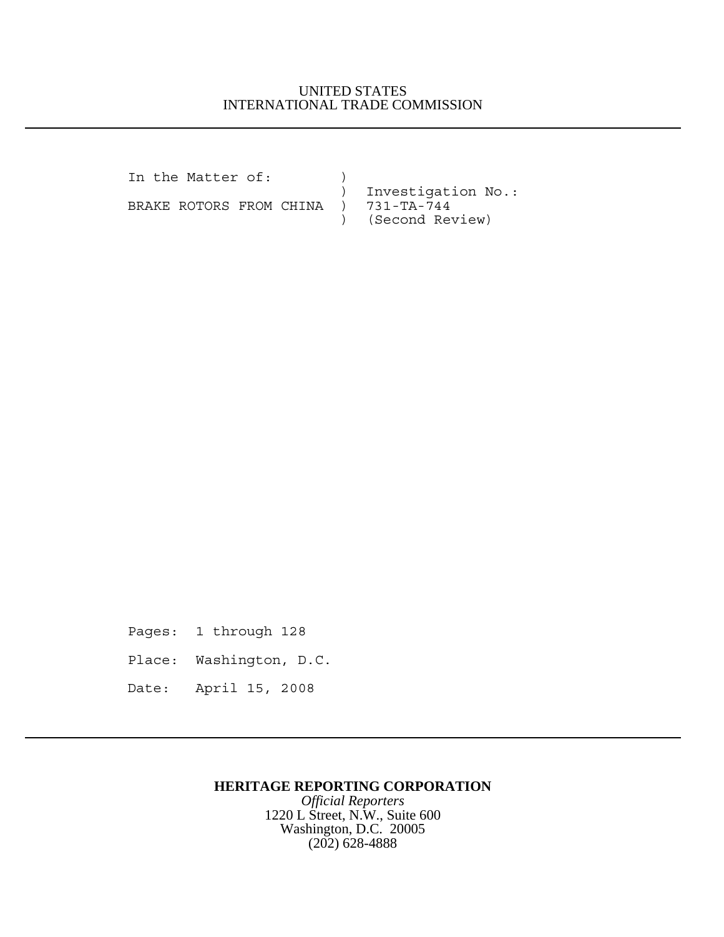## UNITED STATES INTERNATIONAL TRADE COMMISSION

In the Matter of: ) ) Investigation No.:<br>) 731-TA-744 BRAKE ROTORS FROM CHINA ) ) (Second Review)

Pages: 1 through 128 Place: Washington, D.C. Date: April 15, 2008

## **HERITAGE REPORTING CORPORATION**

*Official Reporters* 1220 L Street, N.W., Suite 600 Washington, D.C. 20005 (202) 628-4888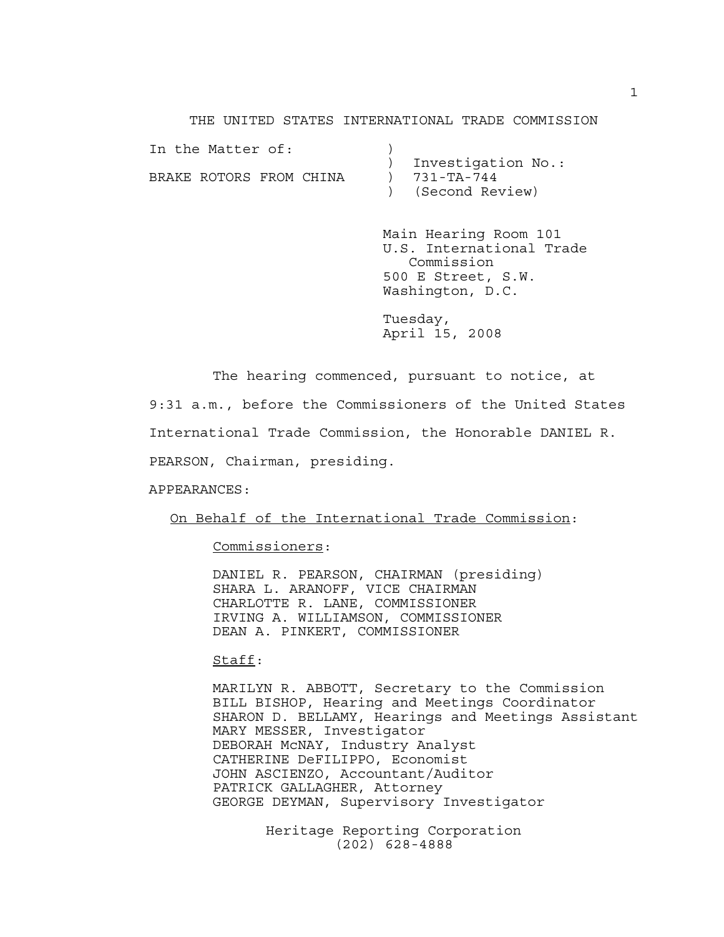THE UNITED STATES INTERNATIONAL TRADE COMMISSION

| Investigation No.: |  |
|--------------------|--|
| $731 - TA - 744$   |  |
| ) (Second Review)  |  |
|                    |  |

Main Hearing Room 101 U.S. International Trade Commission 500 E Street, S.W. Washington, D.C.

Tuesday, April 15, 2008

The hearing commenced, pursuant to notice, at 9:31 a.m., before the Commissioners of the United States International Trade Commission, the Honorable DANIEL R. PEARSON, Chairman, presiding.

APPEARANCES:

On Behalf of the International Trade Commission:

Commissioners:

DANIEL R. PEARSON, CHAIRMAN (presiding) SHARA L. ARANOFF, VICE CHAIRMAN CHARLOTTE R. LANE, COMMISSIONER IRVING A. WILLIAMSON, COMMISSIONER DEAN A. PINKERT, COMMISSIONER

Staff:

MARILYN R. ABBOTT, Secretary to the Commission BILL BISHOP, Hearing and Meetings Coordinator SHARON D. BELLAMY, Hearings and Meetings Assistant MARY MESSER, Investigator DEBORAH McNAY, Industry Analyst CATHERINE DeFILIPPO, Economist JOHN ASCIENZO, Accountant/Auditor PATRICK GALLAGHER, Attorney GEORGE DEYMAN, Supervisory Investigator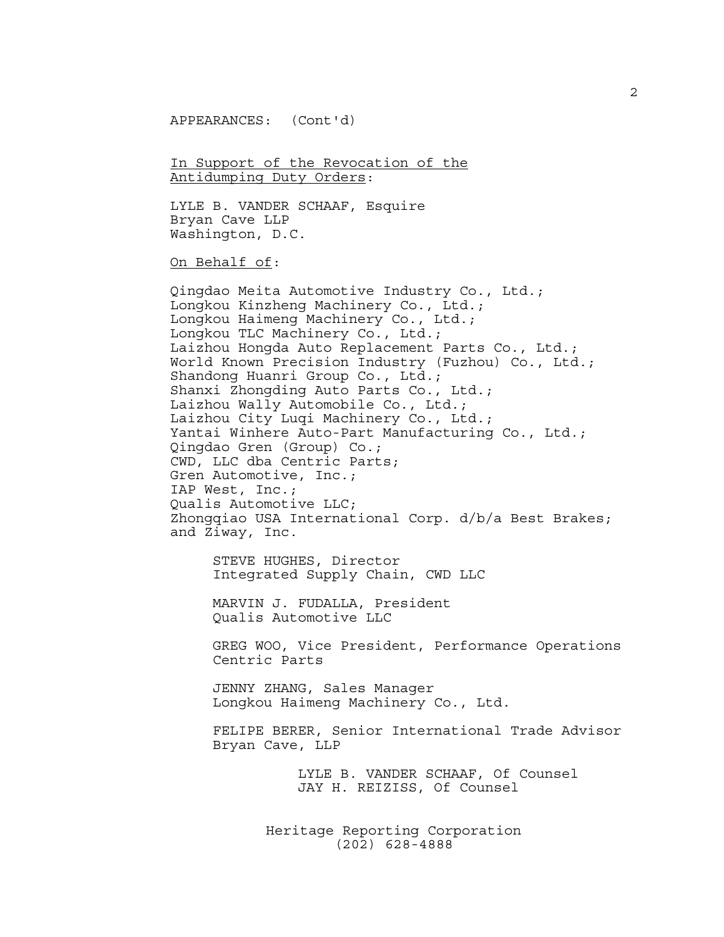APPEARANCES: (Cont'd)

In Support of the Revocation of the Antidumping Duty Orders:

LYLE B. VANDER SCHAAF, Esquire Bryan Cave LLP Washington, D.C.

On Behalf of:

Qingdao Meita Automotive Industry Co., Ltd.; Longkou Kinzheng Machinery Co., Ltd.; Longkou Haimeng Machinery Co., Ltd.; Longkou TLC Machinery Co., Ltd.; Laizhou Hongda Auto Replacement Parts Co., Ltd.; World Known Precision Industry (Fuzhou) Co., Ltd.; Shandong Huanri Group Co., Ltd.; Shanxi Zhongding Auto Parts Co., Ltd.; Laizhou Wally Automobile Co., Ltd.; Laizhou City Luqi Machinery Co., Ltd.; Yantai Winhere Auto-Part Manufacturing Co., Ltd.; Qingdao Gren (Group) Co.; CWD, LLC dba Centric Parts; Gren Automotive, Inc.; IAP West, Inc.; Qualis Automotive LLC; Zhongqiao USA International Corp. d/b/a Best Brakes; and Ziway, Inc.

STEVE HUGHES, Director Integrated Supply Chain, CWD LLC

MARVIN J. FUDALLA, President Qualis Automotive LLC

GREG WOO, Vice President, Performance Operations Centric Parts

JENNY ZHANG, Sales Manager Longkou Haimeng Machinery Co., Ltd.

FELIPE BERER, Senior International Trade Advisor Bryan Cave, LLP

> LYLE B. VANDER SCHAAF, Of Counsel JAY H. REIZISS, Of Counsel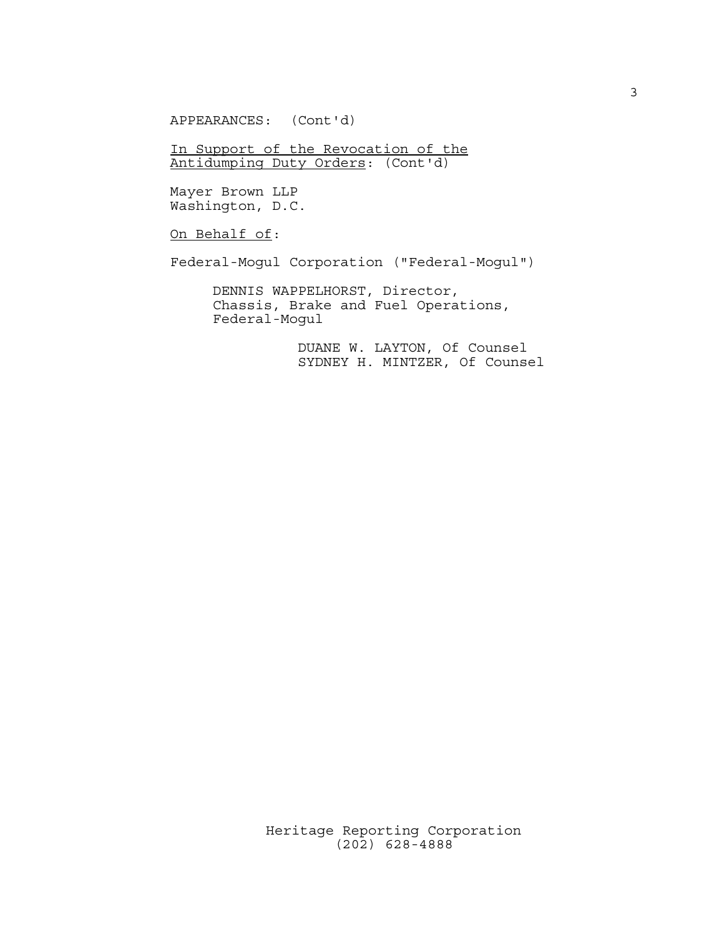APPEARANCES: (Cont'd)

In Support of the Revocation of the Antidumping Duty Orders: (Cont'd)

Mayer Brown LLP Washington, D.C.

On Behalf of:

Federal-Mogul Corporation ("Federal-Mogul")

DENNIS WAPPELHORST, Director, Chassis, Brake and Fuel Operations, Federal-Mogul

> DUANE W. LAYTON, Of Counsel SYDNEY H. MINTZER, Of Counsel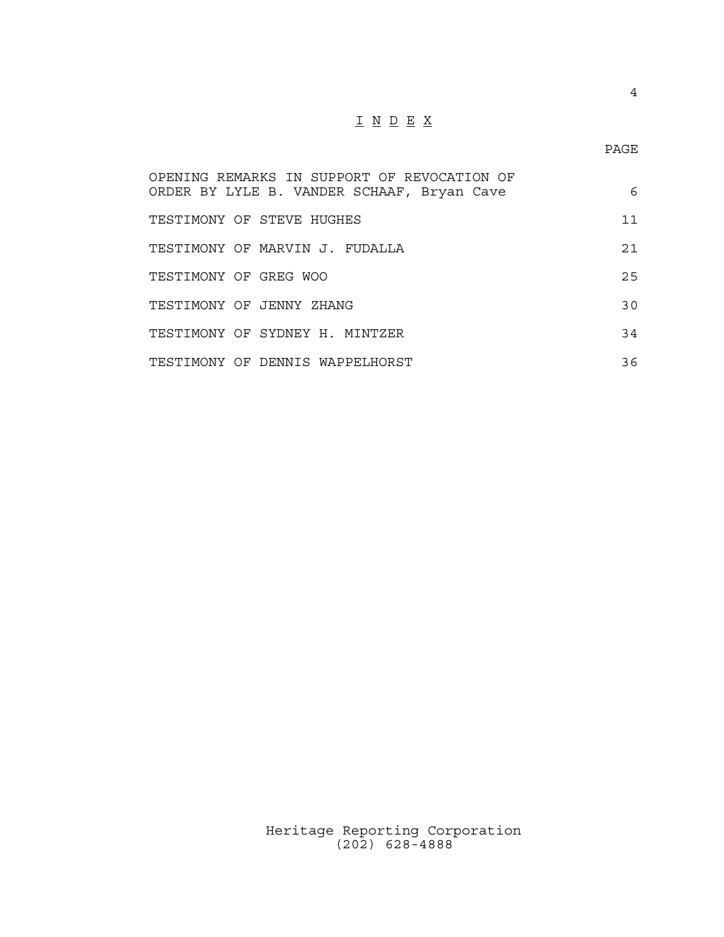## $\underline{\texttt{I}} \underline{\texttt{N}} \underline{\texttt{D}} \underline{\texttt{E}} \underline{\texttt{X}}$

| OPENING REMARKS IN SUPPORT OF REVOCATION OF<br>ORDER BY LYLE B. VANDER SCHAAF, Bryan Cave | 6  |
|-------------------------------------------------------------------------------------------|----|
| TESTIMONY OF STEVE HUGHES                                                                 | 11 |
| TESTIMONY OF MARVIN J. FUDALLA                                                            | 21 |
| TESTIMONY OF GREG WOO                                                                     | 25 |
| TESTIMONY OF JENNY ZHANG                                                                  | 30 |
| TESTIMONY OF SYDNEY H. MINTZER                                                            | 34 |
| TESTIMONY OF DENNIS WAPPELHORST                                                           | 36 |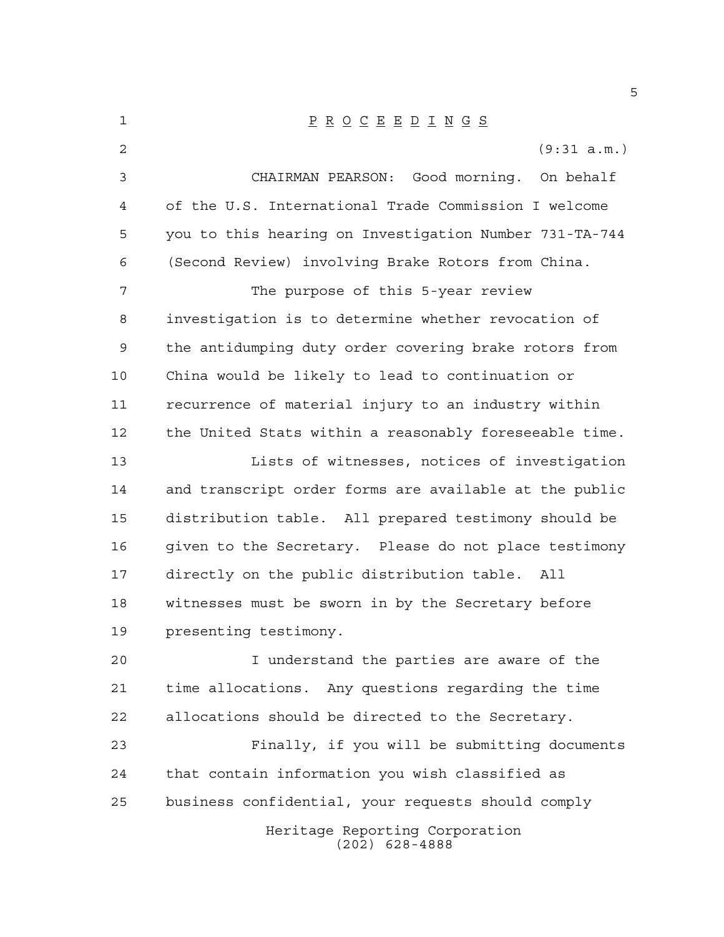| 1  | $\underline{P} \underline{R} \underline{O} \underline{C} \underline{E} \underline{E} \underline{D} \underline{I} \underline{N} \underline{G} \underline{S}$ |
|----|-------------------------------------------------------------------------------------------------------------------------------------------------------------|
| 2  | (9:31 a.m.)                                                                                                                                                 |
| 3  | CHAIRMAN PEARSON: Good morning. On behalf                                                                                                                   |
| 4  | of the U.S. International Trade Commission I welcome                                                                                                        |
| 5  | you to this hearing on Investigation Number 731-TA-744                                                                                                      |
| 6  | (Second Review) involving Brake Rotors from China.                                                                                                          |
| 7  | The purpose of this 5-year review                                                                                                                           |
| 8  | investigation is to determine whether revocation of                                                                                                         |
| 9  | the antidumping duty order covering brake rotors from                                                                                                       |
| 10 | China would be likely to lead to continuation or                                                                                                            |
| 11 | recurrence of material injury to an industry within                                                                                                         |
| 12 | the United Stats within a reasonably foreseeable time.                                                                                                      |
| 13 | Lists of witnesses, notices of investigation                                                                                                                |
| 14 | and transcript order forms are available at the public                                                                                                      |
| 15 | distribution table. All prepared testimony should be                                                                                                        |
| 16 | given to the Secretary. Please do not place testimony                                                                                                       |
| 17 | directly on the public distribution table.<br>All                                                                                                           |
| 18 | witnesses must be sworn in by the Secretary before                                                                                                          |
| 19 | presenting testimony.                                                                                                                                       |
| 20 | I understand the parties are aware of the                                                                                                                   |
| 21 | time allocations. Any questions regarding the time                                                                                                          |
| 22 | allocations should be directed to the Secretary.                                                                                                            |
| 23 | Finally, if you will be submitting documents                                                                                                                |
| 24 | that contain information you wish classified as                                                                                                             |
| 25 | business confidential, your requests should comply                                                                                                          |
|    | Heritage Reporting Corporation<br>$(202)$ 628-4888                                                                                                          |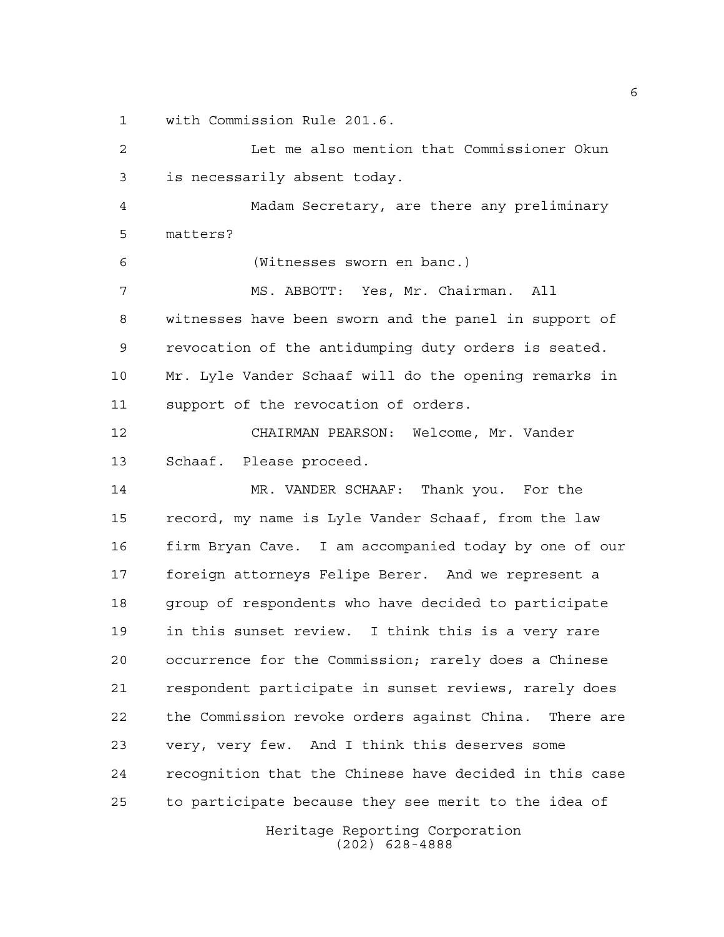with Commission Rule 201.6.

Heritage Reporting Corporation Let me also mention that Commissioner Okun is necessarily absent today. Madam Secretary, are there any preliminary matters? (Witnesses sworn en banc.) MS. ABBOTT: Yes, Mr. Chairman. All witnesses have been sworn and the panel in support of revocation of the antidumping duty orders is seated. Mr. Lyle Vander Schaaf will do the opening remarks in support of the revocation of orders. CHAIRMAN PEARSON: Welcome, Mr. Vander Schaaf. Please proceed. MR. VANDER SCHAAF: Thank you. For the record, my name is Lyle Vander Schaaf, from the law firm Bryan Cave. I am accompanied today by one of our foreign attorneys Felipe Berer. And we represent a group of respondents who have decided to participate in this sunset review. I think this is a very rare occurrence for the Commission; rarely does a Chinese respondent participate in sunset reviews, rarely does the Commission revoke orders against China. There are very, very few. And I think this deserves some recognition that the Chinese have decided in this case to participate because they see merit to the idea of

(202) 628-4888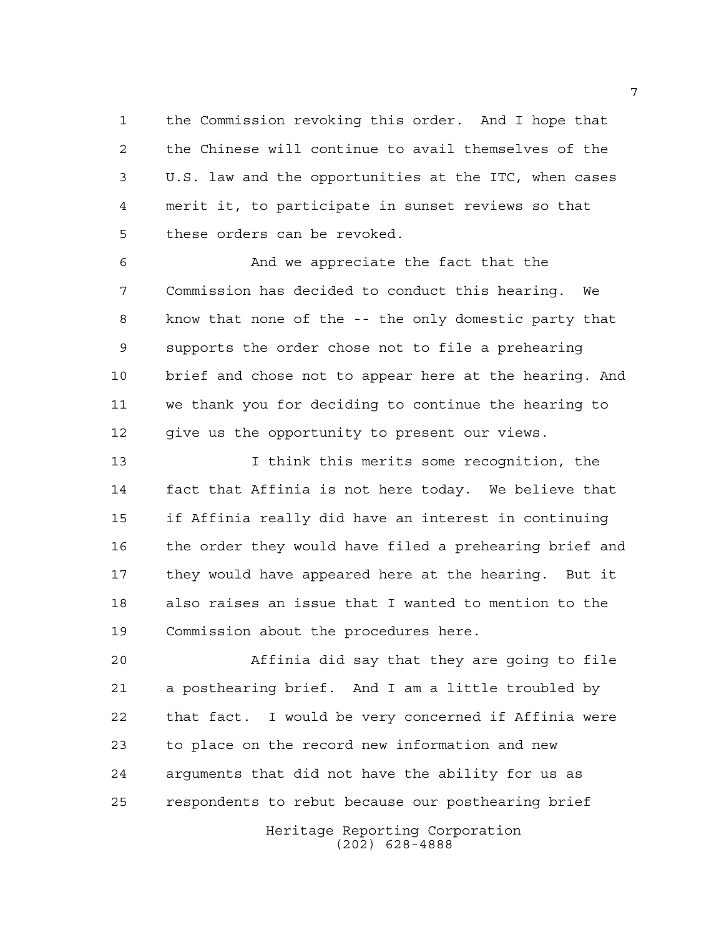the Commission revoking this order. And I hope that the Chinese will continue to avail themselves of the U.S. law and the opportunities at the ITC, when cases merit it, to participate in sunset reviews so that these orders can be revoked.

 And we appreciate the fact that the Commission has decided to conduct this hearing. We know that none of the -- the only domestic party that supports the order chose not to file a prehearing brief and chose not to appear here at the hearing. And we thank you for deciding to continue the hearing to give us the opportunity to present our views.

 I think this merits some recognition, the fact that Affinia is not here today. We believe that if Affinia really did have an interest in continuing the order they would have filed a prehearing brief and they would have appeared here at the hearing. But it also raises an issue that I wanted to mention to the Commission about the procedures here.

 Affinia did say that they are going to file a posthearing brief. And I am a little troubled by that fact. I would be very concerned if Affinia were to place on the record new information and new arguments that did not have the ability for us as respondents to rebut because our posthearing brief

> Heritage Reporting Corporation (202) 628-4888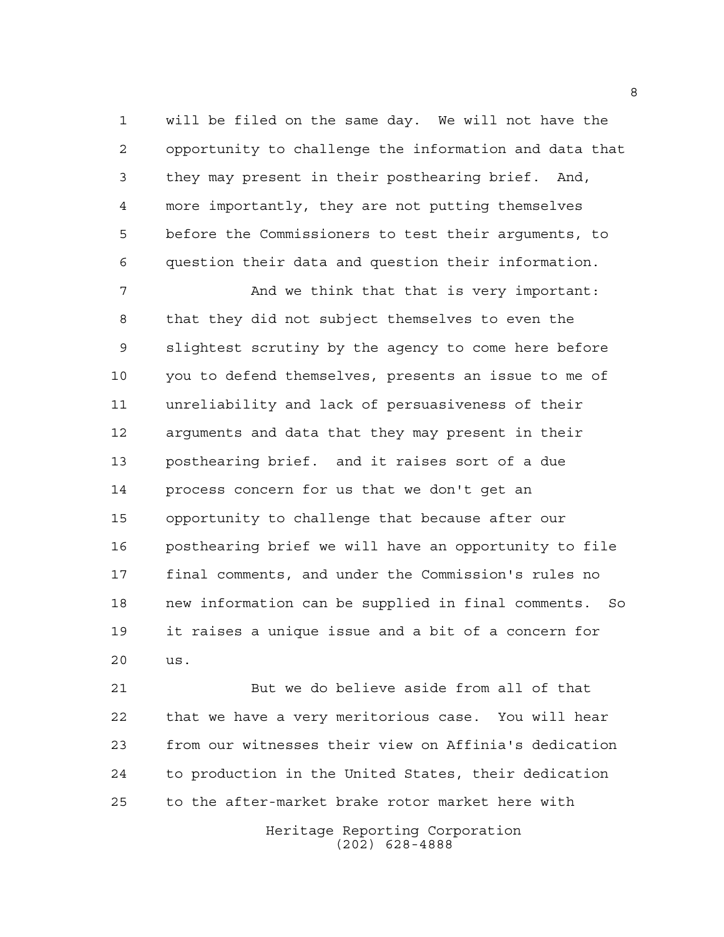will be filed on the same day. We will not have the opportunity to challenge the information and data that they may present in their posthearing brief. And, more importantly, they are not putting themselves before the Commissioners to test their arguments, to question their data and question their information.

7 And we think that that is very important: that they did not subject themselves to even the slightest scrutiny by the agency to come here before you to defend themselves, presents an issue to me of unreliability and lack of persuasiveness of their arguments and data that they may present in their posthearing brief. and it raises sort of a due process concern for us that we don't get an opportunity to challenge that because after our posthearing brief we will have an opportunity to file final comments, and under the Commission's rules no new information can be supplied in final comments. So it raises a unique issue and a bit of a concern for us.

 But we do believe aside from all of that that we have a very meritorious case. You will hear from our witnesses their view on Affinia's dedication to production in the United States, their dedication to the after-market brake rotor market here with

> Heritage Reporting Corporation (202) 628-4888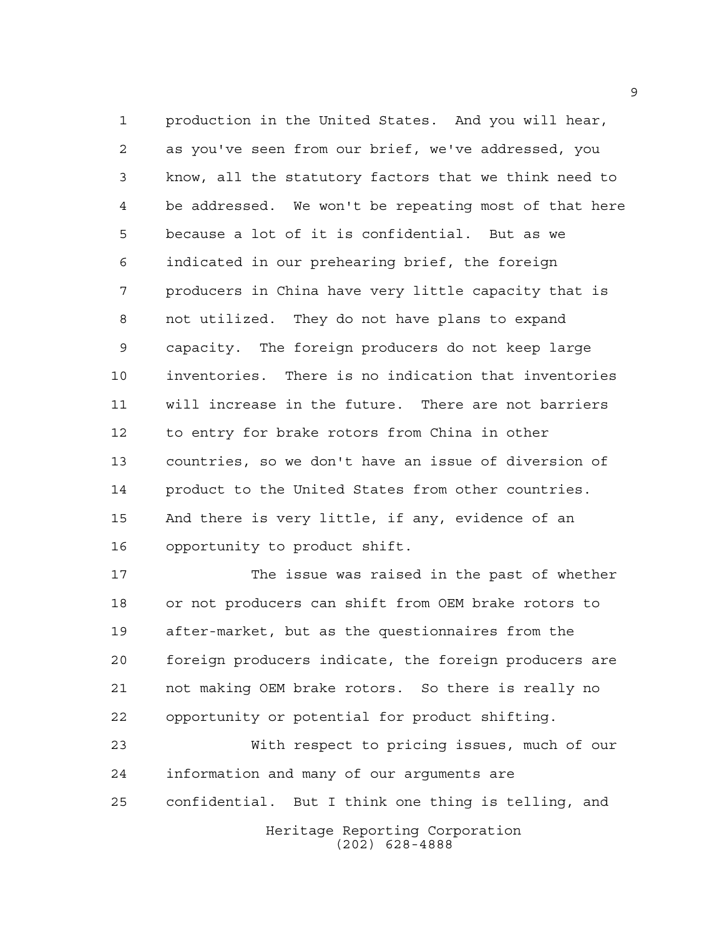production in the United States. And you will hear, as you've seen from our brief, we've addressed, you know, all the statutory factors that we think need to be addressed. We won't be repeating most of that here because a lot of it is confidential. But as we indicated in our prehearing brief, the foreign producers in China have very little capacity that is not utilized. They do not have plans to expand capacity. The foreign producers do not keep large inventories. There is no indication that inventories will increase in the future. There are not barriers to entry for brake rotors from China in other countries, so we don't have an issue of diversion of product to the United States from other countries. And there is very little, if any, evidence of an opportunity to product shift.

 The issue was raised in the past of whether or not producers can shift from OEM brake rotors to after-market, but as the questionnaires from the foreign producers indicate, the foreign producers are not making OEM brake rotors. So there is really no opportunity or potential for product shifting.

Heritage Reporting Corporation (202) 628-4888 With respect to pricing issues, much of our information and many of our arguments are confidential. But I think one thing is telling, and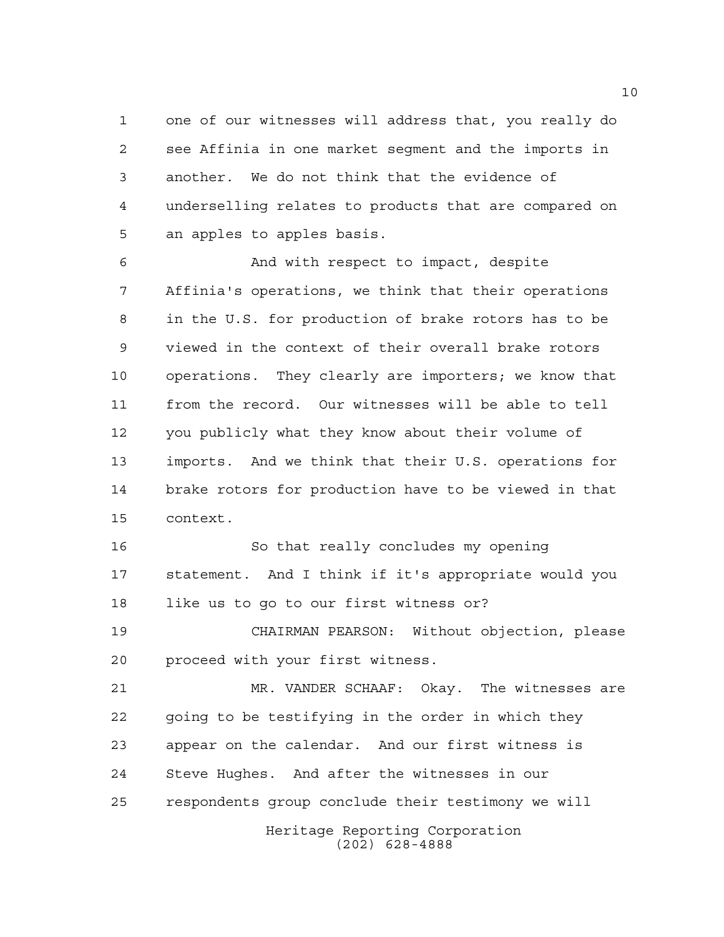one of our witnesses will address that, you really do see Affinia in one market segment and the imports in another. We do not think that the evidence of underselling relates to products that are compared on an apples to apples basis.

 And with respect to impact, despite Affinia's operations, we think that their operations in the U.S. for production of brake rotors has to be viewed in the context of their overall brake rotors operations. They clearly are importers; we know that from the record. Our witnesses will be able to tell you publicly what they know about their volume of imports. And we think that their U.S. operations for brake rotors for production have to be viewed in that context.

 So that really concludes my opening statement. And I think if it's appropriate would you like us to go to our first witness or?

 CHAIRMAN PEARSON: Without objection, please proceed with your first witness.

Heritage Reporting Corporation (202) 628-4888 MR. VANDER SCHAAF: Okay. The witnesses are going to be testifying in the order in which they appear on the calendar. And our first witness is Steve Hughes. And after the witnesses in our respondents group conclude their testimony we will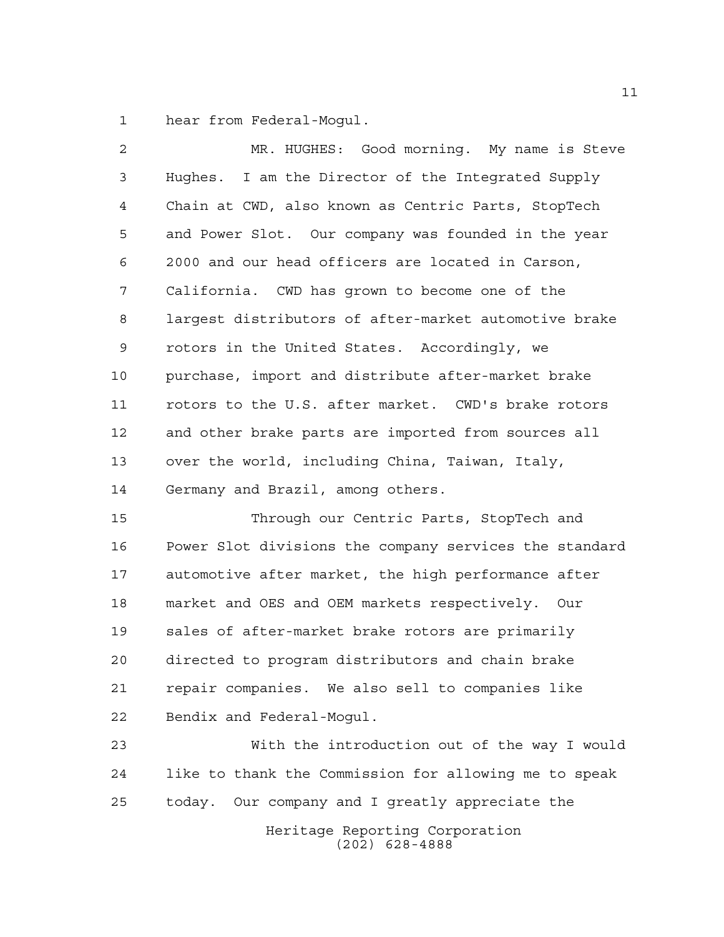hear from Federal-Mogul.

| $\overline{2}$ | MR. HUGHES: Good morning. My name is Steve             |
|----------------|--------------------------------------------------------|
| 3              | Hughes. I am the Director of the Integrated Supply     |
| $\overline{4}$ | Chain at CWD, also known as Centric Parts, StopTech    |
| 5              | and Power Slot. Our company was founded in the year    |
| 6              | 2000 and our head officers are located in Carson,      |
| 7              | California. CWD has grown to become one of the         |
| 8              | largest distributors of after-market automotive brake  |
| 9              | rotors in the United States. Accordingly, we           |
| 10             | purchase, import and distribute after-market brake     |
| 11             | rotors to the U.S. after market. CWD's brake rotors    |
| 12             | and other brake parts are imported from sources all    |
| 13             | over the world, including China, Taiwan, Italy,        |
| 14             | Germany and Brazil, among others.                      |
| 15             | Through our Centric Parts, StopTech and                |
| 16             | Dower Slot divisions the company services the standard |

 Power Slot divisions the company services the standard automotive after market, the high performance after market and OES and OEM markets respectively. Our sales of after-market brake rotors are primarily directed to program distributors and chain brake repair companies. We also sell to companies like Bendix and Federal-Mogul.

Heritage Reporting Corporation (202) 628-4888 With the introduction out of the way I would like to thank the Commission for allowing me to speak today. Our company and I greatly appreciate the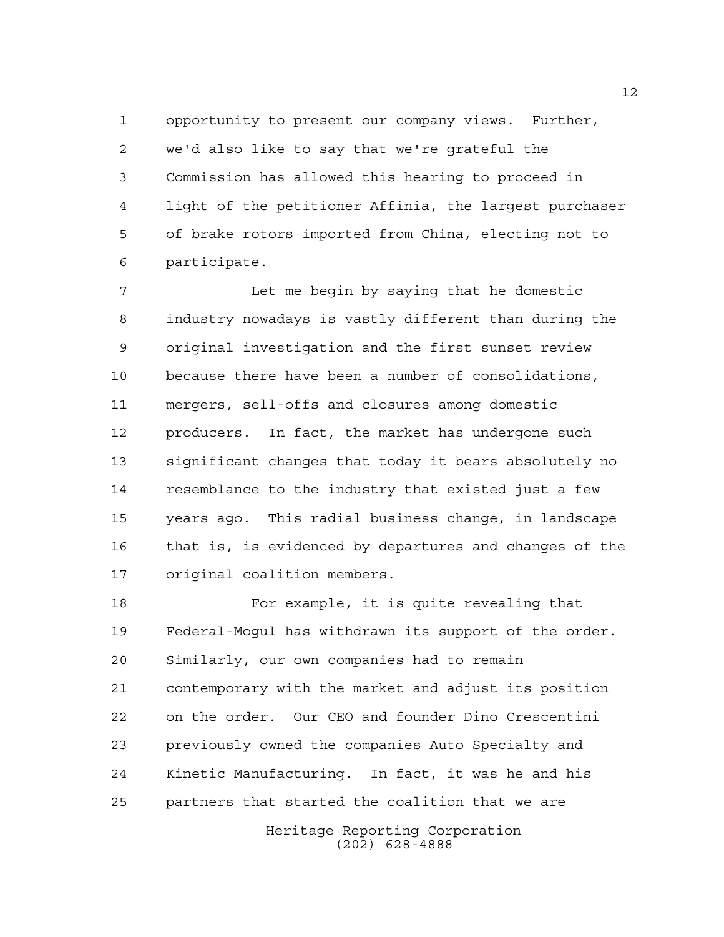opportunity to present our company views. Further, we'd also like to say that we're grateful the Commission has allowed this hearing to proceed in light of the petitioner Affinia, the largest purchaser of brake rotors imported from China, electing not to participate.

 Let me begin by saying that he domestic industry nowadays is vastly different than during the original investigation and the first sunset review because there have been a number of consolidations, mergers, sell-offs and closures among domestic producers. In fact, the market has undergone such significant changes that today it bears absolutely no resemblance to the industry that existed just a few years ago. This radial business change, in landscape that is, is evidenced by departures and changes of the original coalition members.

 For example, it is quite revealing that Federal-Mogul has withdrawn its support of the order. Similarly, our own companies had to remain contemporary with the market and adjust its position on the order. Our CEO and founder Dino Crescentini previously owned the companies Auto Specialty and Kinetic Manufacturing. In fact, it was he and his partners that started the coalition that we are

> Heritage Reporting Corporation (202) 628-4888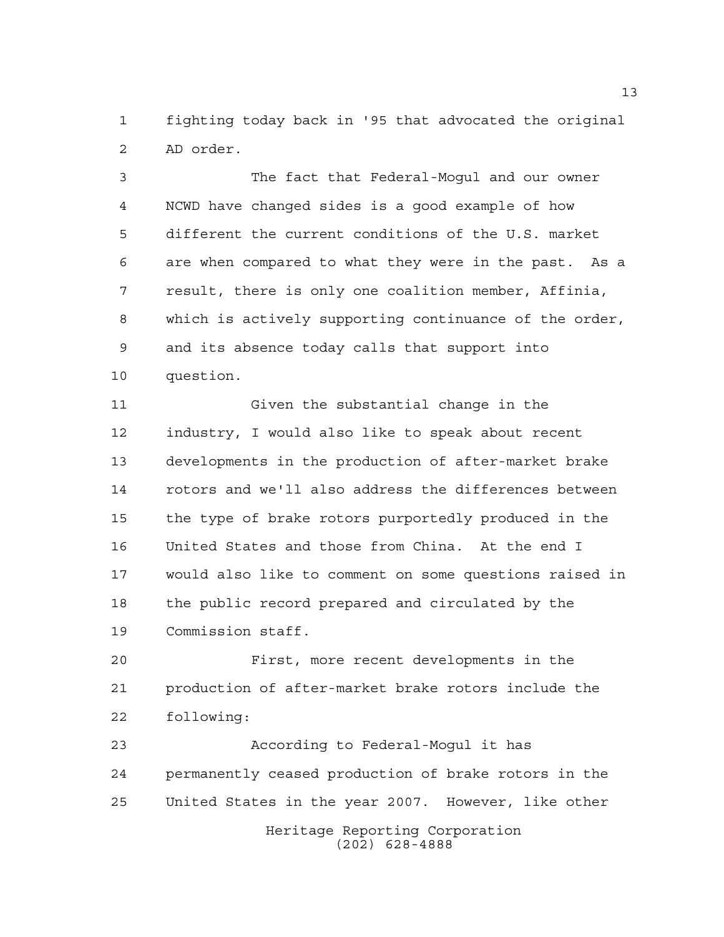fighting today back in '95 that advocated the original AD order.

 The fact that Federal-Mogul and our owner NCWD have changed sides is a good example of how different the current conditions of the U.S. market are when compared to what they were in the past. As a result, there is only one coalition member, Affinia, which is actively supporting continuance of the order, and its absence today calls that support into question.

 Given the substantial change in the industry, I would also like to speak about recent developments in the production of after-market brake rotors and we'll also address the differences between the type of brake rotors purportedly produced in the United States and those from China. At the end I would also like to comment on some questions raised in the public record prepared and circulated by the Commission staff.

 First, more recent developments in the production of after-market brake rotors include the following:

Heritage Reporting Corporation (202) 628-4888 According to Federal-Mogul it has permanently ceased production of brake rotors in the United States in the year 2007. However, like other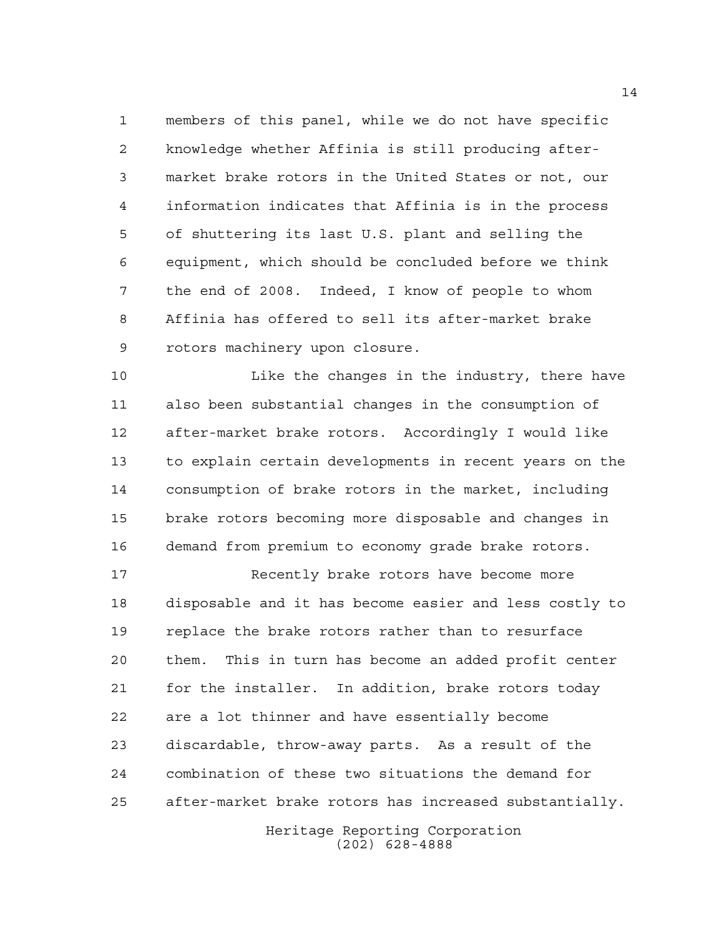members of this panel, while we do not have specific knowledge whether Affinia is still producing after- market brake rotors in the United States or not, our information indicates that Affinia is in the process of shuttering its last U.S. plant and selling the equipment, which should be concluded before we think the end of 2008. Indeed, I know of people to whom Affinia has offered to sell its after-market brake rotors machinery upon closure.

 Like the changes in the industry, there have also been substantial changes in the consumption of after-market brake rotors. Accordingly I would like to explain certain developments in recent years on the consumption of brake rotors in the market, including brake rotors becoming more disposable and changes in demand from premium to economy grade brake rotors.

 Recently brake rotors have become more disposable and it has become easier and less costly to replace the brake rotors rather than to resurface them. This in turn has become an added profit center for the installer. In addition, brake rotors today are a lot thinner and have essentially become discardable, throw-away parts. As a result of the combination of these two situations the demand for after-market brake rotors has increased substantially.

> Heritage Reporting Corporation (202) 628-4888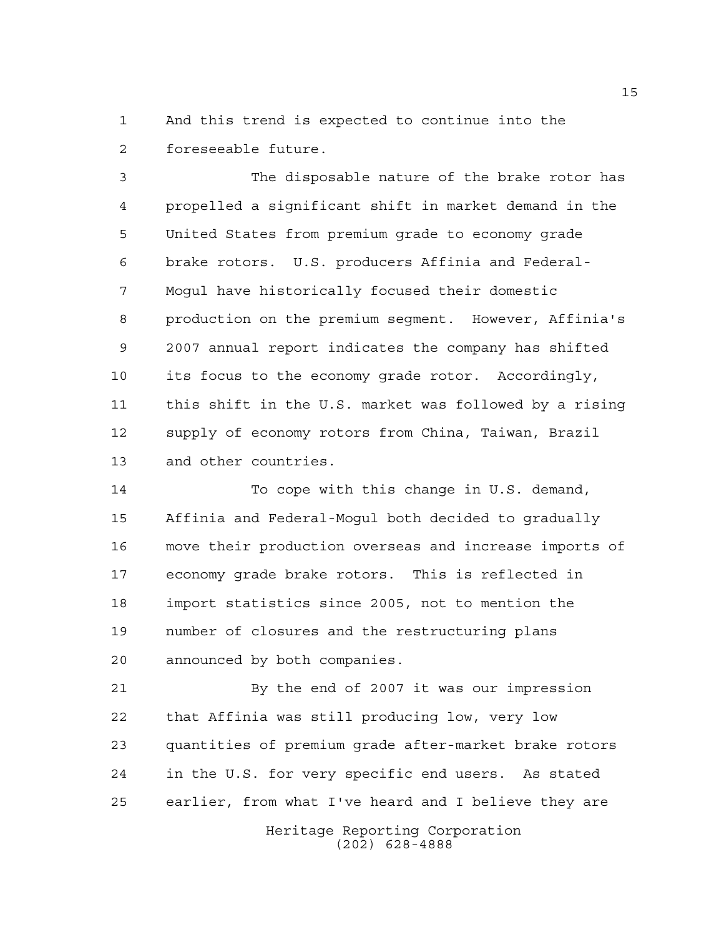And this trend is expected to continue into the foreseeable future.

 The disposable nature of the brake rotor has propelled a significant shift in market demand in the United States from premium grade to economy grade brake rotors. U.S. producers Affinia and Federal- Mogul have historically focused their domestic production on the premium segment. However, Affinia's 2007 annual report indicates the company has shifted its focus to the economy grade rotor. Accordingly, this shift in the U.S. market was followed by a rising supply of economy rotors from China, Taiwan, Brazil and other countries.

 To cope with this change in U.S. demand, Affinia and Federal-Mogul both decided to gradually move their production overseas and increase imports of economy grade brake rotors. This is reflected in import statistics since 2005, not to mention the number of closures and the restructuring plans announced by both companies.

 By the end of 2007 it was our impression that Affinia was still producing low, very low quantities of premium grade after-market brake rotors in the U.S. for very specific end users. As stated earlier, from what I've heard and I believe they are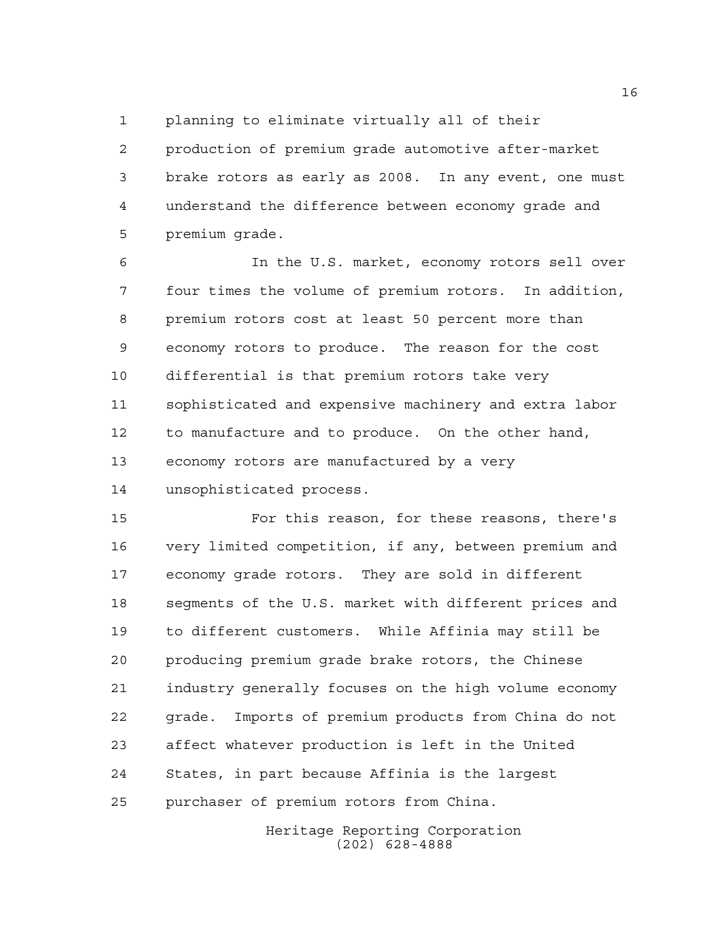planning to eliminate virtually all of their

 production of premium grade automotive after-market brake rotors as early as 2008. In any event, one must understand the difference between economy grade and premium grade.

 In the U.S. market, economy rotors sell over four times the volume of premium rotors. In addition, premium rotors cost at least 50 percent more than economy rotors to produce. The reason for the cost differential is that premium rotors take very sophisticated and expensive machinery and extra labor to manufacture and to produce. On the other hand, economy rotors are manufactured by a very unsophisticated process.

 For this reason, for these reasons, there's very limited competition, if any, between premium and economy grade rotors. They are sold in different segments of the U.S. market with different prices and to different customers. While Affinia may still be producing premium grade brake rotors, the Chinese industry generally focuses on the high volume economy grade. Imports of premium products from China do not affect whatever production is left in the United States, in part because Affinia is the largest purchaser of premium rotors from China.

> Heritage Reporting Corporation (202) 628-4888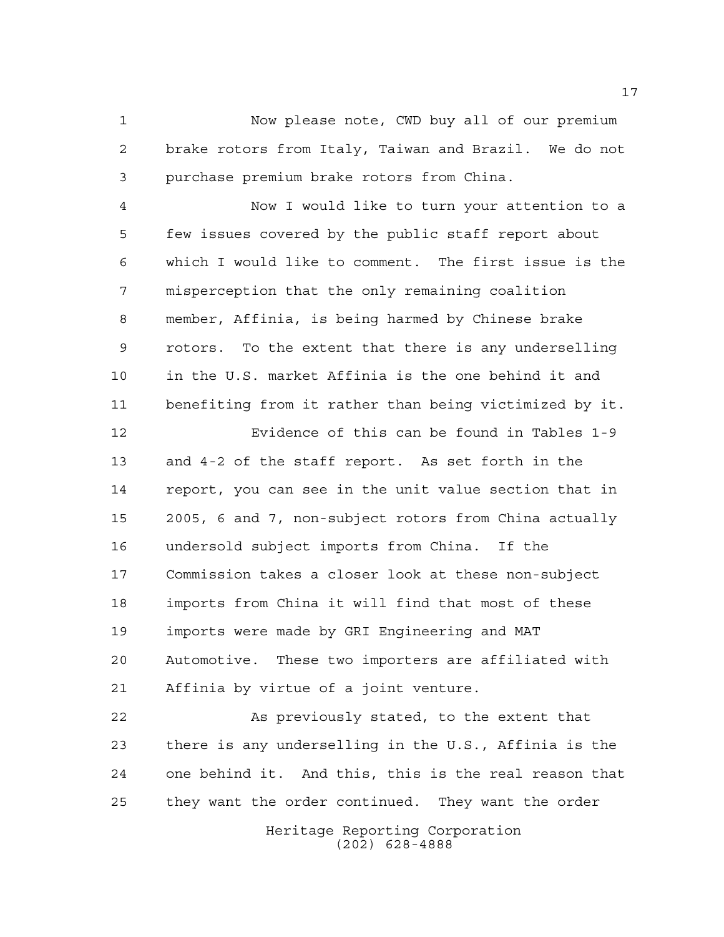Now please note, CWD buy all of our premium brake rotors from Italy, Taiwan and Brazil. We do not purchase premium brake rotors from China.

 Now I would like to turn your attention to a few issues covered by the public staff report about which I would like to comment. The first issue is the misperception that the only remaining coalition member, Affinia, is being harmed by Chinese brake rotors. To the extent that there is any underselling in the U.S. market Affinia is the one behind it and benefiting from it rather than being victimized by it.

 Evidence of this can be found in Tables 1-9 and 4-2 of the staff report. As set forth in the report, you can see in the unit value section that in 2005, 6 and 7, non-subject rotors from China actually undersold subject imports from China. If the Commission takes a closer look at these non-subject imports from China it will find that most of these imports were made by GRI Engineering and MAT Automotive. These two importers are affiliated with Affinia by virtue of a joint venture.

 As previously stated, to the extent that there is any underselling in the U.S., Affinia is the one behind it. And this, this is the real reason that they want the order continued. They want the order

> Heritage Reporting Corporation (202) 628-4888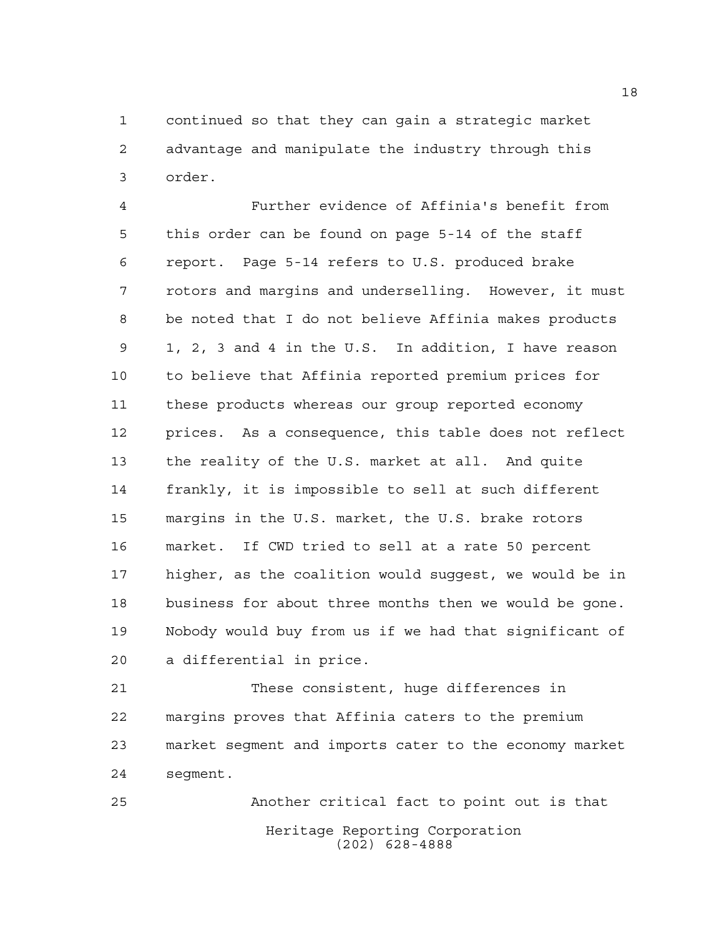continued so that they can gain a strategic market advantage and manipulate the industry through this order.

 Further evidence of Affinia's benefit from this order can be found on page 5-14 of the staff report. Page 5-14 refers to U.S. produced brake rotors and margins and underselling. However, it must be noted that I do not believe Affinia makes products 1, 2, 3 and 4 in the U.S. In addition, I have reason to believe that Affinia reported premium prices for these products whereas our group reported economy prices. As a consequence, this table does not reflect the reality of the U.S. market at all. And quite frankly, it is impossible to sell at such different margins in the U.S. market, the U.S. brake rotors market. If CWD tried to sell at a rate 50 percent higher, as the coalition would suggest, we would be in business for about three months then we would be gone. Nobody would buy from us if we had that significant of a differential in price.

 These consistent, huge differences in margins proves that Affinia caters to the premium market segment and imports cater to the economy market segment.

Heritage Reporting Corporation (202) 628-4888 Another critical fact to point out is that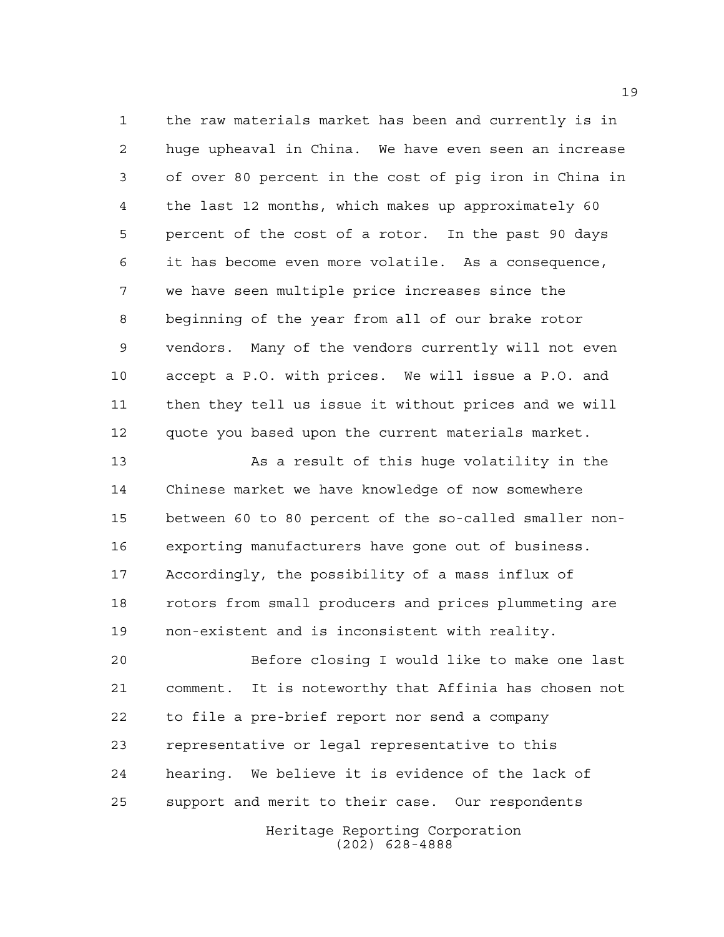the raw materials market has been and currently is in huge upheaval in China. We have even seen an increase of over 80 percent in the cost of pig iron in China in the last 12 months, which makes up approximately 60 percent of the cost of a rotor. In the past 90 days it has become even more volatile. As a consequence, we have seen multiple price increases since the beginning of the year from all of our brake rotor vendors. Many of the vendors currently will not even accept a P.O. with prices. We will issue a P.O. and then they tell us issue it without prices and we will quote you based upon the current materials market.

 As a result of this huge volatility in the Chinese market we have knowledge of now somewhere between 60 to 80 percent of the so-called smaller non- exporting manufacturers have gone out of business. Accordingly, the possibility of a mass influx of rotors from small producers and prices plummeting are non-existent and is inconsistent with reality.

 Before closing I would like to make one last comment. It is noteworthy that Affinia has chosen not to file a pre-brief report nor send a company representative or legal representative to this hearing. We believe it is evidence of the lack of support and merit to their case. Our respondents

Heritage Reporting Corporation (202) 628-4888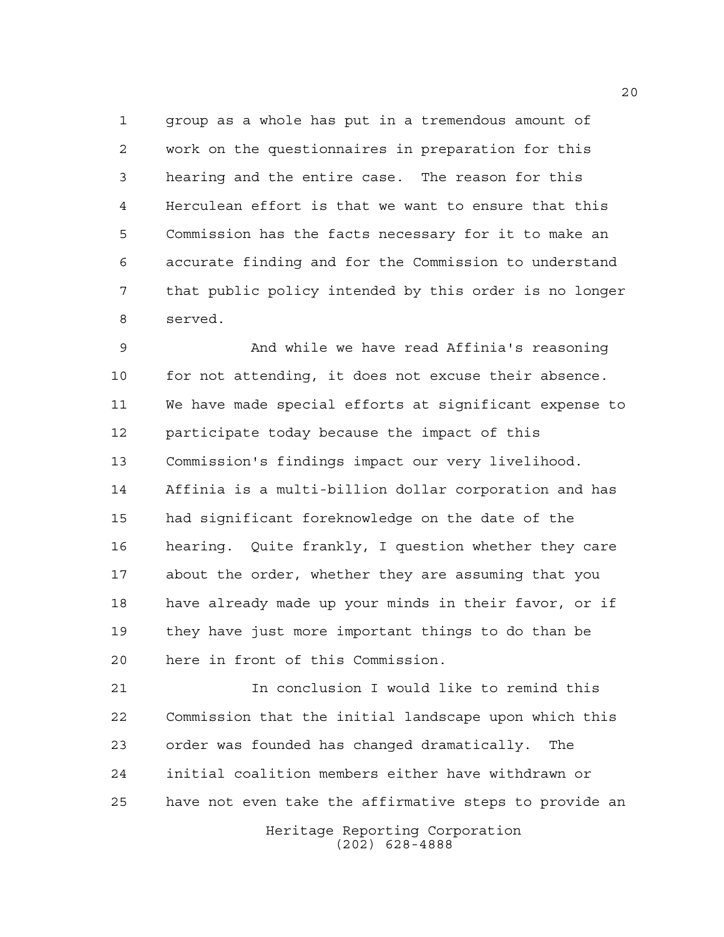group as a whole has put in a tremendous amount of work on the questionnaires in preparation for this hearing and the entire case. The reason for this Herculean effort is that we want to ensure that this Commission has the facts necessary for it to make an accurate finding and for the Commission to understand that public policy intended by this order is no longer served.

 And while we have read Affinia's reasoning for not attending, it does not excuse their absence. We have made special efforts at significant expense to participate today because the impact of this Commission's findings impact our very livelihood. Affinia is a multi-billion dollar corporation and has had significant foreknowledge on the date of the hearing. Quite frankly, I question whether they care about the order, whether they are assuming that you have already made up your minds in their favor, or if they have just more important things to do than be here in front of this Commission.

 In conclusion I would like to remind this Commission that the initial landscape upon which this order was founded has changed dramatically. The initial coalition members either have withdrawn or have not even take the affirmative steps to provide an

> Heritage Reporting Corporation (202) 628-4888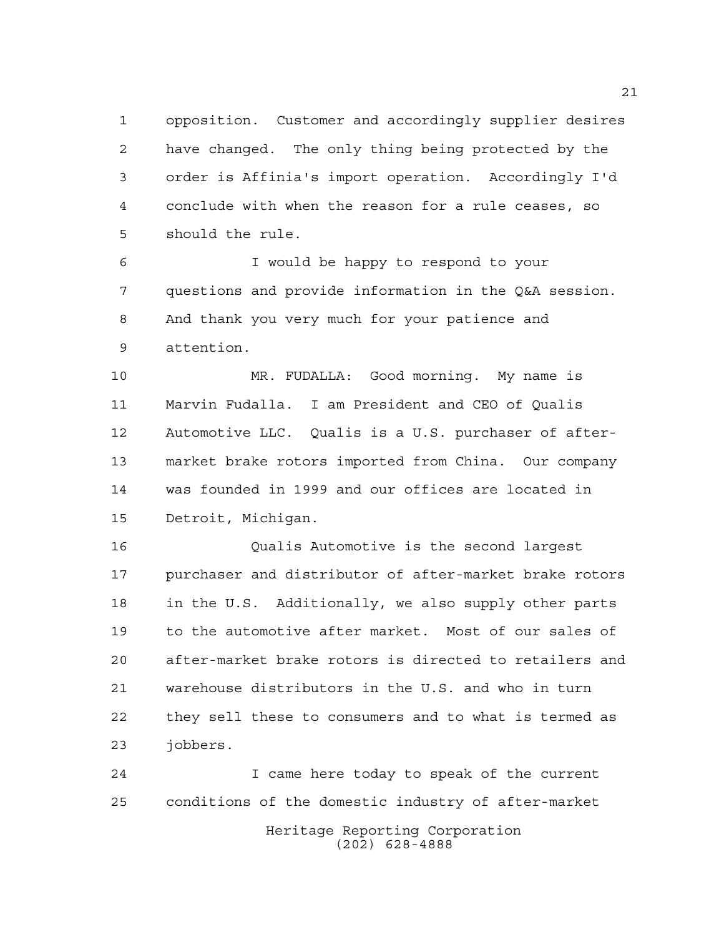opposition. Customer and accordingly supplier desires have changed. The only thing being protected by the order is Affinia's import operation. Accordingly I'd conclude with when the reason for a rule ceases, so should the rule.

 I would be happy to respond to your questions and provide information in the Q&A session. And thank you very much for your patience and attention.

 MR. FUDALLA: Good morning. My name is Marvin Fudalla. I am President and CEO of Qualis Automotive LLC. Qualis is a U.S. purchaser of after- market brake rotors imported from China. Our company was founded in 1999 and our offices are located in Detroit, Michigan.

 Qualis Automotive is the second largest purchaser and distributor of after-market brake rotors in the U.S. Additionally, we also supply other parts to the automotive after market. Most of our sales of after-market brake rotors is directed to retailers and warehouse distributors in the U.S. and who in turn they sell these to consumers and to what is termed as jobbers.

Heritage Reporting Corporation (202) 628-4888 I came here today to speak of the current conditions of the domestic industry of after-market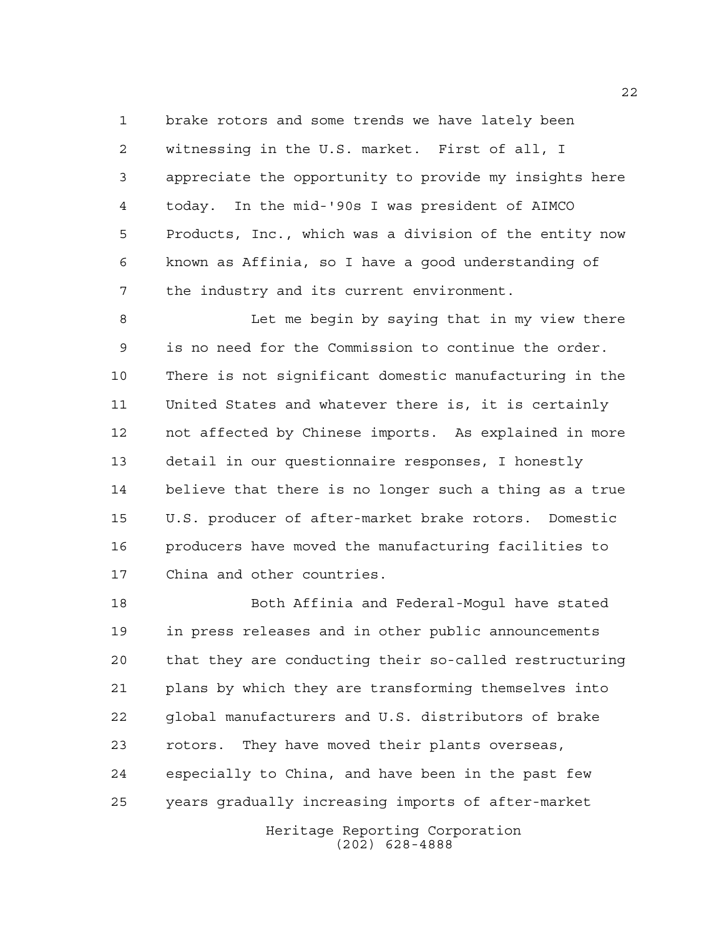brake rotors and some trends we have lately been witnessing in the U.S. market. First of all, I appreciate the opportunity to provide my insights here today. In the mid-'90s I was president of AIMCO Products, Inc., which was a division of the entity now known as Affinia, so I have a good understanding of the industry and its current environment.

 Let me begin by saying that in my view there is no need for the Commission to continue the order. There is not significant domestic manufacturing in the United States and whatever there is, it is certainly not affected by Chinese imports. As explained in more detail in our questionnaire responses, I honestly believe that there is no longer such a thing as a true U.S. producer of after-market brake rotors. Domestic producers have moved the manufacturing facilities to China and other countries.

 Both Affinia and Federal-Mogul have stated in press releases and in other public announcements that they are conducting their so-called restructuring plans by which they are transforming themselves into global manufacturers and U.S. distributors of brake rotors. They have moved their plants overseas, especially to China, and have been in the past few years gradually increasing imports of after-market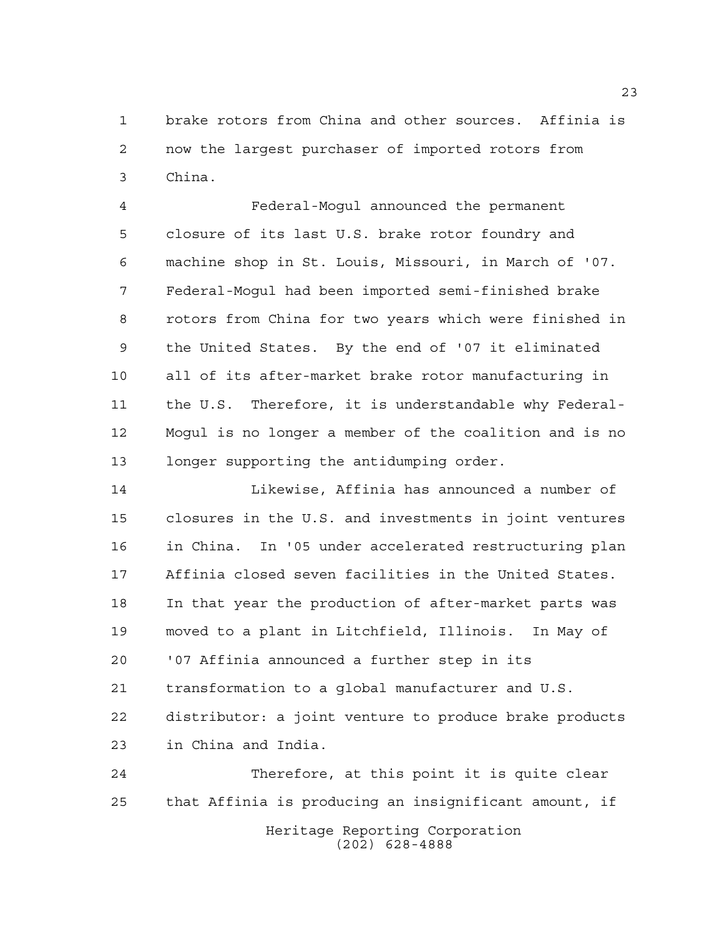brake rotors from China and other sources. Affinia is now the largest purchaser of imported rotors from China.

 Federal-Mogul announced the permanent closure of its last U.S. brake rotor foundry and machine shop in St. Louis, Missouri, in March of '07. Federal-Mogul had been imported semi-finished brake rotors from China for two years which were finished in the United States. By the end of '07 it eliminated all of its after-market brake rotor manufacturing in the U.S. Therefore, it is understandable why Federal- Mogul is no longer a member of the coalition and is no longer supporting the antidumping order.

 Likewise, Affinia has announced a number of closures in the U.S. and investments in joint ventures in China. In '05 under accelerated restructuring plan Affinia closed seven facilities in the United States. In that year the production of after-market parts was moved to a plant in Litchfield, Illinois. In May of '07 Affinia announced a further step in its transformation to a global manufacturer and U.S. distributor: a joint venture to produce brake products in China and India.

Heritage Reporting Corporation (202) 628-4888 Therefore, at this point it is quite clear that Affinia is producing an insignificant amount, if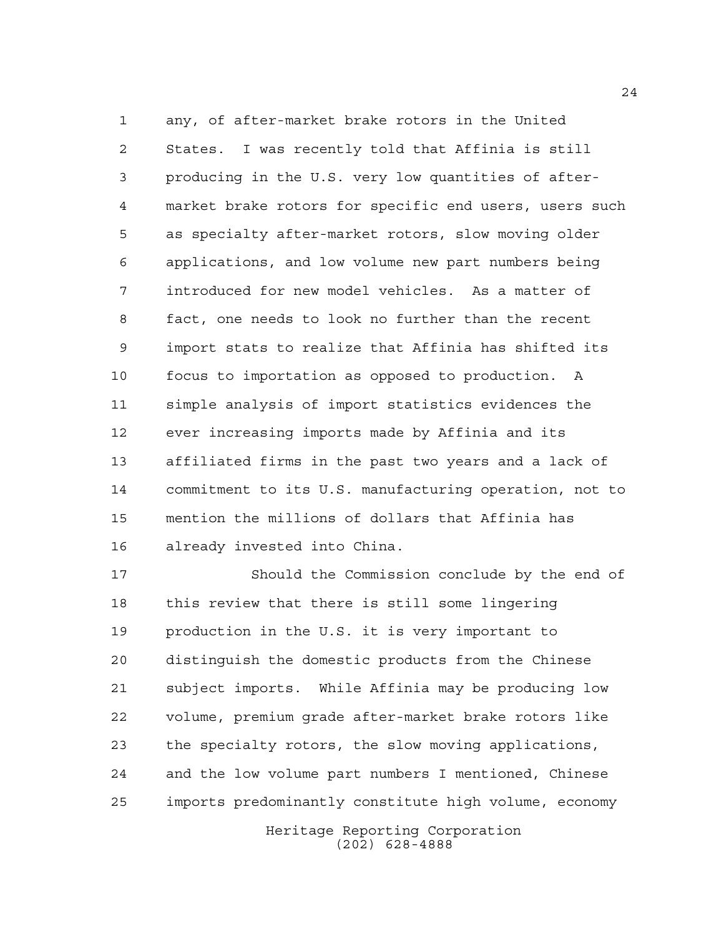any, of after-market brake rotors in the United States. I was recently told that Affinia is still producing in the U.S. very low quantities of after- market brake rotors for specific end users, users such as specialty after-market rotors, slow moving older applications, and low volume new part numbers being introduced for new model vehicles. As a matter of fact, one needs to look no further than the recent import stats to realize that Affinia has shifted its focus to importation as opposed to production. A simple analysis of import statistics evidences the ever increasing imports made by Affinia and its affiliated firms in the past two years and a lack of commitment to its U.S. manufacturing operation, not to mention the millions of dollars that Affinia has already invested into China.

 Should the Commission conclude by the end of this review that there is still some lingering production in the U.S. it is very important to distinguish the domestic products from the Chinese subject imports. While Affinia may be producing low volume, premium grade after-market brake rotors like the specialty rotors, the slow moving applications, and the low volume part numbers I mentioned, Chinese imports predominantly constitute high volume, economy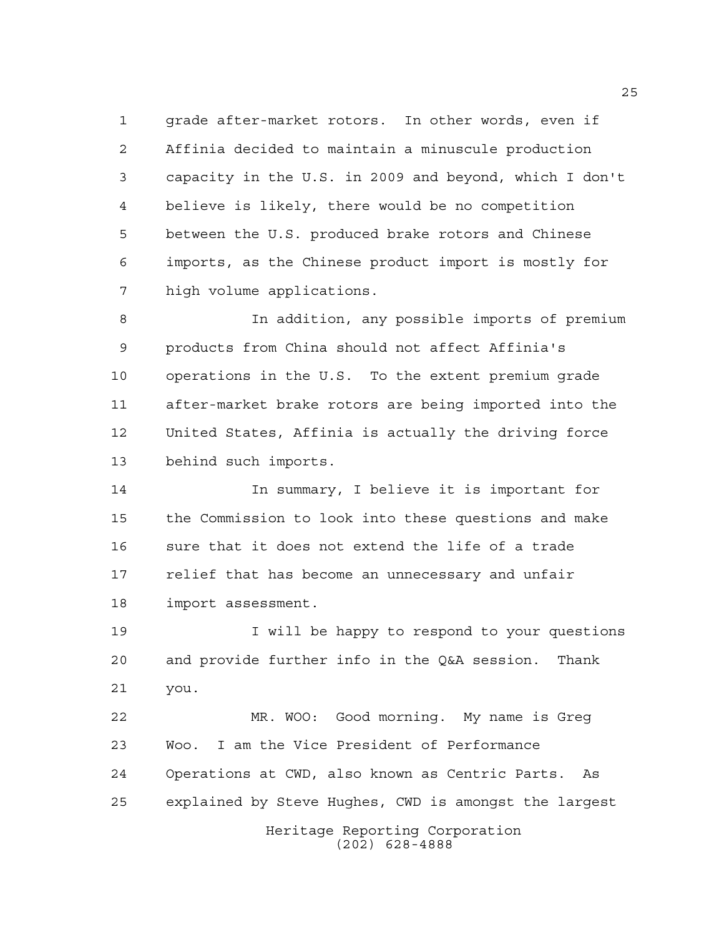grade after-market rotors. In other words, even if Affinia decided to maintain a minuscule production capacity in the U.S. in 2009 and beyond, which I don't believe is likely, there would be no competition between the U.S. produced brake rotors and Chinese imports, as the Chinese product import is mostly for high volume applications.

 In addition, any possible imports of premium products from China should not affect Affinia's operations in the U.S. To the extent premium grade after-market brake rotors are being imported into the United States, Affinia is actually the driving force behind such imports.

 In summary, I believe it is important for the Commission to look into these questions and make sure that it does not extend the life of a trade relief that has become an unnecessary and unfair import assessment.

19 19 I will be happy to respond to your questions and provide further info in the Q&A session. Thank you.

Heritage Reporting Corporation MR. WOO: Good morning. My name is Greg Woo. I am the Vice President of Performance Operations at CWD, also known as Centric Parts. As explained by Steve Hughes, CWD is amongst the largest

(202) 628-4888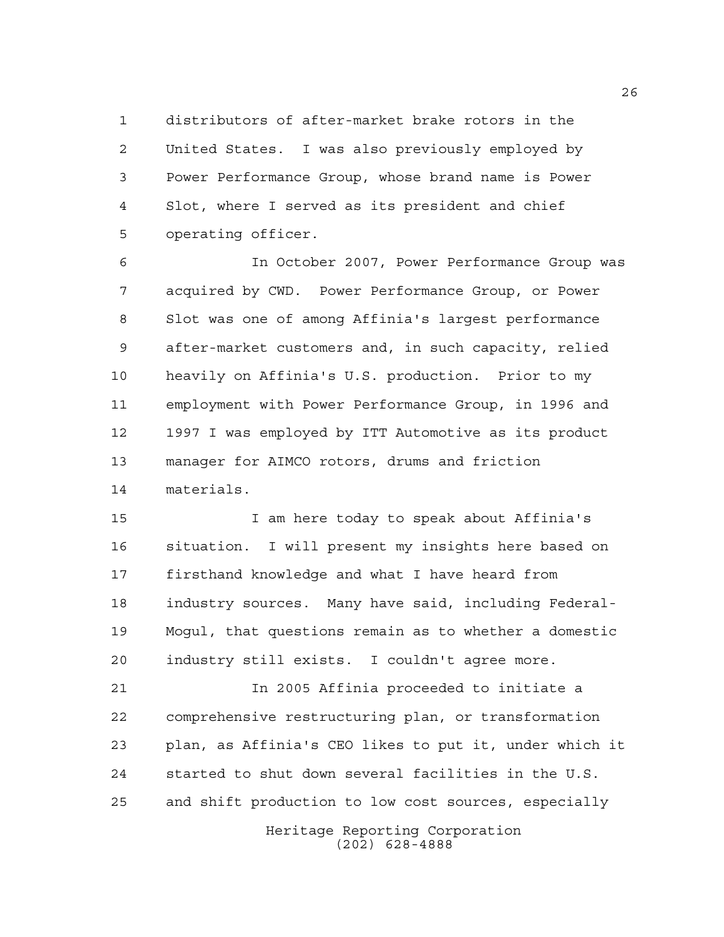distributors of after-market brake rotors in the United States. I was also previously employed by Power Performance Group, whose brand name is Power Slot, where I served as its president and chief operating officer.

 In October 2007, Power Performance Group was acquired by CWD. Power Performance Group, or Power Slot was one of among Affinia's largest performance after-market customers and, in such capacity, relied heavily on Affinia's U.S. production. Prior to my employment with Power Performance Group, in 1996 and 1997 I was employed by ITT Automotive as its product manager for AIMCO rotors, drums and friction materials.

 I am here today to speak about Affinia's situation. I will present my insights here based on firsthand knowledge and what I have heard from industry sources. Many have said, including Federal- Mogul, that questions remain as to whether a domestic industry still exists. I couldn't agree more.

 In 2005 Affinia proceeded to initiate a comprehensive restructuring plan, or transformation plan, as Affinia's CEO likes to put it, under which it started to shut down several facilities in the U.S. and shift production to low cost sources, especially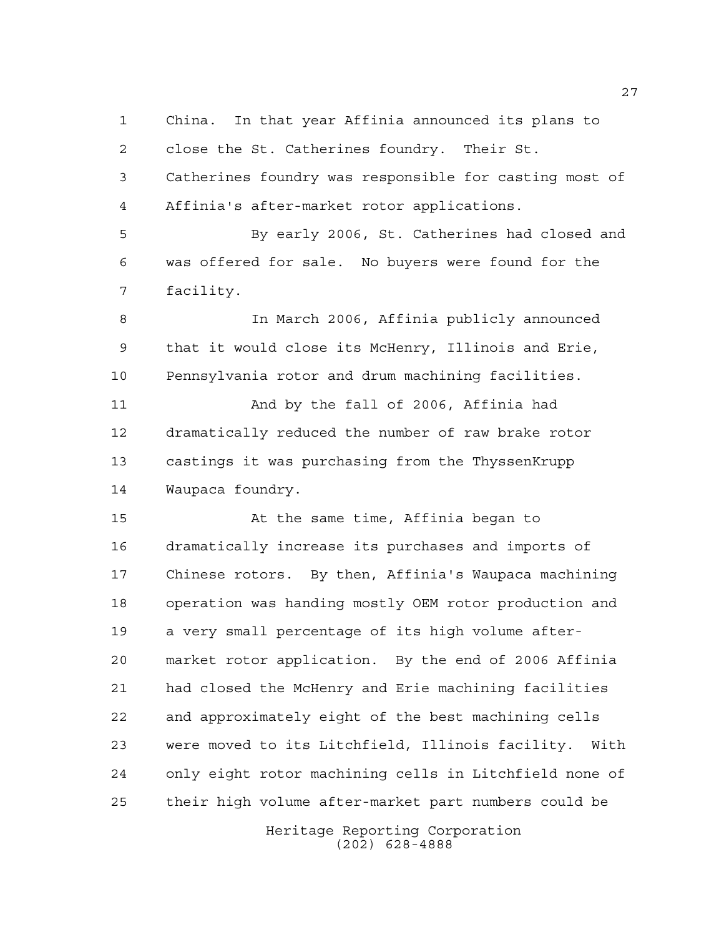China. In that year Affinia announced its plans to close the St. Catherines foundry. Their St. Catherines foundry was responsible for casting most of Affinia's after-market rotor applications. By early 2006, St. Catherines had closed and was offered for sale. No buyers were found for the facility. In March 2006, Affinia publicly announced that it would close its McHenry, Illinois and Erie, Pennsylvania rotor and drum machining facilities. And by the fall of 2006, Affinia had dramatically reduced the number of raw brake rotor castings it was purchasing from the ThyssenKrupp Waupaca foundry. At the same time, Affinia began to dramatically increase its purchases and imports of Chinese rotors. By then, Affinia's Waupaca machining operation was handing mostly OEM rotor production and a very small percentage of its high volume after- market rotor application. By the end of 2006 Affinia had closed the McHenry and Erie machining facilities and approximately eight of the best machining cells were moved to its Litchfield, Illinois facility. With

their high volume after-market part numbers could be

only eight rotor machining cells in Litchfield none of

Heritage Reporting Corporation (202) 628-4888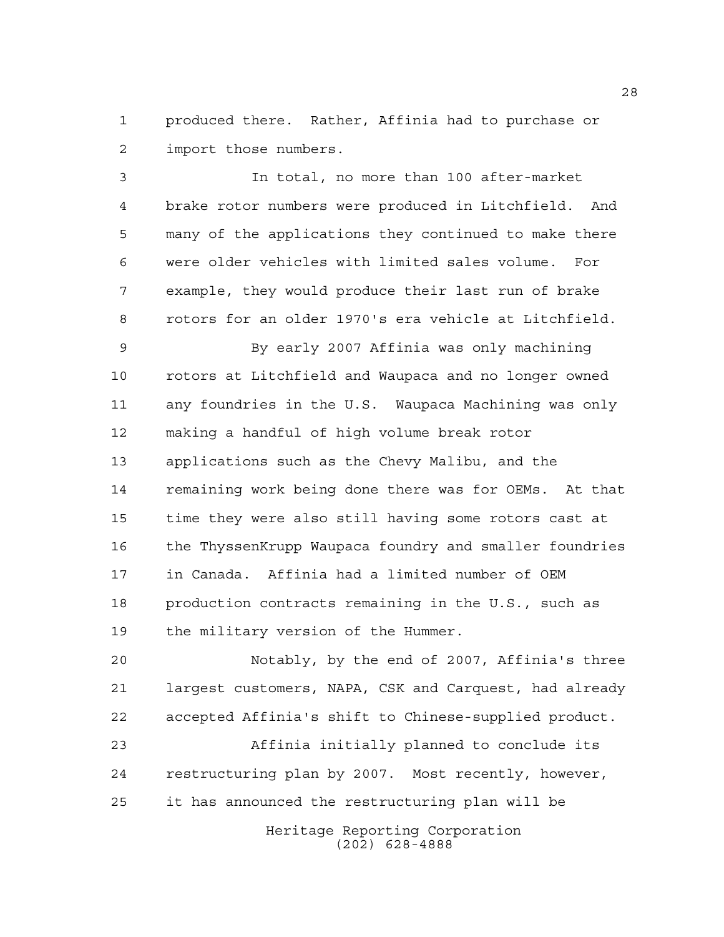produced there. Rather, Affinia had to purchase or import those numbers.

 In total, no more than 100 after-market brake rotor numbers were produced in Litchfield. And many of the applications they continued to make there were older vehicles with limited sales volume. For example, they would produce their last run of brake rotors for an older 1970's era vehicle at Litchfield.

 By early 2007 Affinia was only machining rotors at Litchfield and Waupaca and no longer owned any foundries in the U.S. Waupaca Machining was only making a handful of high volume break rotor applications such as the Chevy Malibu, and the remaining work being done there was for OEMs. At that time they were also still having some rotors cast at the ThyssenKrupp Waupaca foundry and smaller foundries in Canada. Affinia had a limited number of OEM production contracts remaining in the U.S., such as the military version of the Hummer.

 Notably, by the end of 2007, Affinia's three largest customers, NAPA, CSK and Carquest, had already accepted Affinia's shift to Chinese-supplied product.

 Affinia initially planned to conclude its restructuring plan by 2007. Most recently, however, it has announced the restructuring plan will be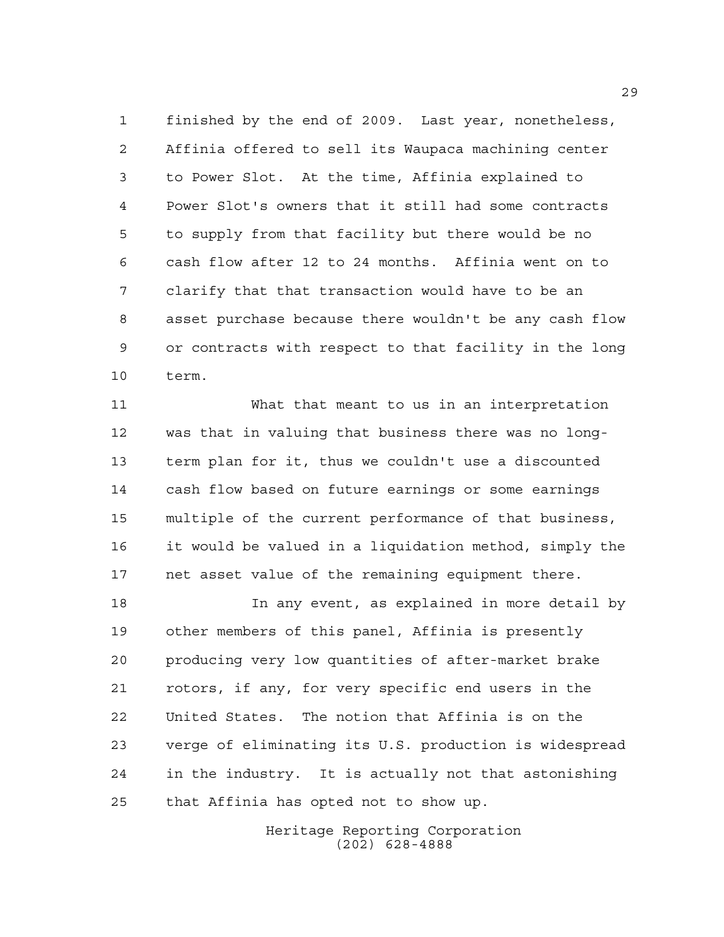finished by the end of 2009. Last year, nonetheless, Affinia offered to sell its Waupaca machining center to Power Slot. At the time, Affinia explained to Power Slot's owners that it still had some contracts to supply from that facility but there would be no cash flow after 12 to 24 months. Affinia went on to clarify that that transaction would have to be an asset purchase because there wouldn't be any cash flow or contracts with respect to that facility in the long term.

 What that meant to us in an interpretation was that in valuing that business there was no long- term plan for it, thus we couldn't use a discounted cash flow based on future earnings or some earnings multiple of the current performance of that business, it would be valued in a liquidation method, simply the net asset value of the remaining equipment there.

 In any event, as explained in more detail by other members of this panel, Affinia is presently producing very low quantities of after-market brake rotors, if any, for very specific end users in the United States. The notion that Affinia is on the verge of eliminating its U.S. production is widespread in the industry. It is actually not that astonishing that Affinia has opted not to show up.

> Heritage Reporting Corporation (202) 628-4888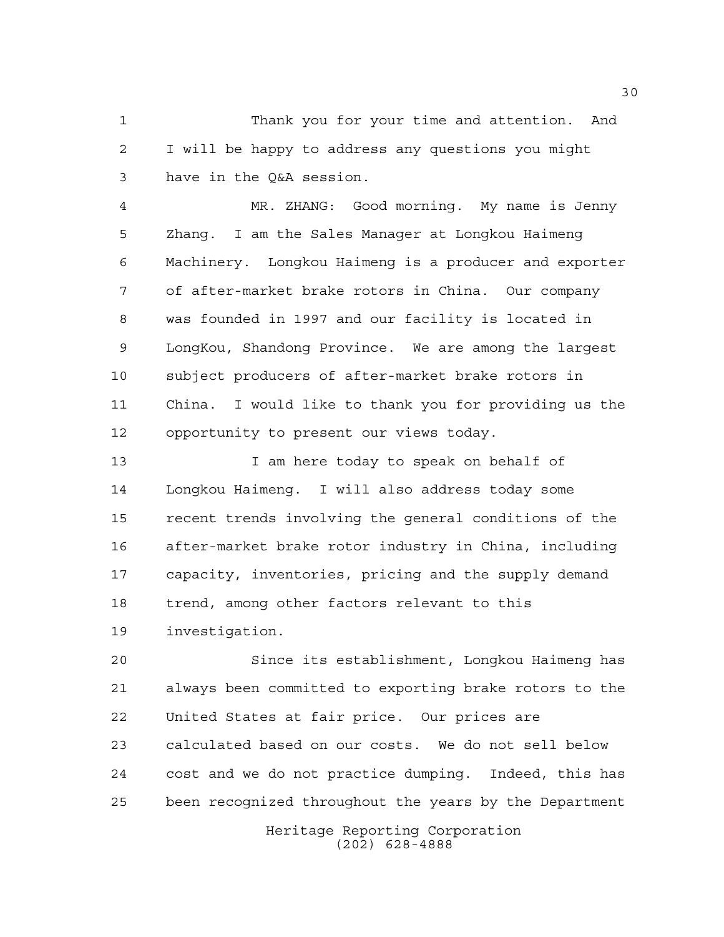Thank you for your time and attention. And I will be happy to address any questions you might have in the Q&A session.

 MR. ZHANG: Good morning. My name is Jenny Zhang. I am the Sales Manager at Longkou Haimeng Machinery. Longkou Haimeng is a producer and exporter of after-market brake rotors in China. Our company was founded in 1997 and our facility is located in LongKou, Shandong Province. We are among the largest subject producers of after-market brake rotors in China. I would like to thank you for providing us the opportunity to present our views today.

 I am here today to speak on behalf of Longkou Haimeng. I will also address today some recent trends involving the general conditions of the after-market brake rotor industry in China, including capacity, inventories, pricing and the supply demand trend, among other factors relevant to this investigation.

 Since its establishment, Longkou Haimeng has always been committed to exporting brake rotors to the United States at fair price. Our prices are calculated based on our costs. We do not sell below cost and we do not practice dumping. Indeed, this has been recognized throughout the years by the Department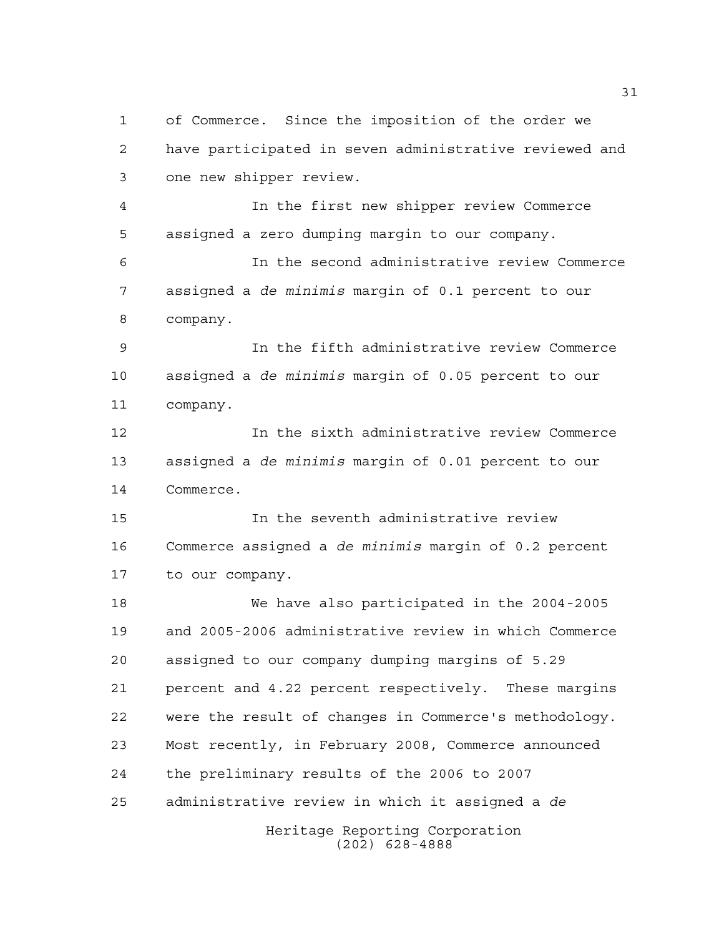Heritage Reporting Corporation of Commerce. Since the imposition of the order we have participated in seven administrative reviewed and one new shipper review. In the first new shipper review Commerce assigned a zero dumping margin to our company. In the second administrative review Commerce assigned a *de minimis* margin of 0.1 percent to our company. In the fifth administrative review Commerce assigned a *de minimis* margin of 0.05 percent to our company. In the sixth administrative review Commerce assigned a *de minimis* margin of 0.01 percent to our Commerce. In the seventh administrative review Commerce assigned a *de minimis* margin of 0.2 percent to our company. We have also participated in the 2004-2005 and 2005-2006 administrative review in which Commerce assigned to our company dumping margins of 5.29 percent and 4.22 percent respectively. These margins were the result of changes in Commerce's methodology. Most recently, in February 2008, Commerce announced the preliminary results of the 2006 to 2007 administrative review in which it assigned a *de*

(202) 628-4888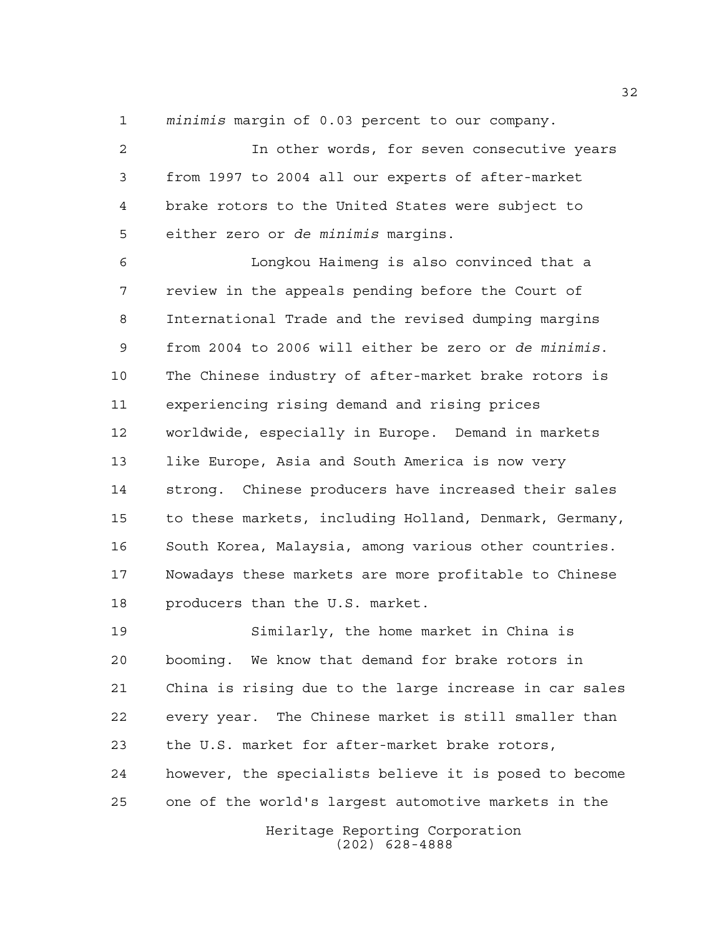*minimis* margin of 0.03 percent to our company.

 In other words, for seven consecutive years from 1997 to 2004 all our experts of after-market brake rotors to the United States were subject to either zero or *de minimis* margins.

 Longkou Haimeng is also convinced that a review in the appeals pending before the Court of International Trade and the revised dumping margins from 2004 to 2006 will either be zero or *de minimis*. The Chinese industry of after-market brake rotors is experiencing rising demand and rising prices worldwide, especially in Europe. Demand in markets like Europe, Asia and South America is now very strong. Chinese producers have increased their sales to these markets, including Holland, Denmark, Germany, South Korea, Malaysia, among various other countries. Nowadays these markets are more profitable to Chinese producers than the U.S. market.

 Similarly, the home market in China is booming. We know that demand for brake rotors in China is rising due to the large increase in car sales every year. The Chinese market is still smaller than the U.S. market for after-market brake rotors, however, the specialists believe it is posed to become one of the world's largest automotive markets in the

> Heritage Reporting Corporation (202) 628-4888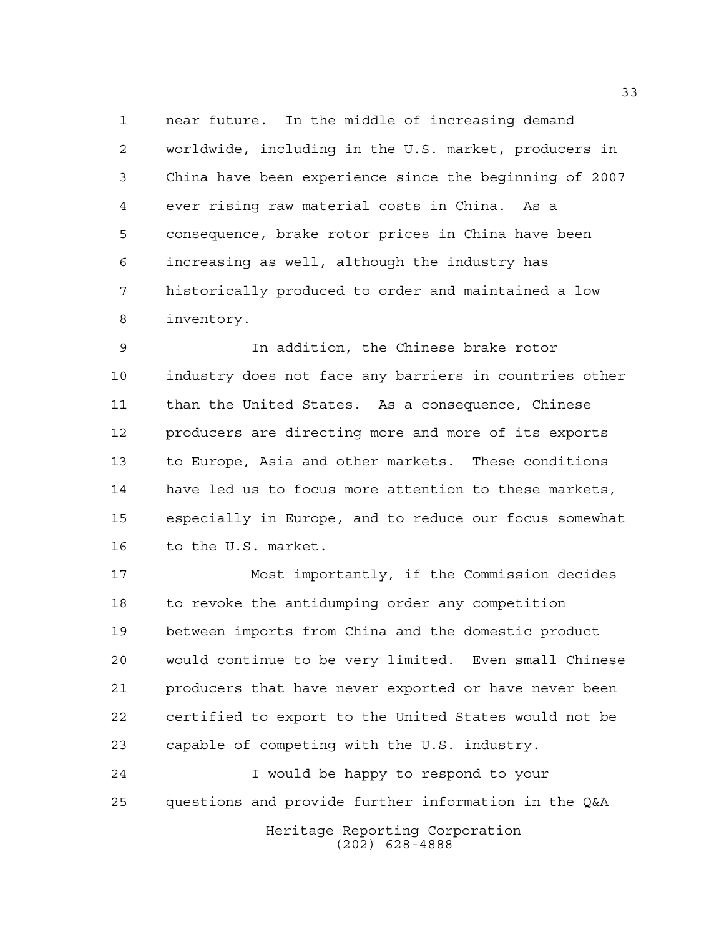near future. In the middle of increasing demand worldwide, including in the U.S. market, producers in China have been experience since the beginning of 2007 ever rising raw material costs in China. As a consequence, brake rotor prices in China have been increasing as well, although the industry has historically produced to order and maintained a low inventory.

 In addition, the Chinese brake rotor industry does not face any barriers in countries other than the United States. As a consequence, Chinese producers are directing more and more of its exports to Europe, Asia and other markets. These conditions have led us to focus more attention to these markets, especially in Europe, and to reduce our focus somewhat to the U.S. market.

 Most importantly, if the Commission decides to revoke the antidumping order any competition between imports from China and the domestic product would continue to be very limited. Even small Chinese producers that have never exported or have never been certified to export to the United States would not be capable of competing with the U.S. industry.

 I would be happy to respond to your questions and provide further information in the Q&A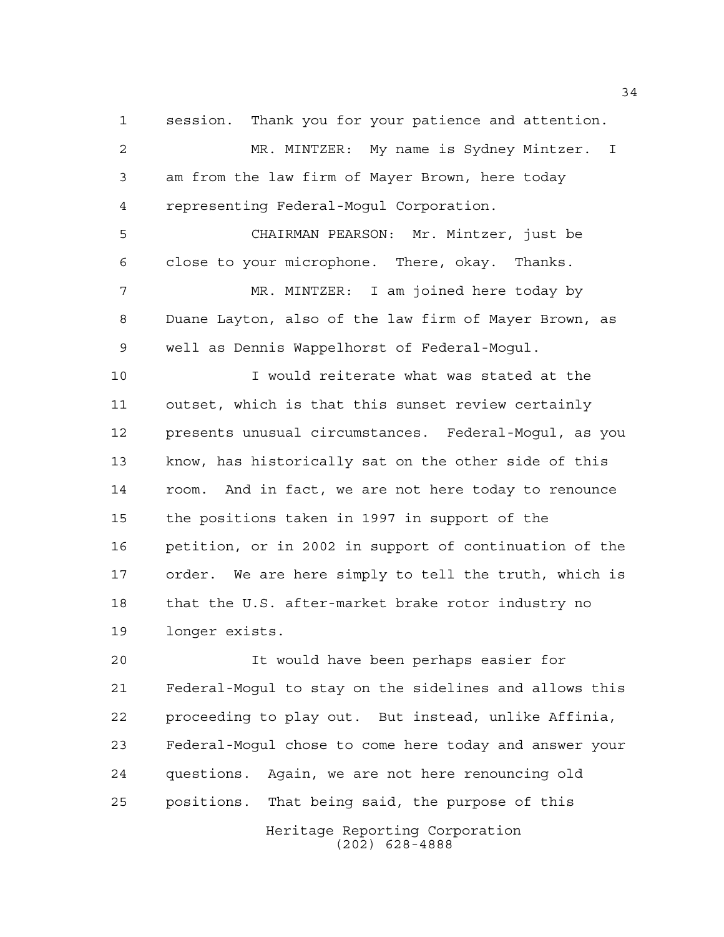session. Thank you for your patience and attention.

 MR. MINTZER: My name is Sydney Mintzer. I am from the law firm of Mayer Brown, here today representing Federal-Mogul Corporation.

 CHAIRMAN PEARSON: Mr. Mintzer, just be close to your microphone. There, okay. Thanks. MR. MINTZER: I am joined here today by Duane Layton, also of the law firm of Mayer Brown, as well as Dennis Wappelhorst of Federal-Mogul.

 I would reiterate what was stated at the outset, which is that this sunset review certainly presents unusual circumstances. Federal-Mogul, as you know, has historically sat on the other side of this room. And in fact, we are not here today to renounce the positions taken in 1997 in support of the petition, or in 2002 in support of continuation of the order. We are here simply to tell the truth, which is that the U.S. after-market brake rotor industry no longer exists.

 It would have been perhaps easier for Federal-Mogul to stay on the sidelines and allows this proceeding to play out. But instead, unlike Affinia, Federal-Mogul chose to come here today and answer your questions. Again, we are not here renouncing old positions. That being said, the purpose of this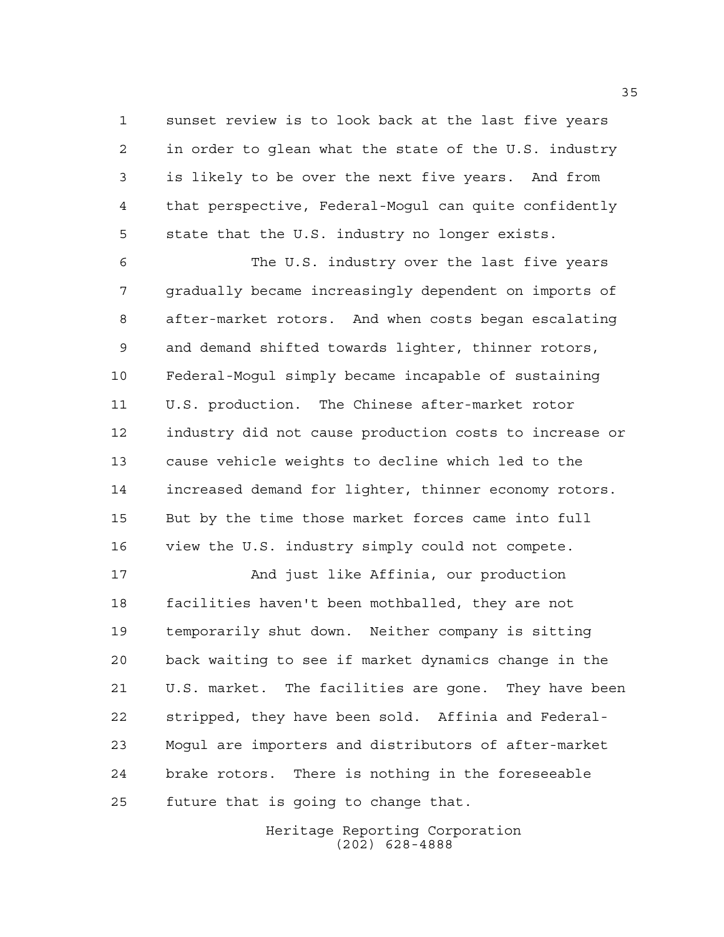sunset review is to look back at the last five years in order to glean what the state of the U.S. industry is likely to be over the next five years. And from that perspective, Federal-Mogul can quite confidently state that the U.S. industry no longer exists.

 The U.S. industry over the last five years gradually became increasingly dependent on imports of after-market rotors. And when costs began escalating and demand shifted towards lighter, thinner rotors, Federal-Mogul simply became incapable of sustaining U.S. production. The Chinese after-market rotor industry did not cause production costs to increase or cause vehicle weights to decline which led to the increased demand for lighter, thinner economy rotors. But by the time those market forces came into full view the U.S. industry simply could not compete.

 And just like Affinia, our production facilities haven't been mothballed, they are not temporarily shut down. Neither company is sitting back waiting to see if market dynamics change in the U.S. market. The facilities are gone. They have been stripped, they have been sold. Affinia and Federal- Mogul are importers and distributors of after-market brake rotors. There is nothing in the foreseeable future that is going to change that.

> Heritage Reporting Corporation (202) 628-4888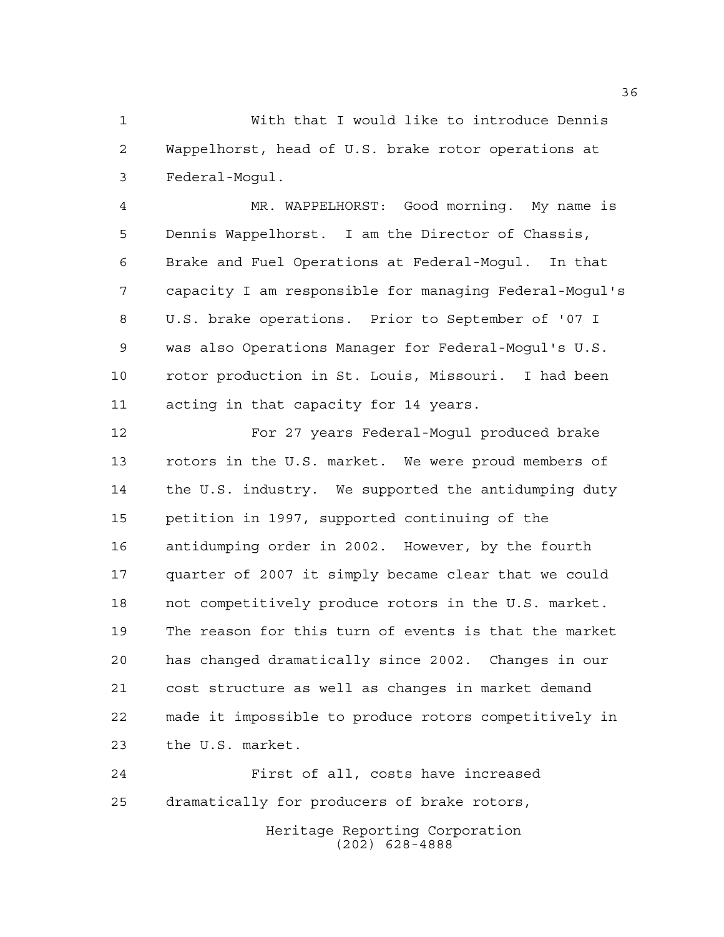With that I would like to introduce Dennis Wappelhorst, head of U.S. brake rotor operations at Federal-Mogul.

 MR. WAPPELHORST: Good morning. My name is Dennis Wappelhorst. I am the Director of Chassis, Brake and Fuel Operations at Federal-Mogul. In that capacity I am responsible for managing Federal-Mogul's U.S. brake operations. Prior to September of '07 I was also Operations Manager for Federal-Mogul's U.S. rotor production in St. Louis, Missouri. I had been acting in that capacity for 14 years.

 For 27 years Federal-Mogul produced brake rotors in the U.S. market. We were proud members of the U.S. industry. We supported the antidumping duty petition in 1997, supported continuing of the antidumping order in 2002. However, by the fourth quarter of 2007 it simply became clear that we could not competitively produce rotors in the U.S. market. The reason for this turn of events is that the market has changed dramatically since 2002. Changes in our cost structure as well as changes in market demand made it impossible to produce rotors competitively in the U.S. market.

Heritage Reporting Corporation First of all, costs have increased dramatically for producers of brake rotors,

(202) 628-4888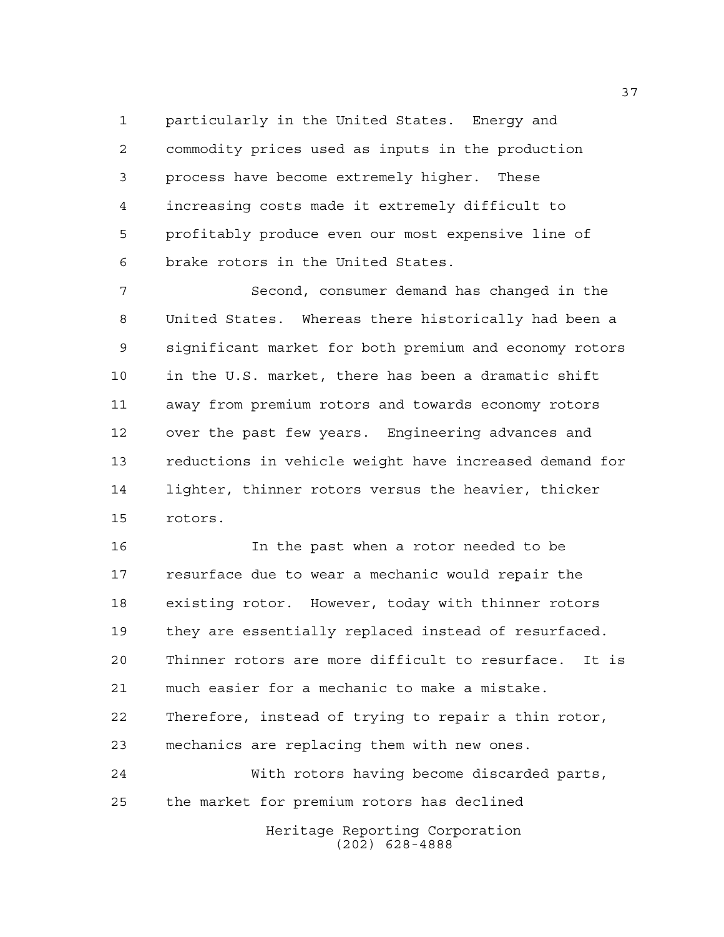particularly in the United States. Energy and commodity prices used as inputs in the production process have become extremely higher. These increasing costs made it extremely difficult to profitably produce even our most expensive line of brake rotors in the United States.

 Second, consumer demand has changed in the United States. Whereas there historically had been a significant market for both premium and economy rotors in the U.S. market, there has been a dramatic shift away from premium rotors and towards economy rotors over the past few years. Engineering advances and reductions in vehicle weight have increased demand for lighter, thinner rotors versus the heavier, thicker rotors.

 In the past when a rotor needed to be resurface due to wear a mechanic would repair the existing rotor. However, today with thinner rotors they are essentially replaced instead of resurfaced. Thinner rotors are more difficult to resurface. It is much easier for a mechanic to make a mistake. Therefore, instead of trying to repair a thin rotor, mechanics are replacing them with new ones.

Heritage Reporting Corporation (202) 628-4888 With rotors having become discarded parts, the market for premium rotors has declined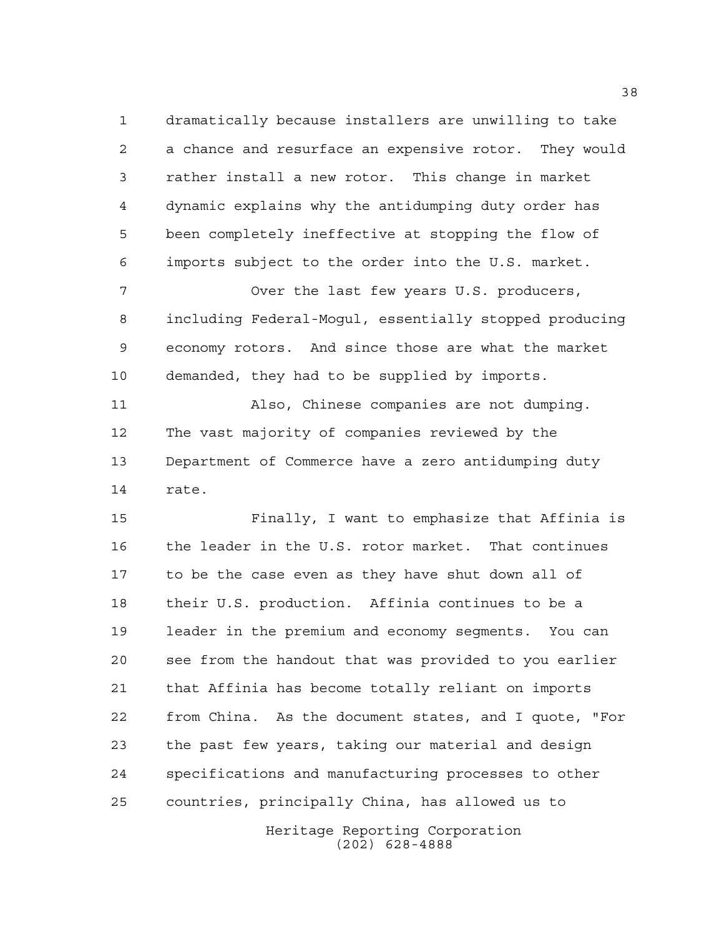dramatically because installers are unwilling to take a chance and resurface an expensive rotor. They would rather install a new rotor. This change in market dynamic explains why the antidumping duty order has been completely ineffective at stopping the flow of imports subject to the order into the U.S. market.

 Over the last few years U.S. producers, including Federal-Mogul, essentially stopped producing economy rotors. And since those are what the market demanded, they had to be supplied by imports.

 Also, Chinese companies are not dumping. The vast majority of companies reviewed by the Department of Commerce have a zero antidumping duty rate.

 Finally, I want to emphasize that Affinia is the leader in the U.S. rotor market. That continues to be the case even as they have shut down all of their U.S. production. Affinia continues to be a leader in the premium and economy segments. You can see from the handout that was provided to you earlier that Affinia has become totally reliant on imports from China. As the document states, and I quote, "For the past few years, taking our material and design specifications and manufacturing processes to other countries, principally China, has allowed us to

> Heritage Reporting Corporation (202) 628-4888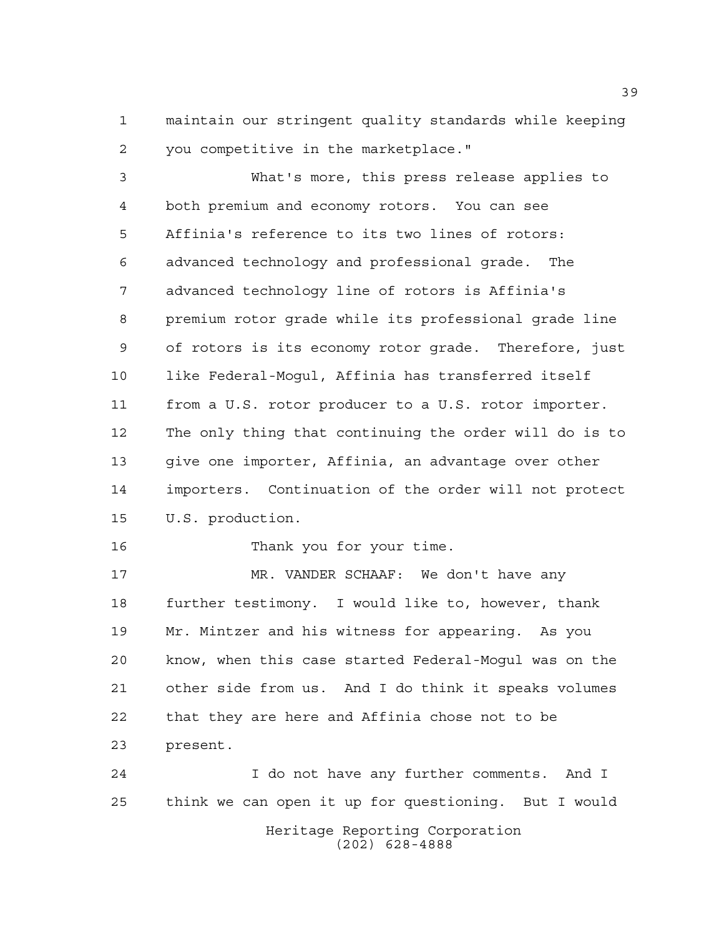maintain our stringent quality standards while keeping you competitive in the marketplace."

 What's more, this press release applies to both premium and economy rotors. You can see Affinia's reference to its two lines of rotors: advanced technology and professional grade. The advanced technology line of rotors is Affinia's premium rotor grade while its professional grade line of rotors is its economy rotor grade. Therefore, just like Federal-Mogul, Affinia has transferred itself from a U.S. rotor producer to a U.S. rotor importer. The only thing that continuing the order will do is to give one importer, Affinia, an advantage over other importers. Continuation of the order will not protect U.S. production.

16 Thank you for your time.

 MR. VANDER SCHAAF: We don't have any further testimony. I would like to, however, thank Mr. Mintzer and his witness for appearing. As you know, when this case started Federal-Mogul was on the other side from us. And I do think it speaks volumes that they are here and Affinia chose not to be present.

Heritage Reporting Corporation (202) 628-4888 I do not have any further comments. And I think we can open it up for questioning. But I would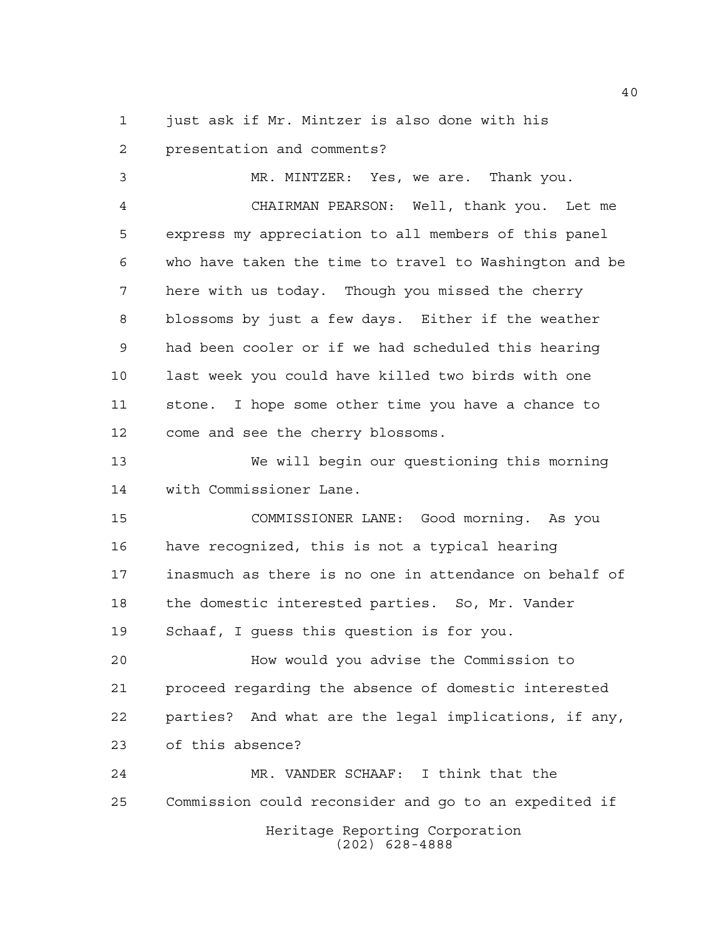just ask if Mr. Mintzer is also done with his

 presentation and comments? MR. MINTZER: Yes, we are. Thank you. CHAIRMAN PEARSON: Well, thank you. Let me express my appreciation to all members of this panel who have taken the time to travel to Washington and be here with us today. Though you missed the cherry blossoms by just a few days. Either if the weather had been cooler or if we had scheduled this hearing last week you could have killed two birds with one stone. I hope some other time you have a chance to come and see the cherry blossoms. We will begin our questioning this morning with Commissioner Lane. COMMISSIONER LANE: Good morning. As you

 have recognized, this is not a typical hearing inasmuch as there is no one in attendance on behalf of the domestic interested parties. So, Mr. Vander Schaaf, I guess this question is for you.

 How would you advise the Commission to proceed regarding the absence of domestic interested parties? And what are the legal implications, if any, of this absence?

Heritage Reporting Corporation (202) 628-4888 MR. VANDER SCHAAF: I think that the Commission could reconsider and go to an expedited if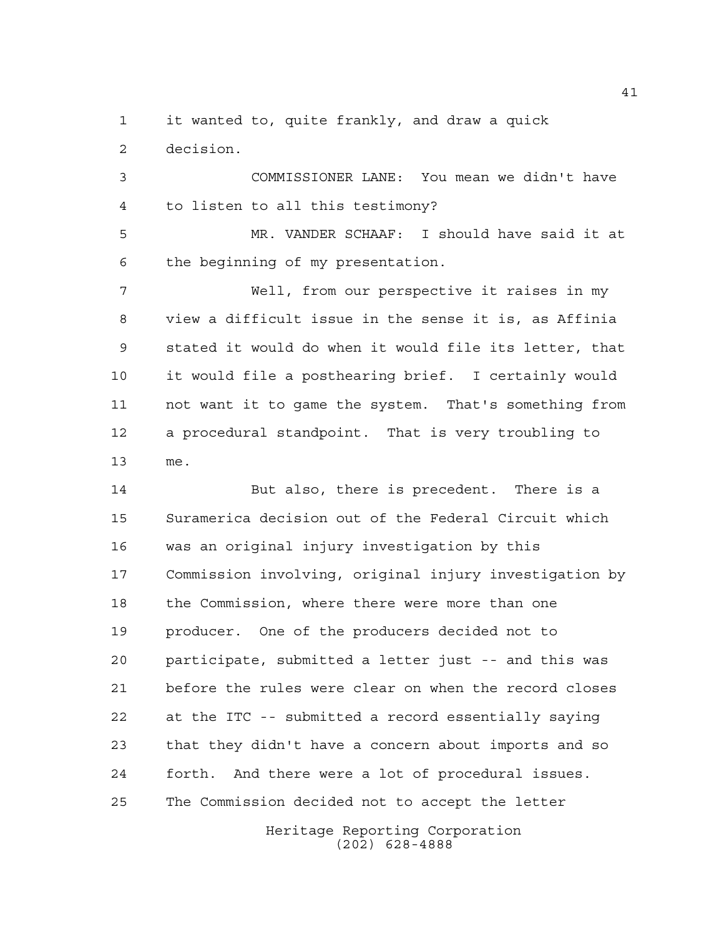it wanted to, quite frankly, and draw a quick decision.

 COMMISSIONER LANE: You mean we didn't have to listen to all this testimony?

 MR. VANDER SCHAAF: I should have said it at the beginning of my presentation.

 Well, from our perspective it raises in my view a difficult issue in the sense it is, as Affinia stated it would do when it would file its letter, that it would file a posthearing brief. I certainly would not want it to game the system. That's something from a procedural standpoint. That is very troubling to me.

 But also, there is precedent. There is a Suramerica decision out of the Federal Circuit which was an original injury investigation by this Commission involving, original injury investigation by the Commission, where there were more than one producer. One of the producers decided not to participate, submitted a letter just -- and this was before the rules were clear on when the record closes at the ITC -- submitted a record essentially saying that they didn't have a concern about imports and so forth. And there were a lot of procedural issues. The Commission decided not to accept the letter

> Heritage Reporting Corporation (202) 628-4888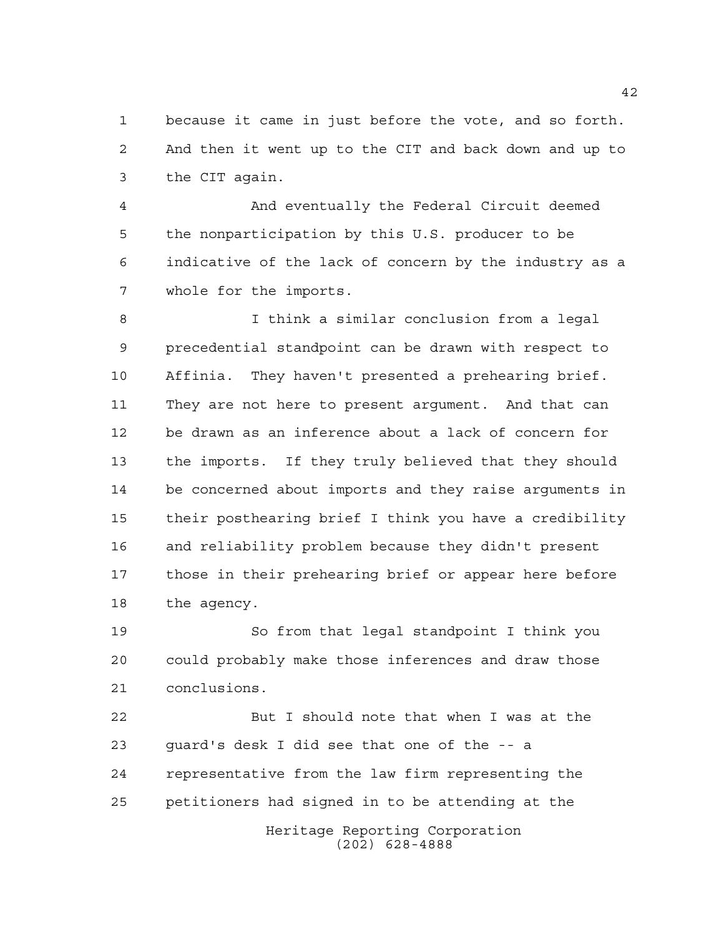because it came in just before the vote, and so forth. And then it went up to the CIT and back down and up to the CIT again.

 And eventually the Federal Circuit deemed the nonparticipation by this U.S. producer to be indicative of the lack of concern by the industry as a whole for the imports.

 I think a similar conclusion from a legal precedential standpoint can be drawn with respect to Affinia. They haven't presented a prehearing brief. They are not here to present argument. And that can be drawn as an inference about a lack of concern for the imports. If they truly believed that they should be concerned about imports and they raise arguments in their posthearing brief I think you have a credibility and reliability problem because they didn't present those in their prehearing brief or appear here before the agency.

 So from that legal standpoint I think you could probably make those inferences and draw those conclusions.

Heritage Reporting Corporation But I should note that when I was at the guard's desk I did see that one of the -- a representative from the law firm representing the petitioners had signed in to be attending at the

(202) 628-4888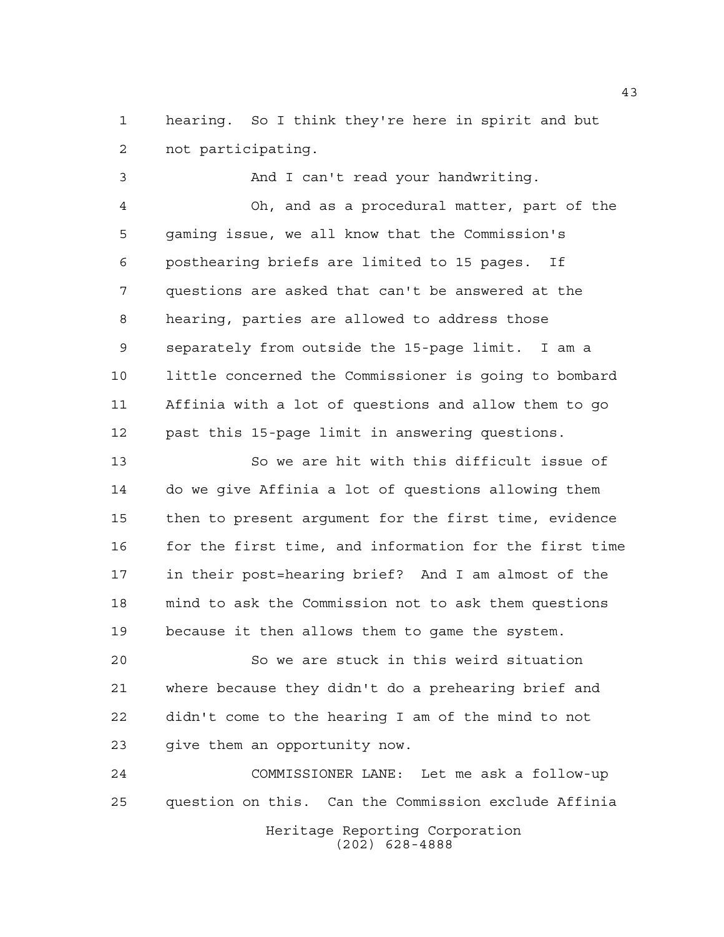hearing. So I think they're here in spirit and but not participating.

 And I can't read your handwriting. Oh, and as a procedural matter, part of the gaming issue, we all know that the Commission's posthearing briefs are limited to 15 pages. If questions are asked that can't be answered at the hearing, parties are allowed to address those separately from outside the 15-page limit. I am a little concerned the Commissioner is going to bombard Affinia with a lot of questions and allow them to go past this 15-page limit in answering questions.

 So we are hit with this difficult issue of do we give Affinia a lot of questions allowing them then to present argument for the first time, evidence for the first time, and information for the first time in their post=hearing brief? And I am almost of the mind to ask the Commission not to ask them questions because it then allows them to game the system.

 So we are stuck in this weird situation where because they didn't do a prehearing brief and didn't come to the hearing I am of the mind to not give them an opportunity now.

Heritage Reporting Corporation COMMISSIONER LANE: Let me ask a follow-up question on this. Can the Commission exclude Affinia

(202) 628-4888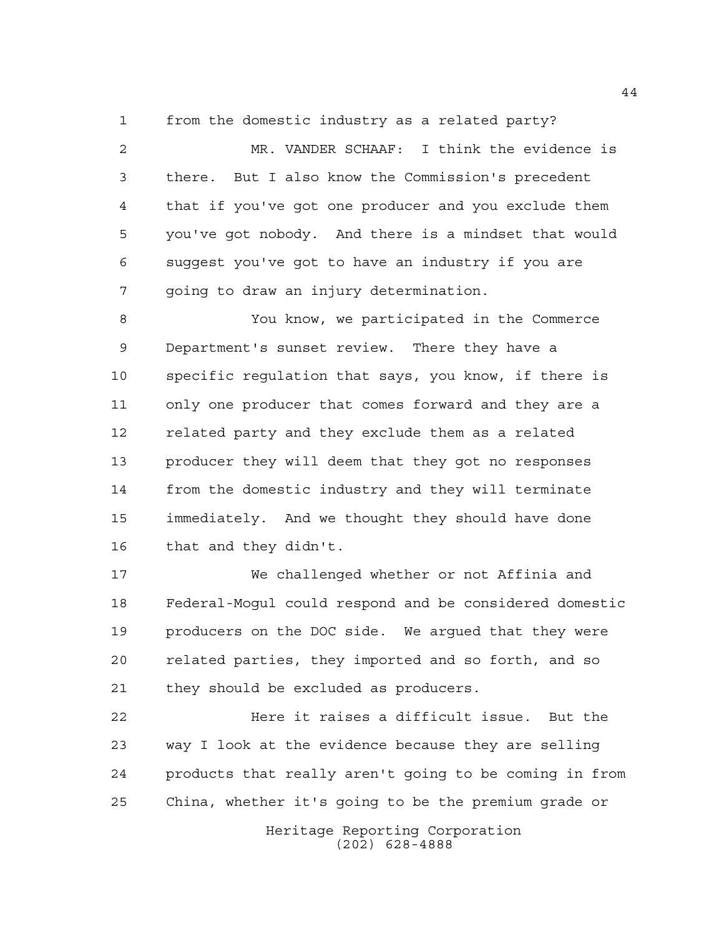from the domestic industry as a related party?

 MR. VANDER SCHAAF: I think the evidence is there. But I also know the Commission's precedent that if you've got one producer and you exclude them you've got nobody. And there is a mindset that would suggest you've got to have an industry if you are going to draw an injury determination.

 You know, we participated in the Commerce Department's sunset review. There they have a specific regulation that says, you know, if there is only one producer that comes forward and they are a related party and they exclude them as a related producer they will deem that they got no responses from the domestic industry and they will terminate immediately. And we thought they should have done that and they didn't.

 We challenged whether or not Affinia and Federal-Mogul could respond and be considered domestic producers on the DOC side. We argued that they were related parties, they imported and so forth, and so they should be excluded as producers.

 Here it raises a difficult issue. But the way I look at the evidence because they are selling products that really aren't going to be coming in from China, whether it's going to be the premium grade or

> Heritage Reporting Corporation (202) 628-4888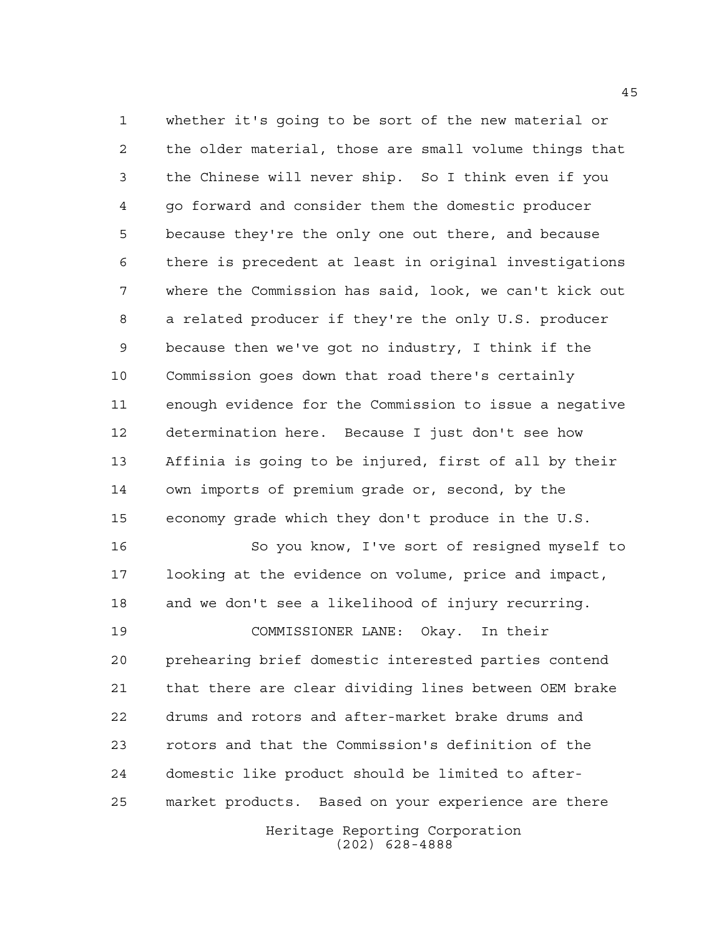whether it's going to be sort of the new material or the older material, those are small volume things that the Chinese will never ship. So I think even if you go forward and consider them the domestic producer because they're the only one out there, and because there is precedent at least in original investigations where the Commission has said, look, we can't kick out a related producer if they're the only U.S. producer because then we've got no industry, I think if the Commission goes down that road there's certainly enough evidence for the Commission to issue a negative determination here. Because I just don't see how Affinia is going to be injured, first of all by their own imports of premium grade or, second, by the economy grade which they don't produce in the U.S.

 So you know, I've sort of resigned myself to looking at the evidence on volume, price and impact, and we don't see a likelihood of injury recurring.

 COMMISSIONER LANE: Okay. In their prehearing brief domestic interested parties contend that there are clear dividing lines between OEM brake drums and rotors and after-market brake drums and rotors and that the Commission's definition of the domestic like product should be limited to after-market products. Based on your experience are there

> Heritage Reporting Corporation (202) 628-4888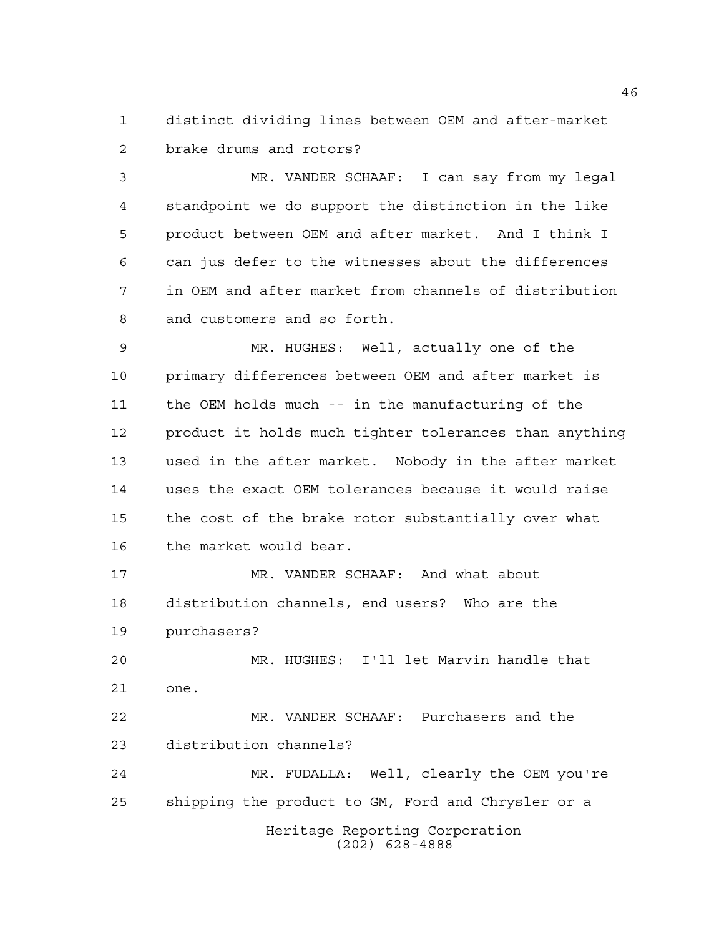distinct dividing lines between OEM and after-market brake drums and rotors?

 MR. VANDER SCHAAF: I can say from my legal standpoint we do support the distinction in the like product between OEM and after market. And I think I can jus defer to the witnesses about the differences in OEM and after market from channels of distribution and customers and so forth.

 MR. HUGHES: Well, actually one of the primary differences between OEM and after market is the OEM holds much -- in the manufacturing of the product it holds much tighter tolerances than anything used in the after market. Nobody in the after market uses the exact OEM tolerances because it would raise the cost of the brake rotor substantially over what the market would bear.

 MR. VANDER SCHAAF: And what about distribution channels, end users? Who are the purchasers?

 MR. HUGHES: I'll let Marvin handle that one.

 MR. VANDER SCHAAF: Purchasers and the distribution channels?

Heritage Reporting Corporation (202) 628-4888 MR. FUDALLA: Well, clearly the OEM you're shipping the product to GM, Ford and Chrysler or a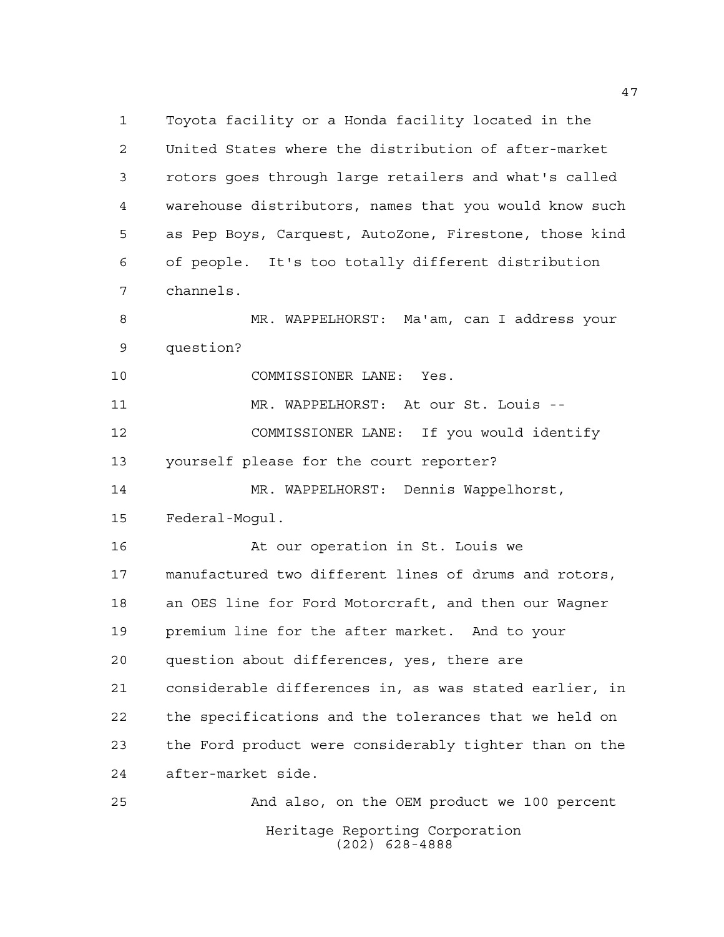Heritage Reporting Corporation Toyota facility or a Honda facility located in the United States where the distribution of after-market rotors goes through large retailers and what's called warehouse distributors, names that you would know such as Pep Boys, Carquest, AutoZone, Firestone, those kind of people. It's too totally different distribution channels. MR. WAPPELHORST: Ma'am, can I address your question? COMMISSIONER LANE: Yes. 11 MR. WAPPELHORST: At our St. Louis -- COMMISSIONER LANE: If you would identify yourself please for the court reporter? MR. WAPPELHORST: Dennis Wappelhorst, Federal-Mogul. At our operation in St. Louis we manufactured two different lines of drums and rotors, an OES line for Ford Motorcraft, and then our Wagner premium line for the after market. And to your question about differences, yes, there are considerable differences in, as was stated earlier, in the specifications and the tolerances that we held on the Ford product were considerably tighter than on the after-market side. And also, on the OEM product we 100 percent

(202) 628-4888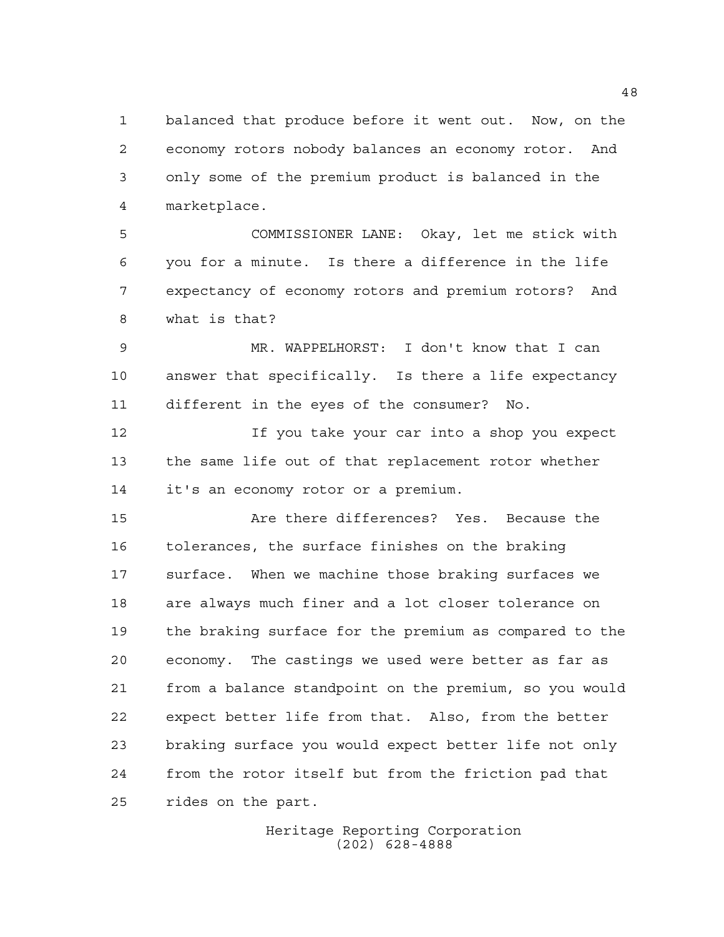balanced that produce before it went out. Now, on the economy rotors nobody balances an economy rotor. And only some of the premium product is balanced in the marketplace.

 COMMISSIONER LANE: Okay, let me stick with you for a minute. Is there a difference in the life expectancy of economy rotors and premium rotors? And what is that?

 MR. WAPPELHORST: I don't know that I can answer that specifically. Is there a life expectancy different in the eyes of the consumer? No.

 If you take your car into a shop you expect the same life out of that replacement rotor whether it's an economy rotor or a premium.

 Are there differences? Yes. Because the tolerances, the surface finishes on the braking surface. When we machine those braking surfaces we are always much finer and a lot closer tolerance on the braking surface for the premium as compared to the economy. The castings we used were better as far as from a balance standpoint on the premium, so you would expect better life from that. Also, from the better braking surface you would expect better life not only from the rotor itself but from the friction pad that rides on the part.

> Heritage Reporting Corporation (202) 628-4888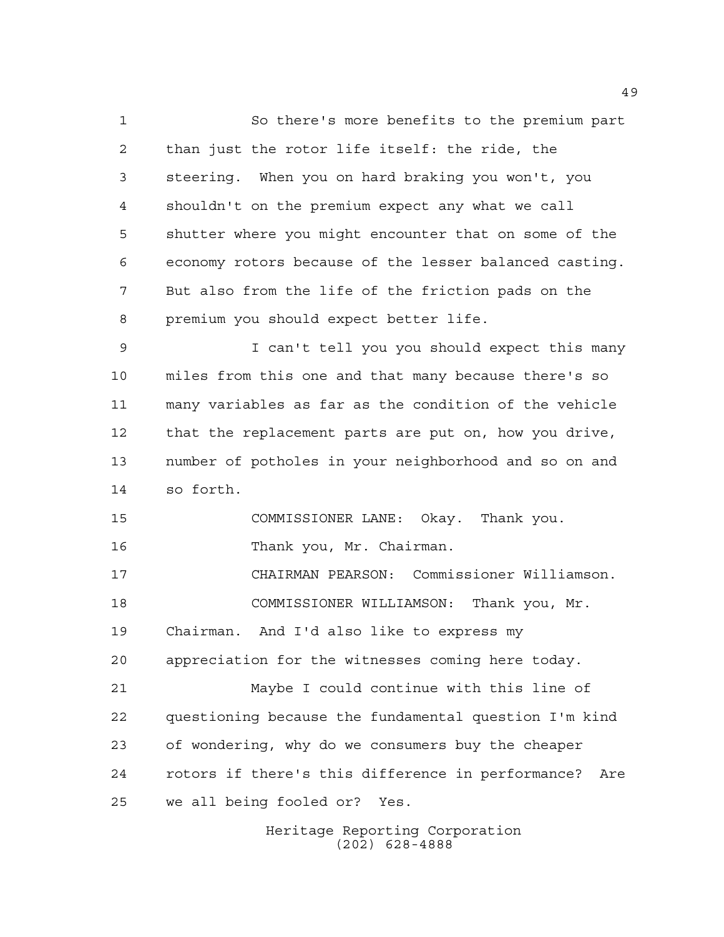So there's more benefits to the premium part than just the rotor life itself: the ride, the steering. When you on hard braking you won't, you shouldn't on the premium expect any what we call shutter where you might encounter that on some of the economy rotors because of the lesser balanced casting. But also from the life of the friction pads on the premium you should expect better life. I can't tell you you should expect this many miles from this one and that many because there's so many variables as far as the condition of the vehicle that the replacement parts are put on, how you drive, number of potholes in your neighborhood and so on and so forth. COMMISSIONER LANE: Okay. Thank you. Thank you, Mr. Chairman. CHAIRMAN PEARSON: Commissioner Williamson. COMMISSIONER WILLIAMSON: Thank you, Mr. Chairman. And I'd also like to express my appreciation for the witnesses coming here today. Maybe I could continue with this line of questioning because the fundamental question I'm kind of wondering, why do we consumers buy the cheaper rotors if there's this difference in performance? Are we all being fooled or? Yes.

Heritage Reporting Corporation (202) 628-4888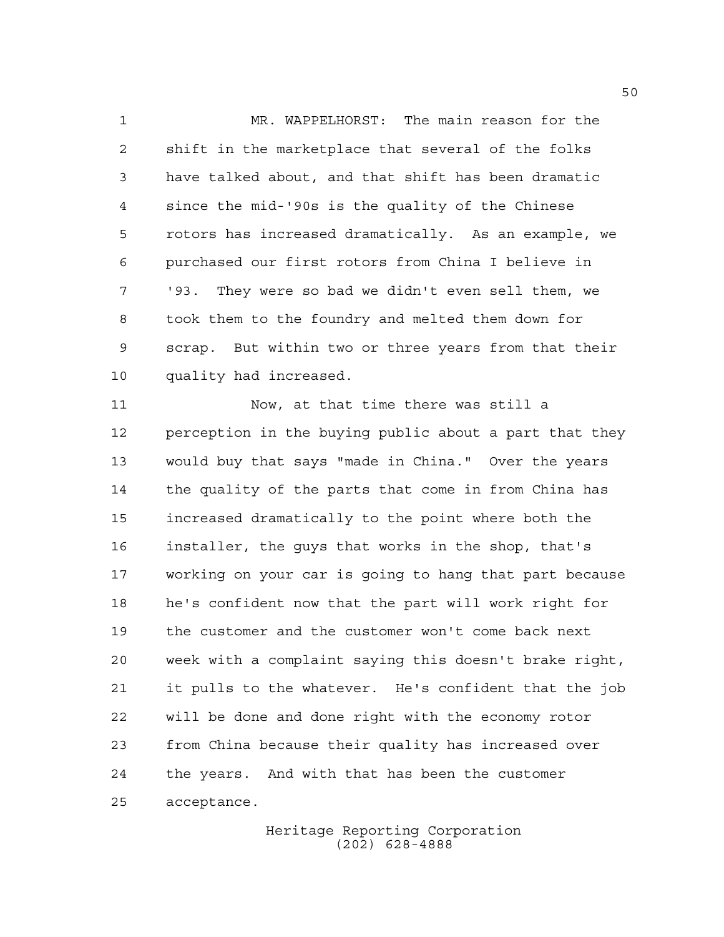MR. WAPPELHORST: The main reason for the shift in the marketplace that several of the folks have talked about, and that shift has been dramatic since the mid-'90s is the quality of the Chinese rotors has increased dramatically. As an example, we purchased our first rotors from China I believe in '93. They were so bad we didn't even sell them, we took them to the foundry and melted them down for scrap. But within two or three years from that their quality had increased.

 Now, at that time there was still a perception in the buying public about a part that they would buy that says "made in China." Over the years the quality of the parts that come in from China has increased dramatically to the point where both the installer, the guys that works in the shop, that's working on your car is going to hang that part because he's confident now that the part will work right for the customer and the customer won't come back next week with a complaint saying this doesn't brake right, it pulls to the whatever. He's confident that the job will be done and done right with the economy rotor from China because their quality has increased over the years. And with that has been the customer acceptance.

> Heritage Reporting Corporation (202) 628-4888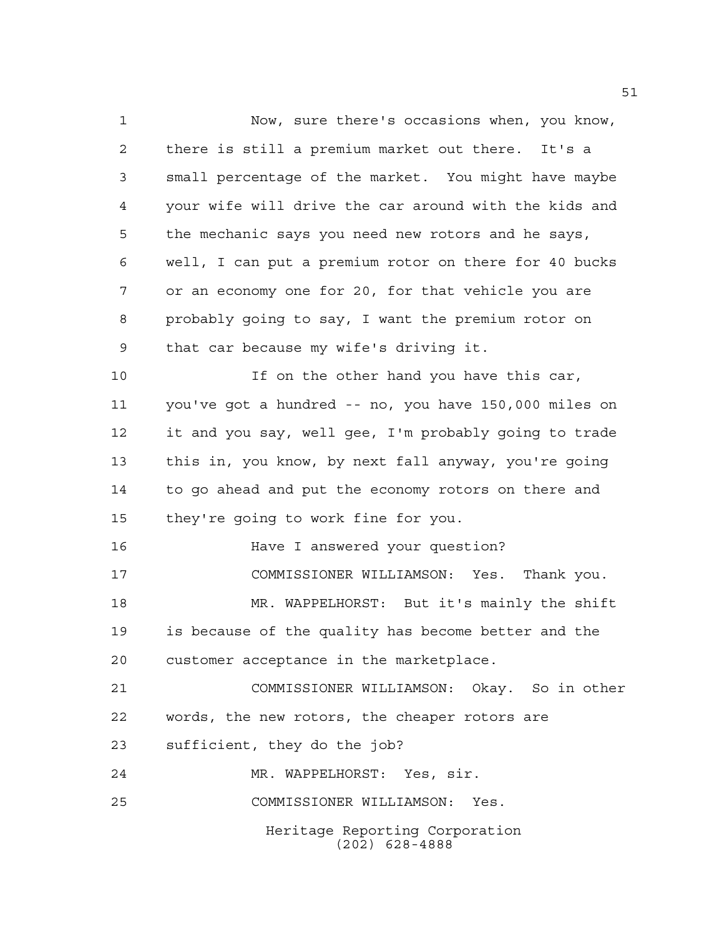Heritage Reporting Corporation (202) 628-4888 Now, sure there's occasions when, you know, there is still a premium market out there. It's a small percentage of the market. You might have maybe your wife will drive the car around with the kids and the mechanic says you need new rotors and he says, well, I can put a premium rotor on there for 40 bucks or an economy one for 20, for that vehicle you are probably going to say, I want the premium rotor on that car because my wife's driving it. 10 10 If on the other hand you have this car, you've got a hundred -- no, you have 150,000 miles on it and you say, well gee, I'm probably going to trade this in, you know, by next fall anyway, you're going to go ahead and put the economy rotors on there and they're going to work fine for you. Have I answered your question? COMMISSIONER WILLIAMSON: Yes. Thank you. MR. WAPPELHORST: But it's mainly the shift is because of the quality has become better and the customer acceptance in the marketplace. COMMISSIONER WILLIAMSON: Okay. So in other words, the new rotors, the cheaper rotors are sufficient, they do the job? MR. WAPPELHORST: Yes, sir. COMMISSIONER WILLIAMSON: Yes.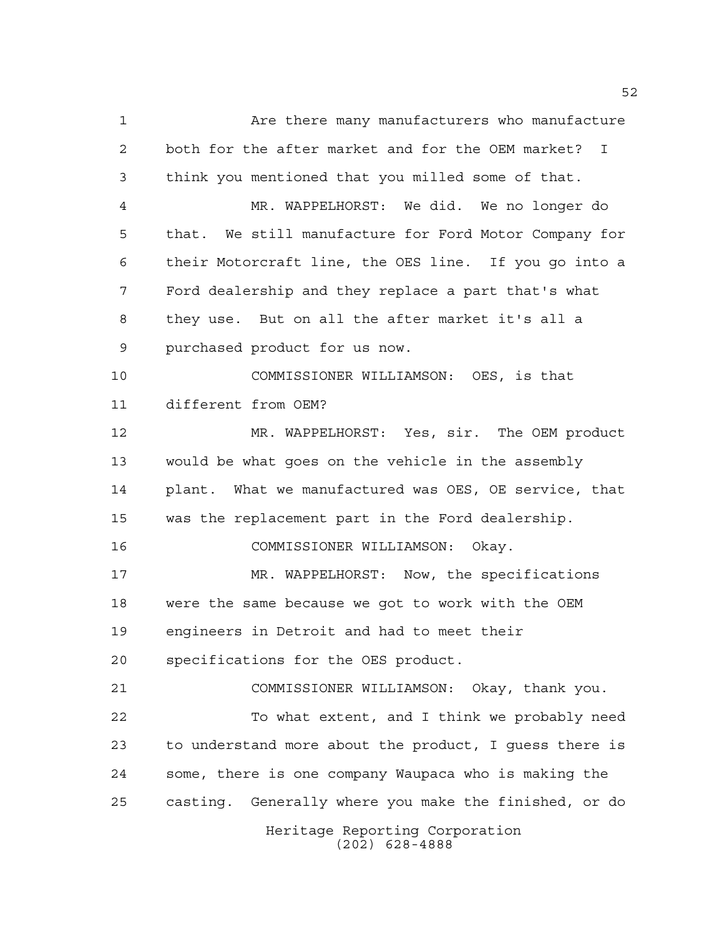Heritage Reporting Corporation (202) 628-4888 Are there many manufacturers who manufacture both for the after market and for the OEM market? I think you mentioned that you milled some of that. MR. WAPPELHORST: We did. We no longer do that. We still manufacture for Ford Motor Company for their Motorcraft line, the OES line. If you go into a Ford dealership and they replace a part that's what they use. But on all the after market it's all a purchased product for us now. COMMISSIONER WILLIAMSON: OES, is that different from OEM? MR. WAPPELHORST: Yes, sir. The OEM product would be what goes on the vehicle in the assembly plant. What we manufactured was OES, OE service, that was the replacement part in the Ford dealership. COMMISSIONER WILLIAMSON: Okay. MR. WAPPELHORST: Now, the specifications were the same because we got to work with the OEM engineers in Detroit and had to meet their specifications for the OES product. COMMISSIONER WILLIAMSON: Okay, thank you. To what extent, and I think we probably need to understand more about the product, I guess there is some, there is one company Waupaca who is making the casting. Generally where you make the finished, or do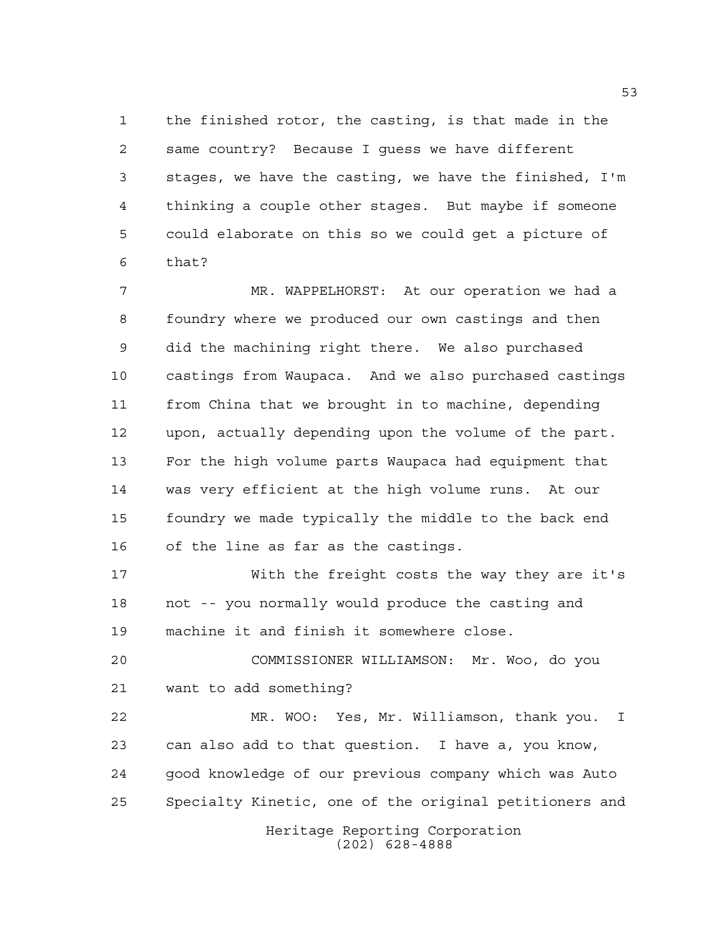the finished rotor, the casting, is that made in the same country? Because I guess we have different stages, we have the casting, we have the finished, I'm thinking a couple other stages. But maybe if someone could elaborate on this so we could get a picture of that?

 MR. WAPPELHORST: At our operation we had a foundry where we produced our own castings and then did the machining right there. We also purchased castings from Waupaca. And we also purchased castings from China that we brought in to machine, depending upon, actually depending upon the volume of the part. For the high volume parts Waupaca had equipment that was very efficient at the high volume runs. At our foundry we made typically the middle to the back end of the line as far as the castings.

 With the freight costs the way they are it's not -- you normally would produce the casting and machine it and finish it somewhere close.

 COMMISSIONER WILLIAMSON: Mr. Woo, do you want to add something?

 MR. WOO: Yes, Mr. Williamson, thank you. I can also add to that question. I have a, you know, good knowledge of our previous company which was Auto Specialty Kinetic, one of the original petitioners and

Heritage Reporting Corporation (202) 628-4888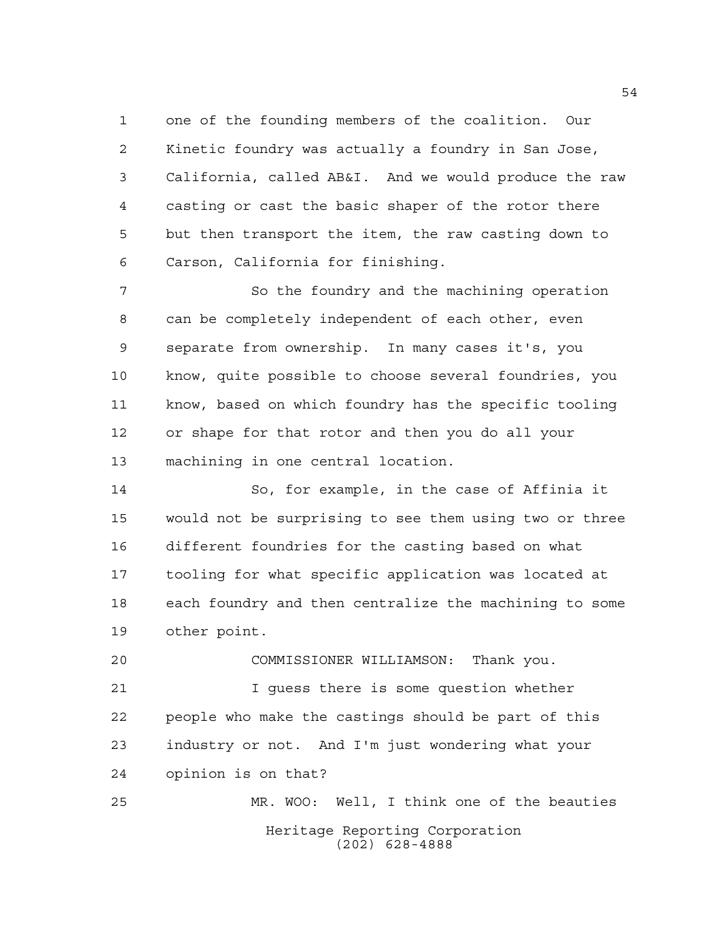one of the founding members of the coalition. Our Kinetic foundry was actually a foundry in San Jose, California, called AB&I. And we would produce the raw casting or cast the basic shaper of the rotor there but then transport the item, the raw casting down to Carson, California for finishing.

7 So the foundry and the machining operation can be completely independent of each other, even separate from ownership. In many cases it's, you know, quite possible to choose several foundries, you know, based on which foundry has the specific tooling or shape for that rotor and then you do all your machining in one central location.

 So, for example, in the case of Affinia it would not be surprising to see them using two or three different foundries for the casting based on what tooling for what specific application was located at each foundry and then centralize the machining to some other point.

 COMMISSIONER WILLIAMSON: Thank you. I guess there is some question whether people who make the castings should be part of this industry or not. And I'm just wondering what your opinion is on that? MR. WOO: Well, I think one of the beauties

> Heritage Reporting Corporation (202) 628-4888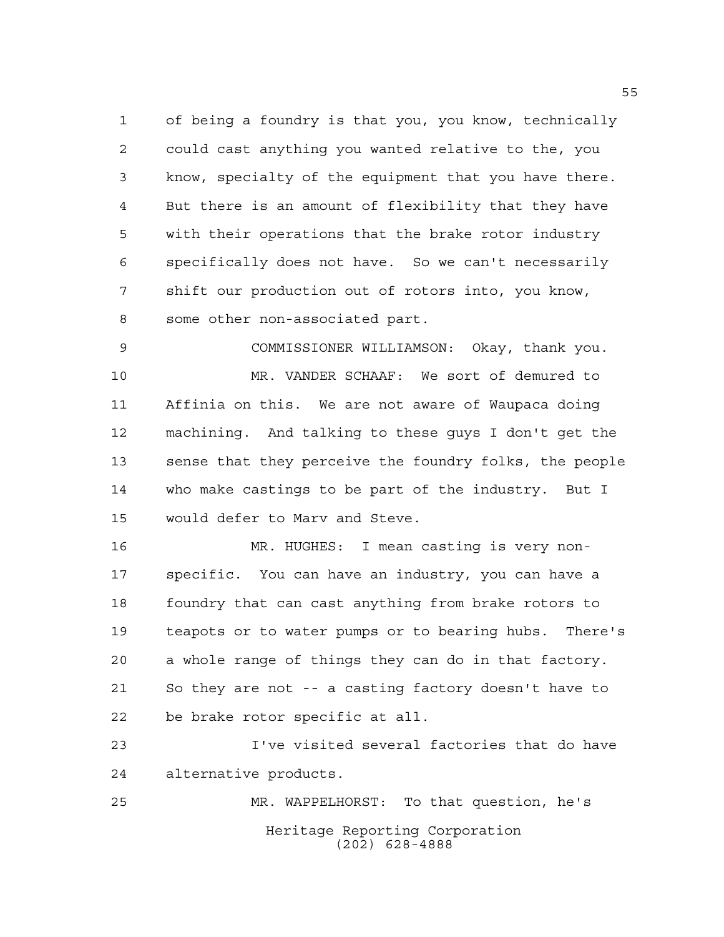of being a foundry is that you, you know, technically could cast anything you wanted relative to the, you know, specialty of the equipment that you have there. But there is an amount of flexibility that they have with their operations that the brake rotor industry specifically does not have. So we can't necessarily shift our production out of rotors into, you know, some other non-associated part.

 COMMISSIONER WILLIAMSON: Okay, thank you. MR. VANDER SCHAAF: We sort of demured to Affinia on this. We are not aware of Waupaca doing machining. And talking to these guys I don't get the sense that they perceive the foundry folks, the people who make castings to be part of the industry. But I would defer to Marv and Steve.

 MR. HUGHES: I mean casting is very non- specific. You can have an industry, you can have a 18 foundry that can cast anything from brake rotors to teapots or to water pumps or to bearing hubs. There's a whole range of things they can do in that factory. So they are not -- a casting factory doesn't have to be brake rotor specific at all.

 I've visited several factories that do have alternative products.

Heritage Reporting Corporation (202) 628-4888 MR. WAPPELHORST: To that question, he's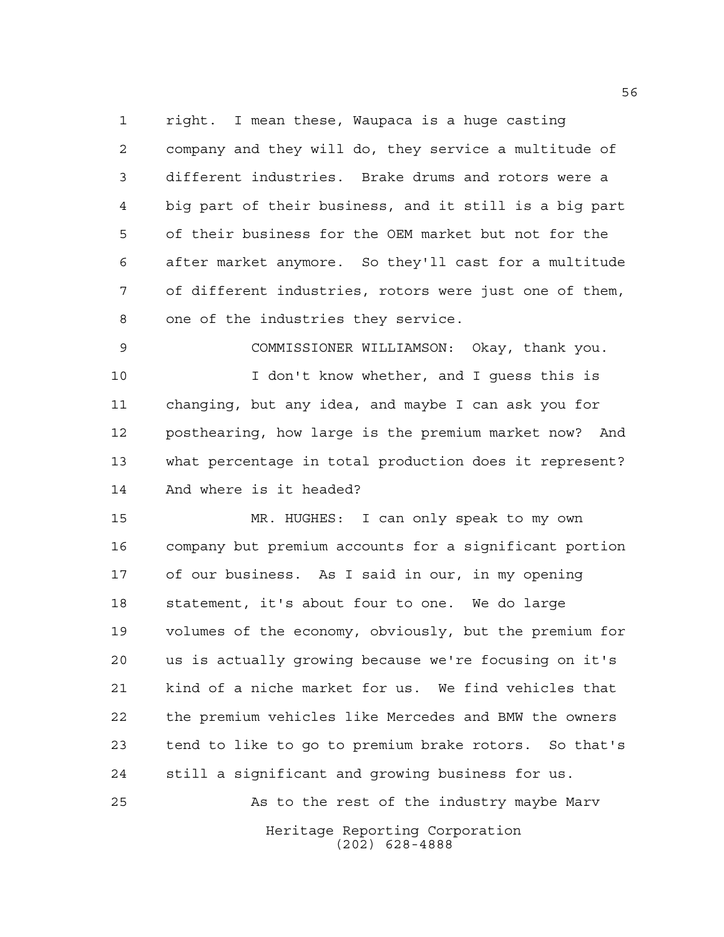right. I mean these, Waupaca is a huge casting company and they will do, they service a multitude of different industries. Brake drums and rotors were a big part of their business, and it still is a big part of their business for the OEM market but not for the after market anymore. So they'll cast for a multitude of different industries, rotors were just one of them, one of the industries they service.

 COMMISSIONER WILLIAMSON: Okay, thank you. I don't know whether, and I guess this is changing, but any idea, and maybe I can ask you for posthearing, how large is the premium market now? And what percentage in total production does it represent? And where is it headed?

 MR. HUGHES: I can only speak to my own company but premium accounts for a significant portion of our business. As I said in our, in my opening statement, it's about four to one. We do large volumes of the economy, obviously, but the premium for us is actually growing because we're focusing on it's kind of a niche market for us. We find vehicles that the premium vehicles like Mercedes and BMW the owners tend to like to go to premium brake rotors. So that's still a significant and growing business for us. As to the rest of the industry maybe Marv

> Heritage Reporting Corporation (202) 628-4888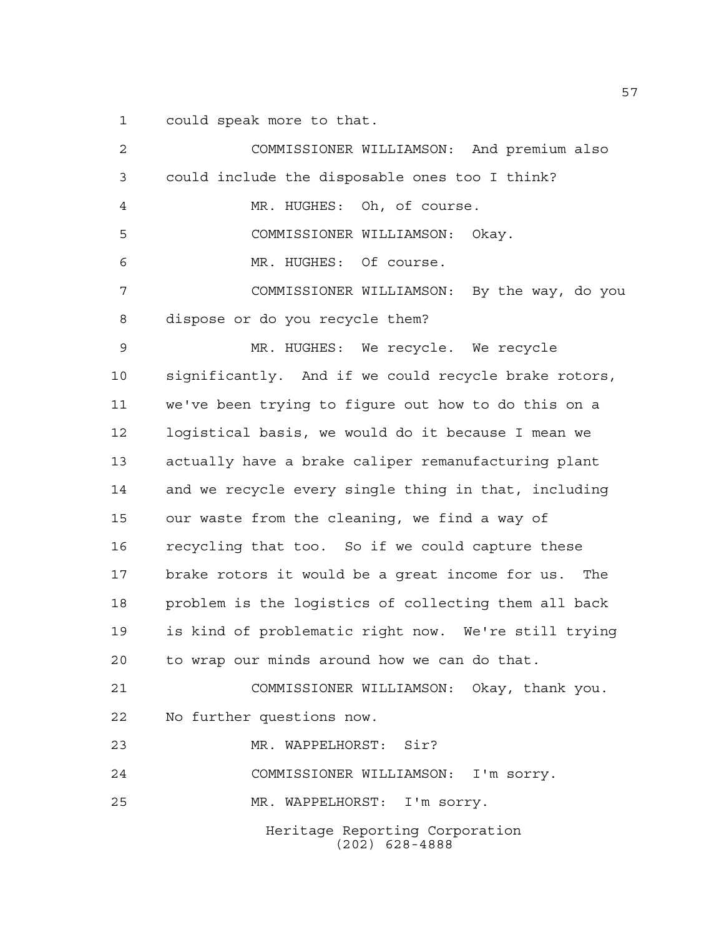could speak more to that.

| 2  | COMMISSIONER WILLIAMSON: And premium also            |
|----|------------------------------------------------------|
| 3  | could include the disposable ones too I think?       |
| 4  | MR. HUGHES: Oh, of course.                           |
| 5  | COMMISSIONER WILLIAMSON: Okay.                       |
| 6  | MR. HUGHES: Of course.                               |
| 7  | COMMISSIONER WILLIAMSON: By the way, do you          |
| 8  | dispose or do you recycle them?                      |
| 9  | MR. HUGHES: We recycle. We recycle                   |
| 10 | significantly. And if we could recycle brake rotors, |
| 11 | we've been trying to figure out how to do this on a  |
| 12 | logistical basis, we would do it because I mean we   |
| 13 | actually have a brake caliper remanufacturing plant  |
| 14 | and we recycle every single thing in that, including |
| 15 | our waste from the cleaning, we find a way of        |
| 16 | recycling that too. So if we could capture these     |
| 17 | brake rotors it would be a great income for us. The  |
| 18 | problem is the logistics of collecting them all back |
| 19 | is kind of problematic right now. We're still trying |
| 20 | to wrap our minds around how we can do that.         |
| 21 | COMMISSIONER WILLIAMSON: Okay, thank you.            |
| 22 | No further questions now.                            |
| 23 | MR. WAPPELHORST: Sir?                                |
| 24 | COMMISSIONER WILLIAMSON: I'm sorry.                  |
| 25 | MR. WAPPELHORST: I'm sorry.                          |
|    | Heritage Reporting Corporation<br>$(202)$ 628-4888   |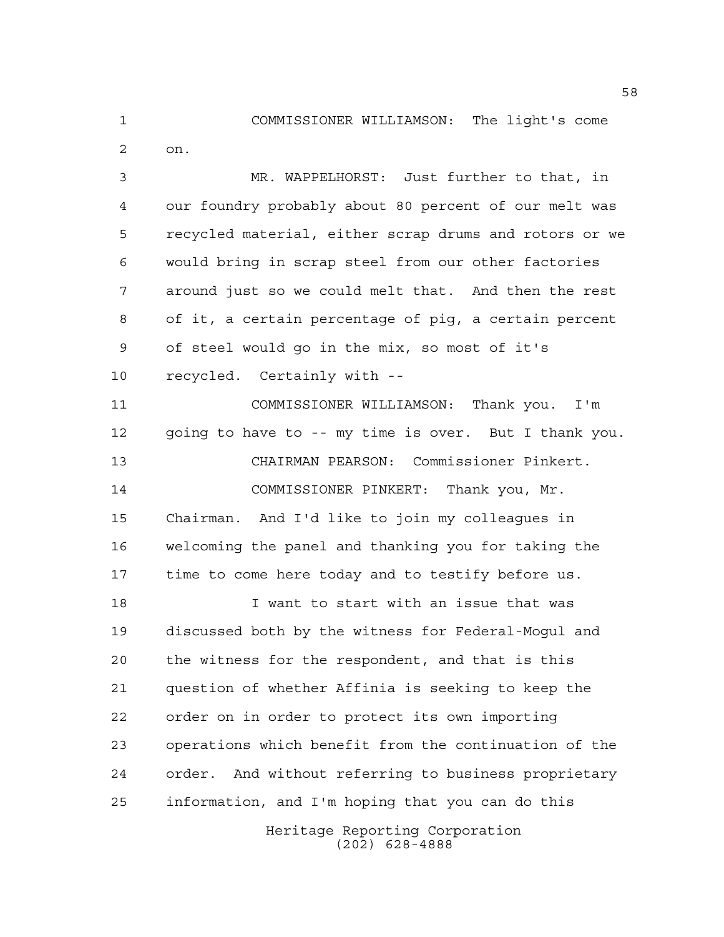COMMISSIONER WILLIAMSON: The light's come

on.

 MR. WAPPELHORST: Just further to that, in our foundry probably about 80 percent of our melt was recycled material, either scrap drums and rotors or we would bring in scrap steel from our other factories around just so we could melt that. And then the rest of it, a certain percentage of pig, a certain percent of steel would go in the mix, so most of it's recycled. Certainly with --

 COMMISSIONER WILLIAMSON: Thank you. I'm going to have to -- my time is over. But I thank you. CHAIRMAN PEARSON: Commissioner Pinkert. COMMISSIONER PINKERT: Thank you, Mr. Chairman. And I'd like to join my colleagues in welcoming the panel and thanking you for taking the time to come here today and to testify before us.

 I want to start with an issue that was discussed both by the witness for Federal-Mogul and the witness for the respondent, and that is this question of whether Affinia is seeking to keep the order on in order to protect its own importing operations which benefit from the continuation of the order. And without referring to business proprietary information, and I'm hoping that you can do this

> Heritage Reporting Corporation (202) 628-4888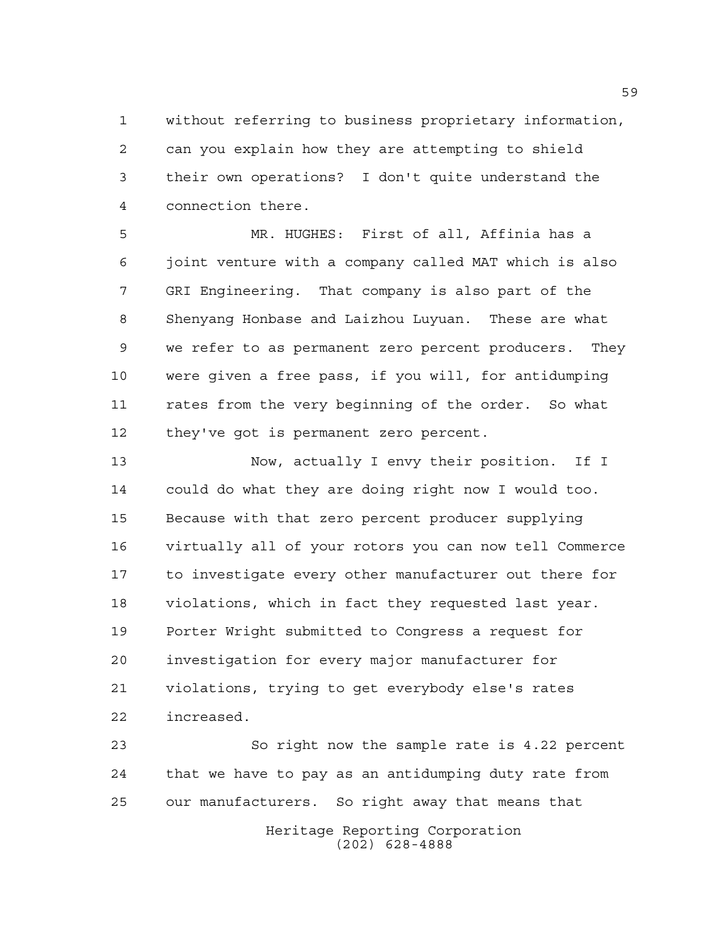without referring to business proprietary information, can you explain how they are attempting to shield their own operations? I don't quite understand the connection there.

 MR. HUGHES: First of all, Affinia has a joint venture with a company called MAT which is also GRI Engineering. That company is also part of the Shenyang Honbase and Laizhou Luyuan. These are what we refer to as permanent zero percent producers. They were given a free pass, if you will, for antidumping rates from the very beginning of the order. So what they've got is permanent zero percent.

 Now, actually I envy their position. If I could do what they are doing right now I would too. Because with that zero percent producer supplying virtually all of your rotors you can now tell Commerce to investigate every other manufacturer out there for violations, which in fact they requested last year. Porter Wright submitted to Congress a request for investigation for every major manufacturer for violations, trying to get everybody else's rates increased.

Heritage Reporting Corporation (202) 628-4888 So right now the sample rate is 4.22 percent that we have to pay as an antidumping duty rate from our manufacturers. So right away that means that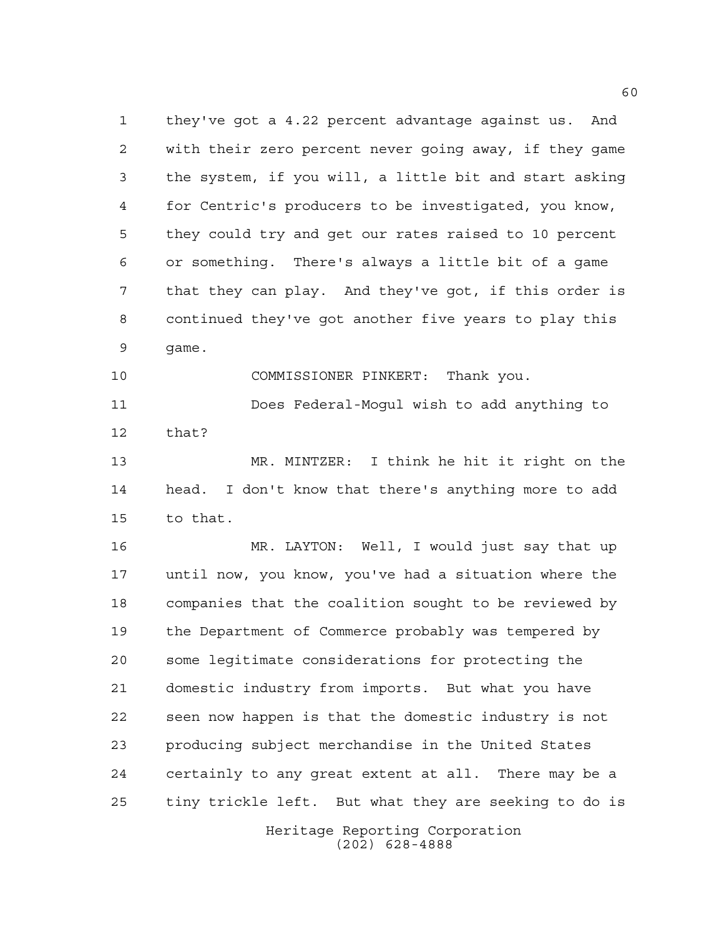they've got a 4.22 percent advantage against us. And with their zero percent never going away, if they game the system, if you will, a little bit and start asking for Centric's producers to be investigated, you know, they could try and get our rates raised to 10 percent or something. There's always a little bit of a game that they can play. And they've got, if this order is continued they've got another five years to play this game.

 COMMISSIONER PINKERT: Thank you. Does Federal-Mogul wish to add anything to that?

 MR. MINTZER: I think he hit it right on the head. I don't know that there's anything more to add to that.

Heritage Reporting Corporation MR. LAYTON: Well, I would just say that up until now, you know, you've had a situation where the companies that the coalition sought to be reviewed by the Department of Commerce probably was tempered by some legitimate considerations for protecting the domestic industry from imports. But what you have seen now happen is that the domestic industry is not producing subject merchandise in the United States certainly to any great extent at all. There may be a tiny trickle left. But what they are seeking to do is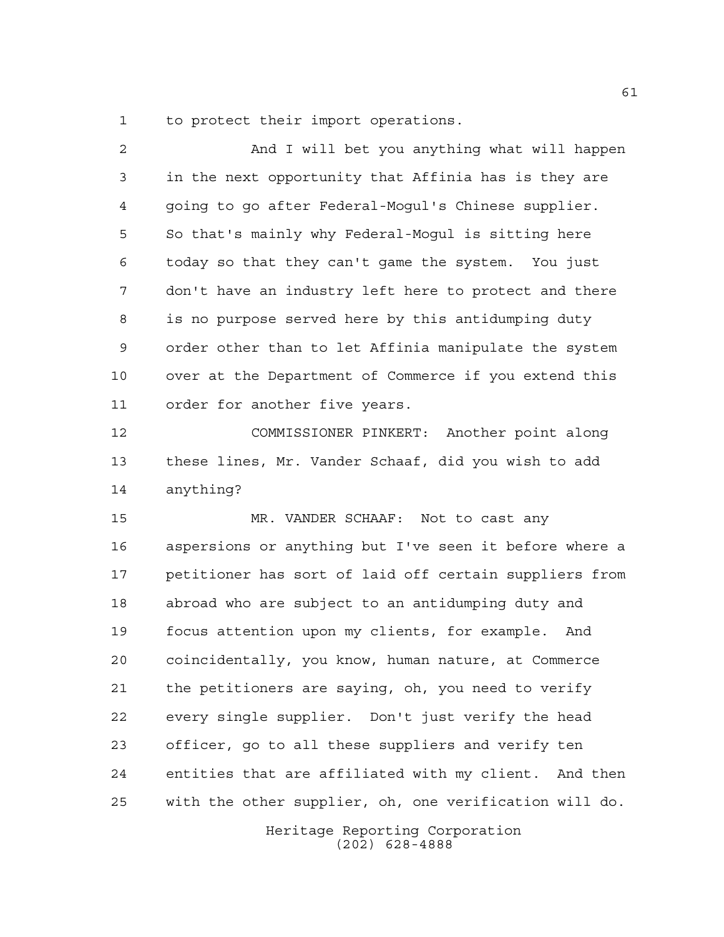to protect their import operations.

| $\overline{2}$ | And I will bet you anything what will happen           |
|----------------|--------------------------------------------------------|
| 3              | in the next opportunity that Affinia has is they are   |
| 4              | going to go after Federal-Mogul's Chinese supplier.    |
| 5              | So that's mainly why Federal-Mogul is sitting here     |
| 6              | today so that they can't game the system. You just     |
| 7              | don't have an industry left here to protect and there  |
| 8              | is no purpose served here by this antidumping duty     |
| 9              | order other than to let Affinia manipulate the system  |
| 10             | over at the Department of Commerce if you extend this  |
| 11             | order for another five years.                          |
| 12             | COMMISSIONER PINKERT: Another point along              |
| 13             | these lines, Mr. Vander Schaaf, did you wish to add    |
| 14             | anything?                                              |
| 15             | MR. VANDER SCHAAF: Not to cast any                     |
| 16             | aspersions or anything but I've seen it before where a |
| 17             | petitioner has sort of laid off certain suppliers from |
| 18             | abroad who are subject to an antidumping duty and      |
| 19             | focus attention upon my clients, for example. And      |
| 20             | coincidentally, you know, human nature, at Commerce    |
| 21             | the petitioners are saying, oh, you need to verify     |
| 22             | every single supplier. Don't just verify the head      |
| 23             | officer, go to all these suppliers and verify ten      |
| 24             | entities that are affiliated with my client. And then  |
| 25             | with the other supplier, oh, one verification will do. |
|                |                                                        |

Heritage Reporting Corporation (202) 628-4888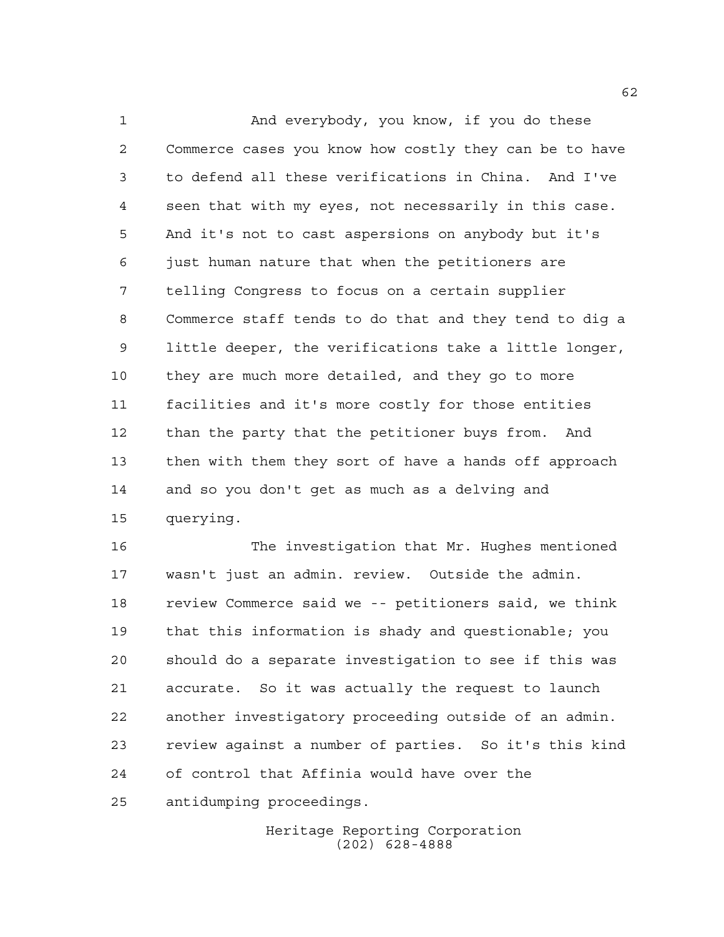And everybody, you know, if you do these Commerce cases you know how costly they can be to have to defend all these verifications in China. And I've seen that with my eyes, not necessarily in this case. And it's not to cast aspersions on anybody but it's just human nature that when the petitioners are telling Congress to focus on a certain supplier Commerce staff tends to do that and they tend to dig a little deeper, the verifications take a little longer, they are much more detailed, and they go to more facilities and it's more costly for those entities than the party that the petitioner buys from. And then with them they sort of have a hands off approach and so you don't get as much as a delving and querying.

 The investigation that Mr. Hughes mentioned wasn't just an admin. review. Outside the admin. review Commerce said we -- petitioners said, we think that this information is shady and questionable; you should do a separate investigation to see if this was accurate. So it was actually the request to launch another investigatory proceeding outside of an admin. review against a number of parties. So it's this kind of control that Affinia would have over the antidumping proceedings.

> Heritage Reporting Corporation (202) 628-4888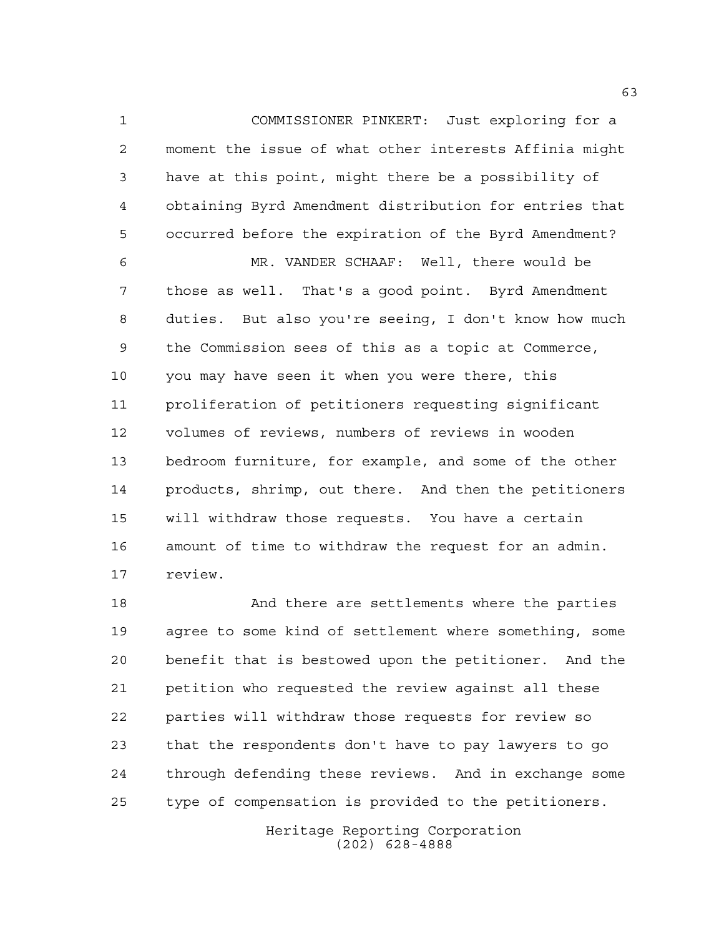COMMISSIONER PINKERT: Just exploring for a moment the issue of what other interests Affinia might have at this point, might there be a possibility of obtaining Byrd Amendment distribution for entries that occurred before the expiration of the Byrd Amendment?

 MR. VANDER SCHAAF: Well, there would be those as well. That's a good point. Byrd Amendment duties. But also you're seeing, I don't know how much the Commission sees of this as a topic at Commerce, you may have seen it when you were there, this proliferation of petitioners requesting significant volumes of reviews, numbers of reviews in wooden bedroom furniture, for example, and some of the other products, shrimp, out there. And then the petitioners will withdraw those requests. You have a certain amount of time to withdraw the request for an admin. review.

 And there are settlements where the parties agree to some kind of settlement where something, some benefit that is bestowed upon the petitioner. And the petition who requested the review against all these parties will withdraw those requests for review so that the respondents don't have to pay lawyers to go through defending these reviews. And in exchange some type of compensation is provided to the petitioners.

> Heritage Reporting Corporation (202) 628-4888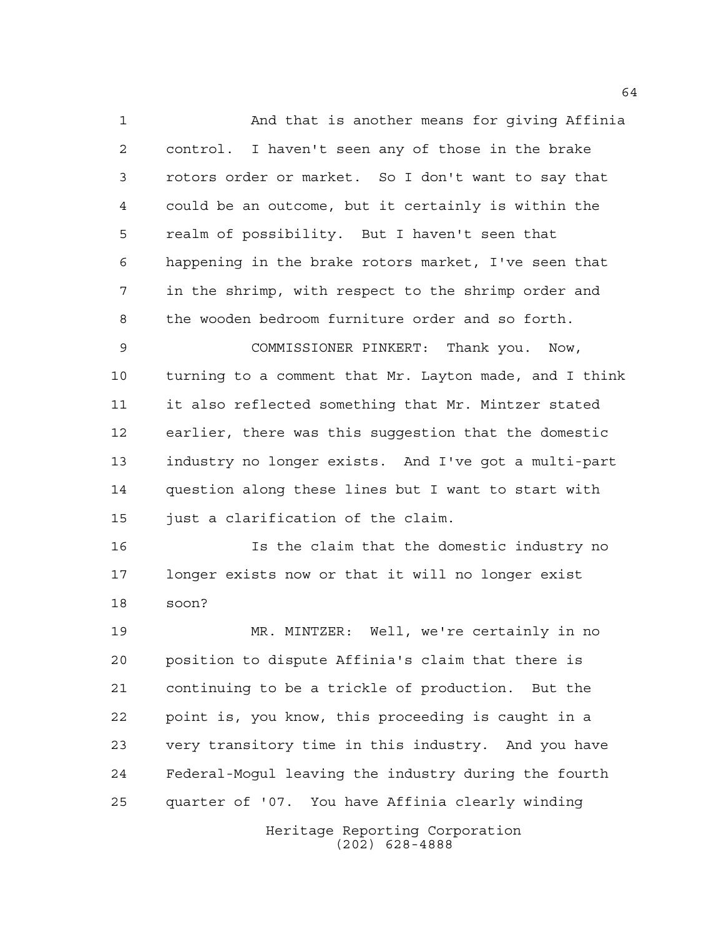And that is another means for giving Affinia control. I haven't seen any of those in the brake rotors order or market. So I don't want to say that could be an outcome, but it certainly is within the realm of possibility. But I haven't seen that happening in the brake rotors market, I've seen that in the shrimp, with respect to the shrimp order and the wooden bedroom furniture order and so forth.

 COMMISSIONER PINKERT: Thank you. Now, turning to a comment that Mr. Layton made, and I think it also reflected something that Mr. Mintzer stated earlier, there was this suggestion that the domestic industry no longer exists. And I've got a multi-part question along these lines but I want to start with 15 just a clarification of the claim.

 Is the claim that the domestic industry no longer exists now or that it will no longer exist soon?

 MR. MINTZER: Well, we're certainly in no position to dispute Affinia's claim that there is continuing to be a trickle of production. But the point is, you know, this proceeding is caught in a very transitory time in this industry. And you have Federal-Mogul leaving the industry during the fourth quarter of '07. You have Affinia clearly winding

> Heritage Reporting Corporation (202) 628-4888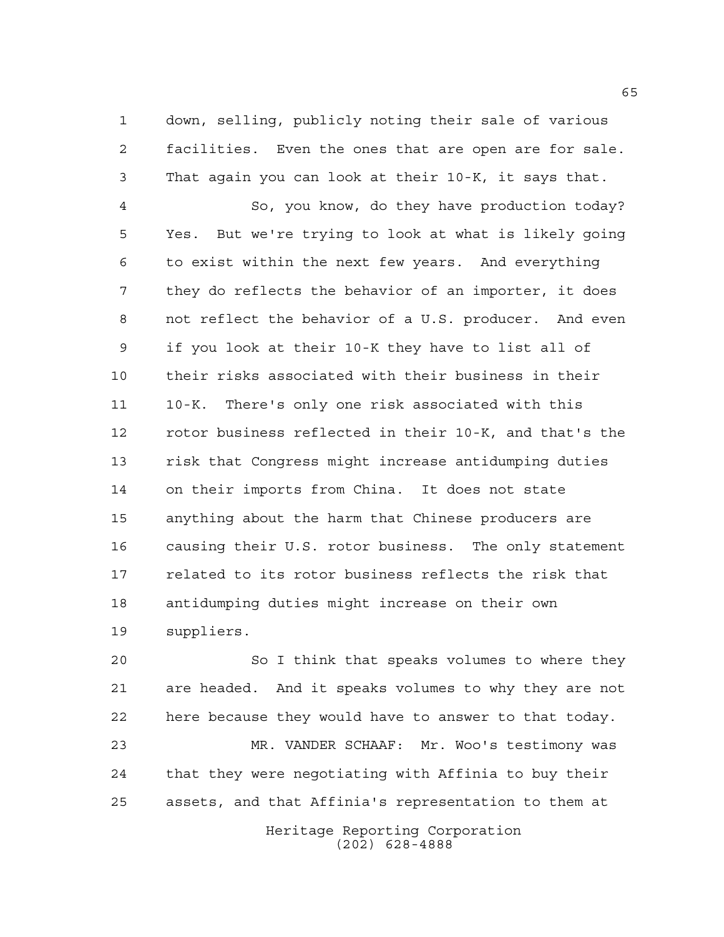down, selling, publicly noting their sale of various facilities. Even the ones that are open are for sale. That again you can look at their 10-K, it says that.

 So, you know, do they have production today? Yes. But we're trying to look at what is likely going to exist within the next few years. And everything they do reflects the behavior of an importer, it does not reflect the behavior of a U.S. producer. And even if you look at their 10-K they have to list all of their risks associated with their business in their 10-K. There's only one risk associated with this rotor business reflected in their 10-K, and that's the risk that Congress might increase antidumping duties on their imports from China. It does not state anything about the harm that Chinese producers are causing their U.S. rotor business. The only statement related to its rotor business reflects the risk that antidumping duties might increase on their own suppliers.

 So I think that speaks volumes to where they are headed. And it speaks volumes to why they are not here because they would have to answer to that today. MR. VANDER SCHAAF: Mr. Woo's testimony was

 that they were negotiating with Affinia to buy their assets, and that Affinia's representation to them at

> Heritage Reporting Corporation (202) 628-4888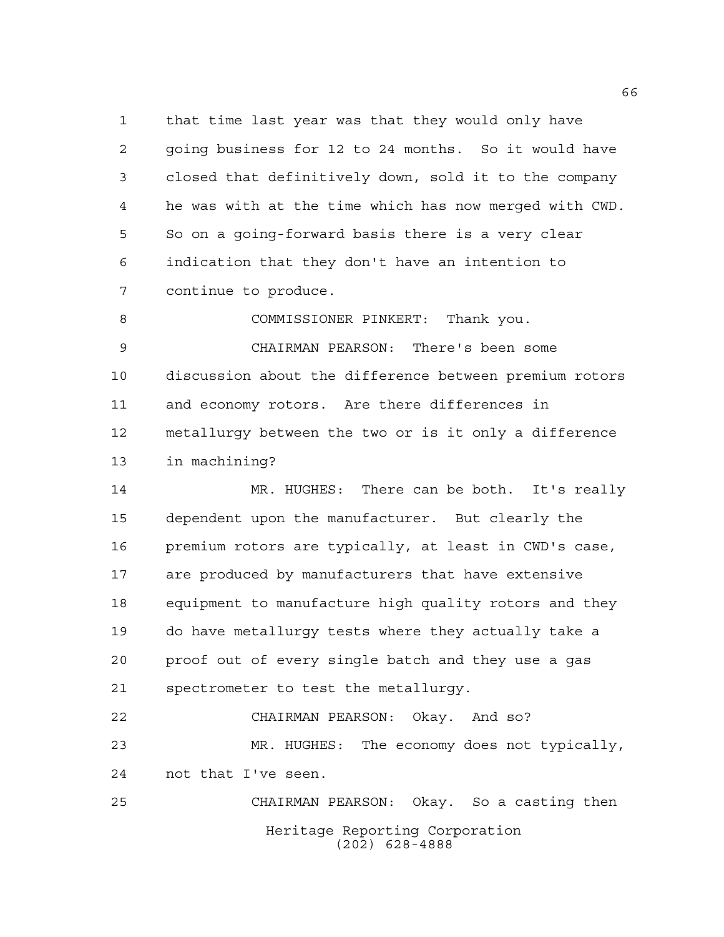that time last year was that they would only have going business for 12 to 24 months. So it would have closed that definitively down, sold it to the company he was with at the time which has now merged with CWD. So on a going-forward basis there is a very clear indication that they don't have an intention to continue to produce.

 COMMISSIONER PINKERT: Thank you. CHAIRMAN PEARSON: There's been some discussion about the difference between premium rotors and economy rotors. Are there differences in metallurgy between the two or is it only a difference in machining?

 MR. HUGHES: There can be both. It's really dependent upon the manufacturer. But clearly the premium rotors are typically, at least in CWD's case, are produced by manufacturers that have extensive equipment to manufacture high quality rotors and they do have metallurgy tests where they actually take a proof out of every single batch and they use a gas spectrometer to test the metallurgy.

 CHAIRMAN PEARSON: Okay. And so? MR. HUGHES: The economy does not typically, not that I've seen. CHAIRMAN PEARSON: Okay. So a casting then

Heritage Reporting Corporation (202) 628-4888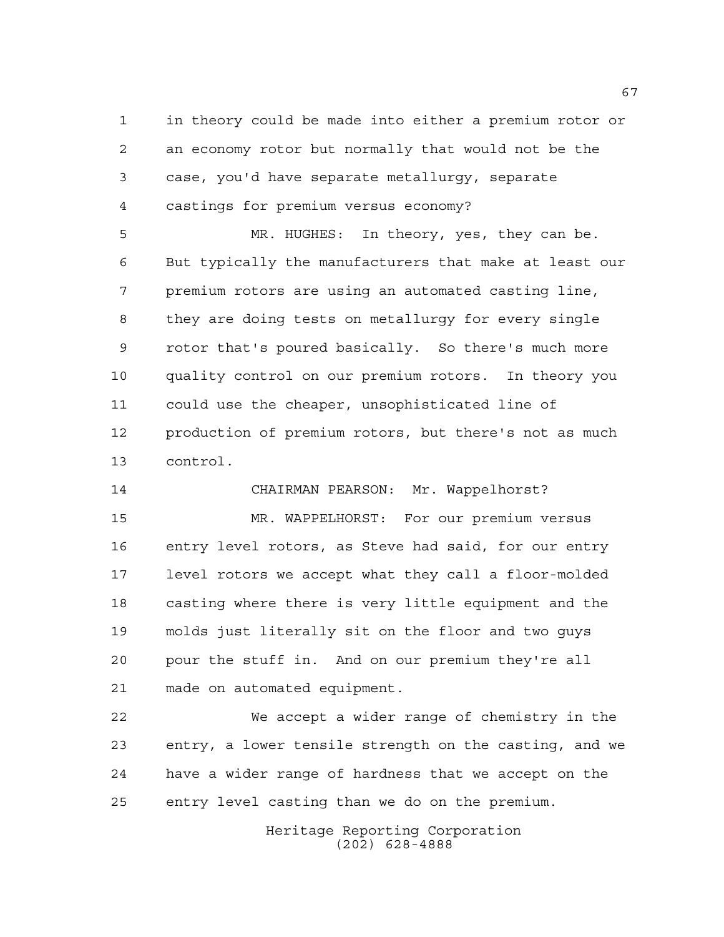in theory could be made into either a premium rotor or an economy rotor but normally that would not be the case, you'd have separate metallurgy, separate castings for premium versus economy?

 MR. HUGHES: In theory, yes, they can be. But typically the manufacturers that make at least our premium rotors are using an automated casting line, they are doing tests on metallurgy for every single rotor that's poured basically. So there's much more quality control on our premium rotors. In theory you could use the cheaper, unsophisticated line of production of premium rotors, but there's not as much control.

 CHAIRMAN PEARSON: Mr. Wappelhorst? MR. WAPPELHORST: For our premium versus entry level rotors, as Steve had said, for our entry level rotors we accept what they call a floor-molded casting where there is very little equipment and the molds just literally sit on the floor and two guys pour the stuff in. And on our premium they're all made on automated equipment.

 We accept a wider range of chemistry in the entry, a lower tensile strength on the casting, and we have a wider range of hardness that we accept on the entry level casting than we do on the premium.

> Heritage Reporting Corporation (202) 628-4888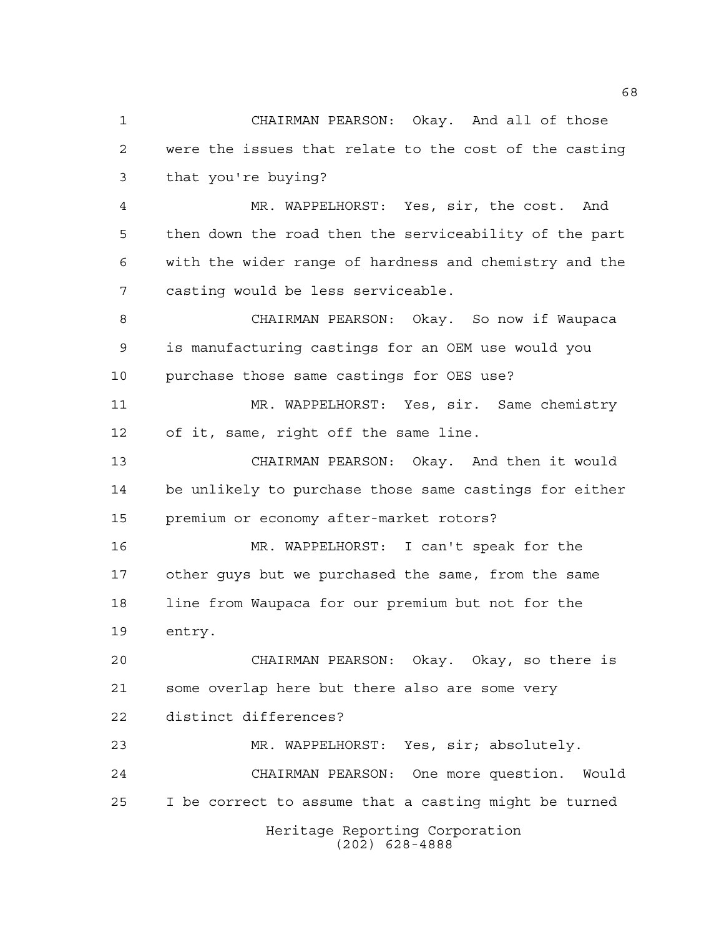CHAIRMAN PEARSON: Okay. And all of those were the issues that relate to the cost of the casting that you're buying?

 MR. WAPPELHORST: Yes, sir, the cost. And then down the road then the serviceability of the part with the wider range of hardness and chemistry and the casting would be less serviceable.

 CHAIRMAN PEARSON: Okay. So now if Waupaca is manufacturing castings for an OEM use would you purchase those same castings for OES use?

 MR. WAPPELHORST: Yes, sir. Same chemistry of it, same, right off the same line.

 CHAIRMAN PEARSON: Okay. And then it would be unlikely to purchase those same castings for either premium or economy after-market rotors?

 MR. WAPPELHORST: I can't speak for the other guys but we purchased the same, from the same line from Waupaca for our premium but not for the entry.

 CHAIRMAN PEARSON: Okay. Okay, so there is some overlap here but there also are some very distinct differences?

Heritage Reporting Corporation (202) 628-4888 MR. WAPPELHORST: Yes, sir; absolutely. CHAIRMAN PEARSON: One more question. Would I be correct to assume that a casting might be turned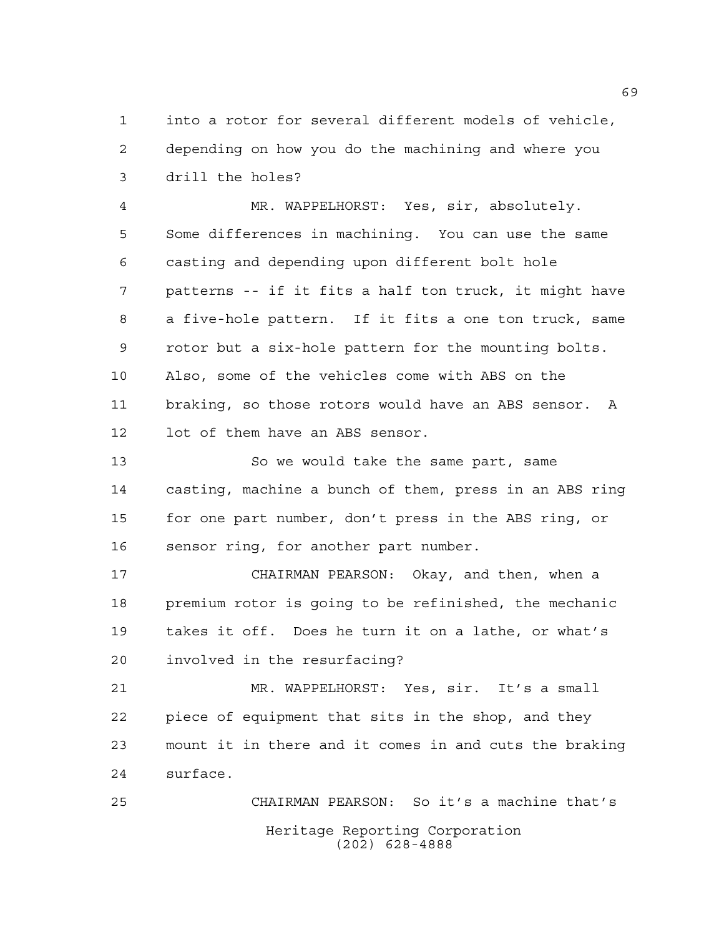into a rotor for several different models of vehicle, depending on how you do the machining and where you drill the holes?

 MR. WAPPELHORST: Yes, sir, absolutely. Some differences in machining. You can use the same casting and depending upon different bolt hole patterns -- if it fits a half ton truck, it might have a five-hole pattern. If it fits a one ton truck, same rotor but a six-hole pattern for the mounting bolts. Also, some of the vehicles come with ABS on the braking, so those rotors would have an ABS sensor. A lot of them have an ABS sensor.

 So we would take the same part, same casting, machine a bunch of them, press in an ABS ring for one part number, don't press in the ABS ring, or sensor ring, for another part number.

 CHAIRMAN PEARSON: Okay, and then, when a premium rotor is going to be refinished, the mechanic takes it off. Does he turn it on a lathe, or what's involved in the resurfacing?

 MR. WAPPELHORST: Yes, sir. It's a small piece of equipment that sits in the shop, and they mount it in there and it comes in and cuts the braking surface.

Heritage Reporting Corporation (202) 628-4888 CHAIRMAN PEARSON: So it's a machine that's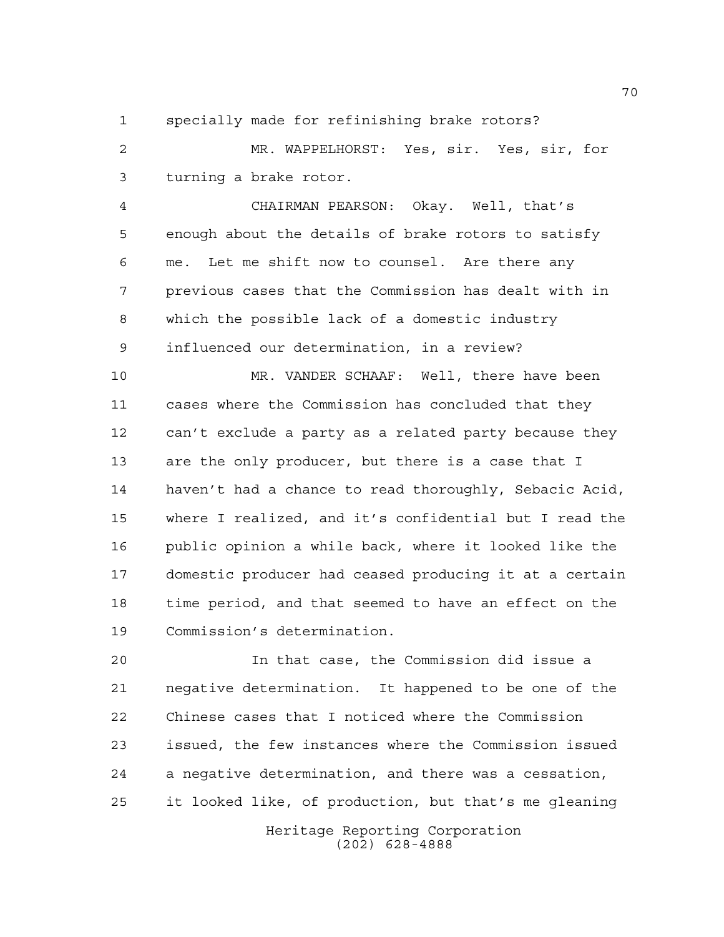specially made for refinishing brake rotors?

 MR. WAPPELHORST: Yes, sir. Yes, sir, for turning a brake rotor.

 CHAIRMAN PEARSON: Okay. Well, that's enough about the details of brake rotors to satisfy me. Let me shift now to counsel. Are there any previous cases that the Commission has dealt with in which the possible lack of a domestic industry influenced our determination, in a review?

 MR. VANDER SCHAAF: Well, there have been cases where the Commission has concluded that they can't exclude a party as a related party because they are the only producer, but there is a case that I haven't had a chance to read thoroughly, Sebacic Acid, where I realized, and it's confidential but I read the public opinion a while back, where it looked like the domestic producer had ceased producing it at a certain time period, and that seemed to have an effect on the Commission's determination.

 In that case, the Commission did issue a negative determination. It happened to be one of the Chinese cases that I noticed where the Commission issued, the few instances where the Commission issued a negative determination, and there was a cessation, it looked like, of production, but that's me gleaning

> Heritage Reporting Corporation (202) 628-4888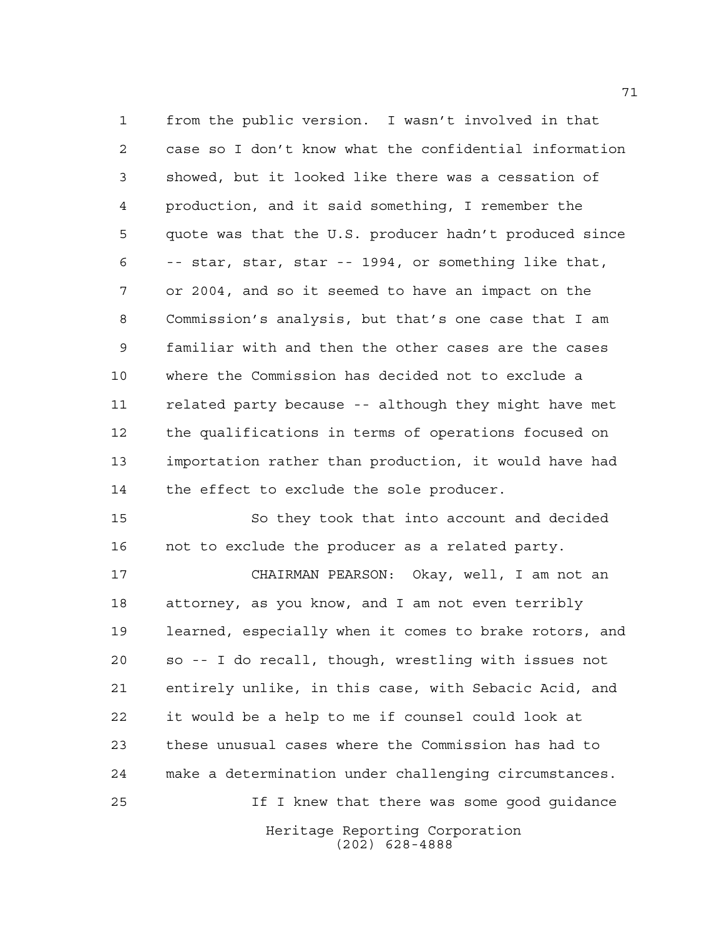from the public version. I wasn't involved in that case so I don't know what the confidential information showed, but it looked like there was a cessation of production, and it said something, I remember the quote was that the U.S. producer hadn't produced since -- star, star, star -- 1994, or something like that, or 2004, and so it seemed to have an impact on the Commission's analysis, but that's one case that I am familiar with and then the other cases are the cases where the Commission has decided not to exclude a related party because -- although they might have met the qualifications in terms of operations focused on importation rather than production, it would have had 14 the effect to exclude the sole producer.

 So they took that into account and decided not to exclude the producer as a related party.

 CHAIRMAN PEARSON: Okay, well, I am not an attorney, as you know, and I am not even terribly learned, especially when it comes to brake rotors, and so -- I do recall, though, wrestling with issues not entirely unlike, in this case, with Sebacic Acid, and it would be a help to me if counsel could look at these unusual cases where the Commission has had to make a determination under challenging circumstances. If I knew that there was some good guidance

Heritage Reporting Corporation (202) 628-4888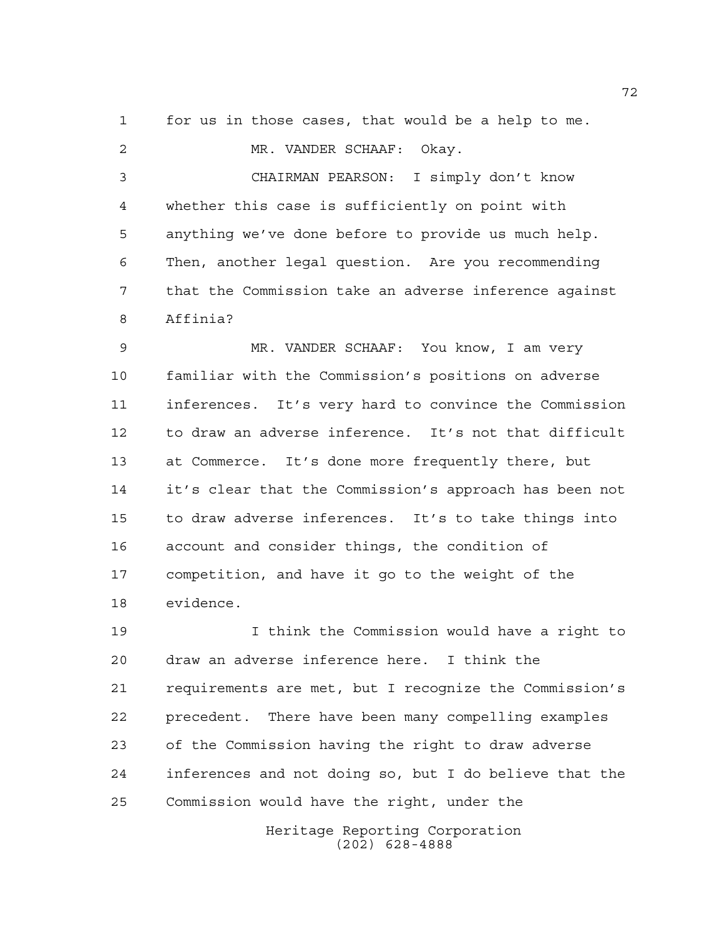for us in those cases, that would be a help to me.

 MR. VANDER SCHAAF: Okay. CHAIRMAN PEARSON: I simply don't know whether this case is sufficiently on point with anything we've done before to provide us much help. Then, another legal question. Are you recommending that the Commission take an adverse inference against Affinia?

 MR. VANDER SCHAAF: You know, I am very familiar with the Commission's positions on adverse inferences. It's very hard to convince the Commission to draw an adverse inference. It's not that difficult at Commerce. It's done more frequently there, but it's clear that the Commission's approach has been not to draw adverse inferences. It's to take things into account and consider things, the condition of competition, and have it go to the weight of the evidence.

 I think the Commission would have a right to draw an adverse inference here. I think the requirements are met, but I recognize the Commission's precedent. There have been many compelling examples of the Commission having the right to draw adverse inferences and not doing so, but I do believe that the Commission would have the right, under the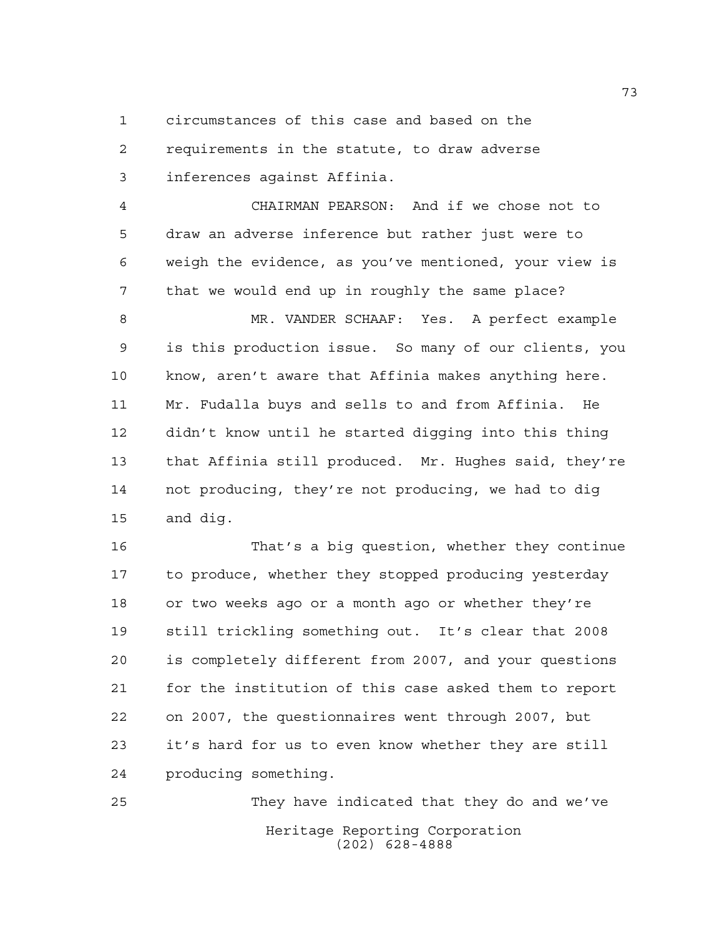circumstances of this case and based on the requirements in the statute, to draw adverse

inferences against Affinia.

 CHAIRMAN PEARSON: And if we chose not to draw an adverse inference but rather just were to weigh the evidence, as you've mentioned, your view is that we would end up in roughly the same place?

 MR. VANDER SCHAAF: Yes. A perfect example is this production issue. So many of our clients, you know, aren't aware that Affinia makes anything here. Mr. Fudalla buys and sells to and from Affinia. He didn't know until he started digging into this thing that Affinia still produced. Mr. Hughes said, they're not producing, they're not producing, we had to dig and dig.

 That's a big question, whether they continue to produce, whether they stopped producing yesterday or two weeks ago or a month ago or whether they're still trickling something out. It's clear that 2008 is completely different from 2007, and your questions for the institution of this case asked them to report on 2007, the questionnaires went through 2007, but it's hard for us to even know whether they are still producing something.

Heritage Reporting Corporation (202) 628-4888 They have indicated that they do and we've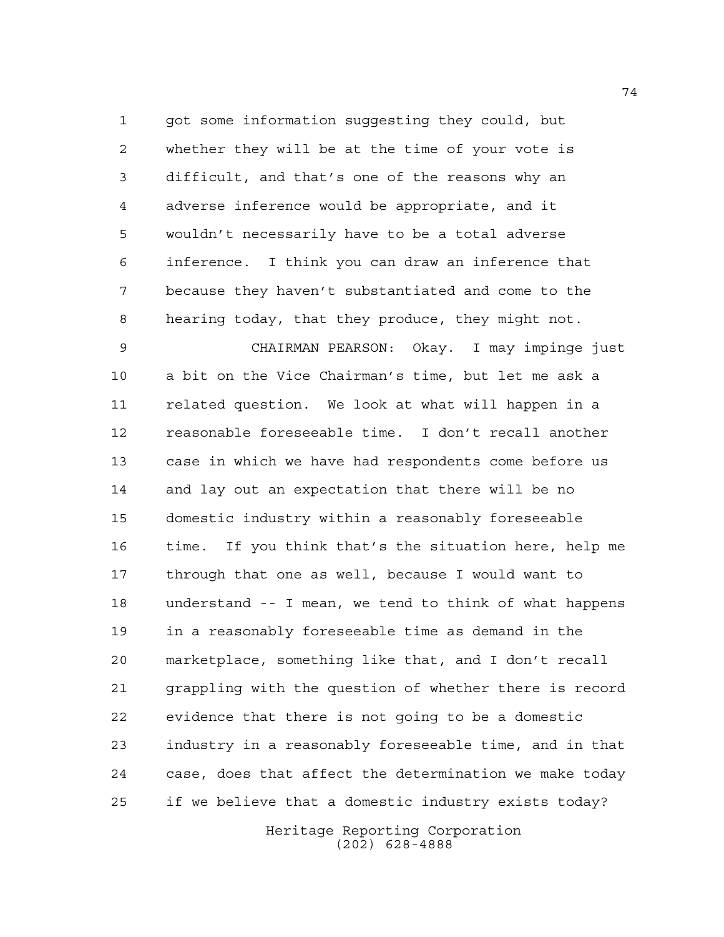got some information suggesting they could, but whether they will be at the time of your vote is difficult, and that's one of the reasons why an adverse inference would be appropriate, and it wouldn't necessarily have to be a total adverse inference. I think you can draw an inference that because they haven't substantiated and come to the hearing today, that they produce, they might not.

 CHAIRMAN PEARSON: Okay. I may impinge just a bit on the Vice Chairman's time, but let me ask a related question. We look at what will happen in a reasonable foreseeable time. I don't recall another case in which we have had respondents come before us and lay out an expectation that there will be no domestic industry within a reasonably foreseeable time. If you think that's the situation here, help me through that one as well, because I would want to understand -- I mean, we tend to think of what happens in a reasonably foreseeable time as demand in the marketplace, something like that, and I don't recall grappling with the question of whether there is record evidence that there is not going to be a domestic industry in a reasonably foreseeable time, and in that case, does that affect the determination we make today if we believe that a domestic industry exists today?

> Heritage Reporting Corporation (202) 628-4888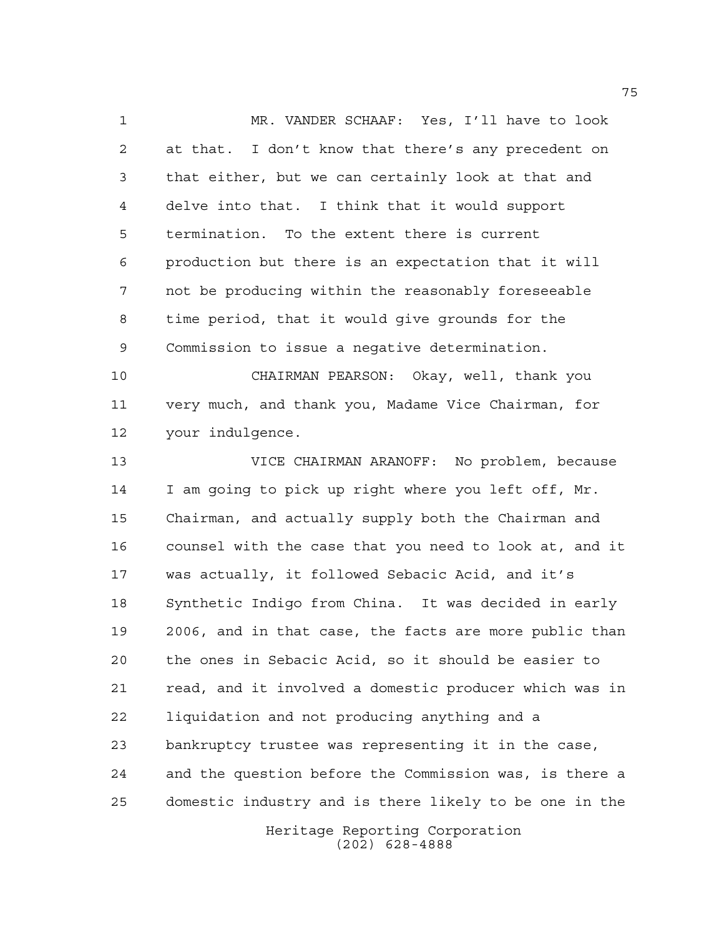MR. VANDER SCHAAF: Yes, I'll have to look at that. I don't know that there's any precedent on that either, but we can certainly look at that and delve into that. I think that it would support termination. To the extent there is current production but there is an expectation that it will not be producing within the reasonably foreseeable time period, that it would give grounds for the Commission to issue a negative determination.

 CHAIRMAN PEARSON: Okay, well, thank you very much, and thank you, Madame Vice Chairman, for your indulgence.

 VICE CHAIRMAN ARANOFF: No problem, because I am going to pick up right where you left off, Mr. Chairman, and actually supply both the Chairman and counsel with the case that you need to look at, and it was actually, it followed Sebacic Acid, and it's Synthetic Indigo from China. It was decided in early 2006, and in that case, the facts are more public than the ones in Sebacic Acid, so it should be easier to read, and it involved a domestic producer which was in liquidation and not producing anything and a bankruptcy trustee was representing it in the case, and the question before the Commission was, is there a domestic industry and is there likely to be one in the

> Heritage Reporting Corporation (202) 628-4888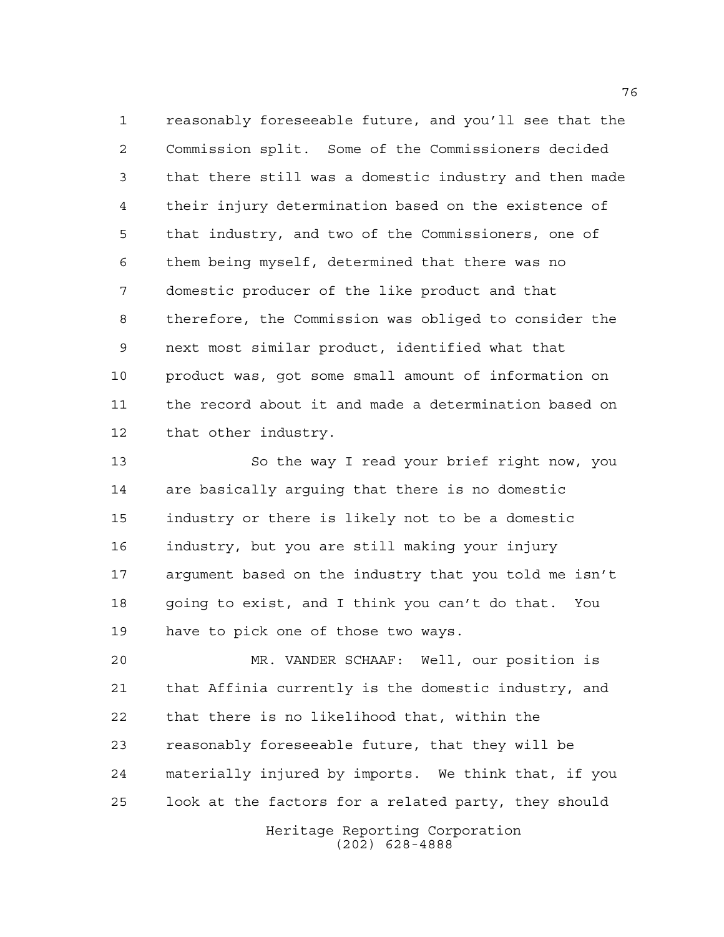reasonably foreseeable future, and you'll see that the Commission split. Some of the Commissioners decided that there still was a domestic industry and then made their injury determination based on the existence of that industry, and two of the Commissioners, one of them being myself, determined that there was no domestic producer of the like product and that therefore, the Commission was obliged to consider the next most similar product, identified what that product was, got some small amount of information on the record about it and made a determination based on that other industry.

 So the way I read your brief right now, you are basically arguing that there is no domestic industry or there is likely not to be a domestic industry, but you are still making your injury argument based on the industry that you told me isn't going to exist, and I think you can't do that. You have to pick one of those two ways.

 MR. VANDER SCHAAF: Well, our position is that Affinia currently is the domestic industry, and that there is no likelihood that, within the reasonably foreseeable future, that they will be materially injured by imports. We think that, if you look at the factors for a related party, they should

> Heritage Reporting Corporation (202) 628-4888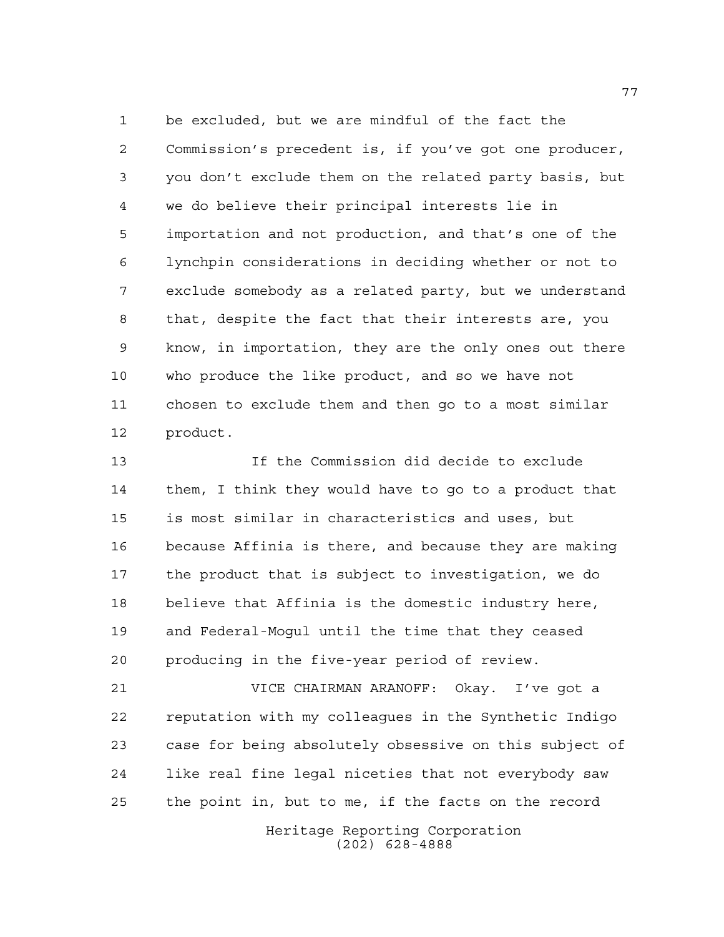be excluded, but we are mindful of the fact the Commission's precedent is, if you've got one producer, you don't exclude them on the related party basis, but we do believe their principal interests lie in importation and not production, and that's one of the lynchpin considerations in deciding whether or not to exclude somebody as a related party, but we understand that, despite the fact that their interests are, you know, in importation, they are the only ones out there who produce the like product, and so we have not chosen to exclude them and then go to a most similar product.

 If the Commission did decide to exclude them, I think they would have to go to a product that is most similar in characteristics and uses, but because Affinia is there, and because they are making the product that is subject to investigation, we do believe that Affinia is the domestic industry here, and Federal-Mogul until the time that they ceased producing in the five-year period of review.

 VICE CHAIRMAN ARANOFF: Okay. I've got a reputation with my colleagues in the Synthetic Indigo case for being absolutely obsessive on this subject of like real fine legal niceties that not everybody saw the point in, but to me, if the facts on the record

> Heritage Reporting Corporation (202) 628-4888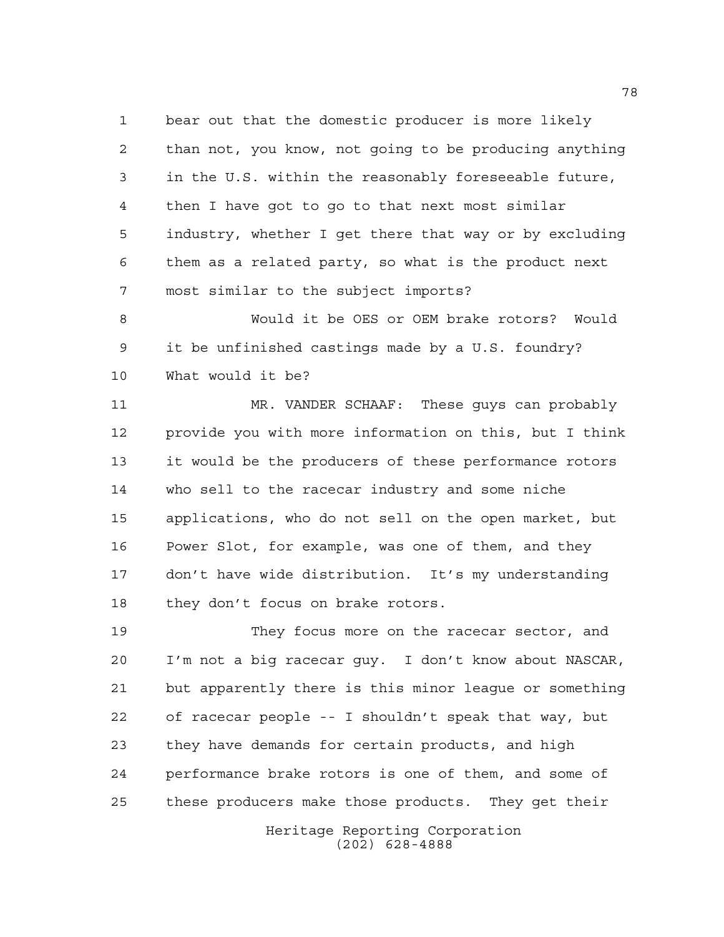bear out that the domestic producer is more likely than not, you know, not going to be producing anything in the U.S. within the reasonably foreseeable future, then I have got to go to that next most similar industry, whether I get there that way or by excluding them as a related party, so what is the product next most similar to the subject imports?

 Would it be OES or OEM brake rotors? Would it be unfinished castings made by a U.S. foundry? What would it be?

 MR. VANDER SCHAAF: These guys can probably provide you with more information on this, but I think it would be the producers of these performance rotors who sell to the racecar industry and some niche applications, who do not sell on the open market, but Power Slot, for example, was one of them, and they don't have wide distribution. It's my understanding 18 they don't focus on brake rotors.

 They focus more on the racecar sector, and I'm not a big racecar guy. I don't know about NASCAR, but apparently there is this minor league or something of racecar people -- I shouldn't speak that way, but they have demands for certain products, and high performance brake rotors is one of them, and some of these producers make those products. They get their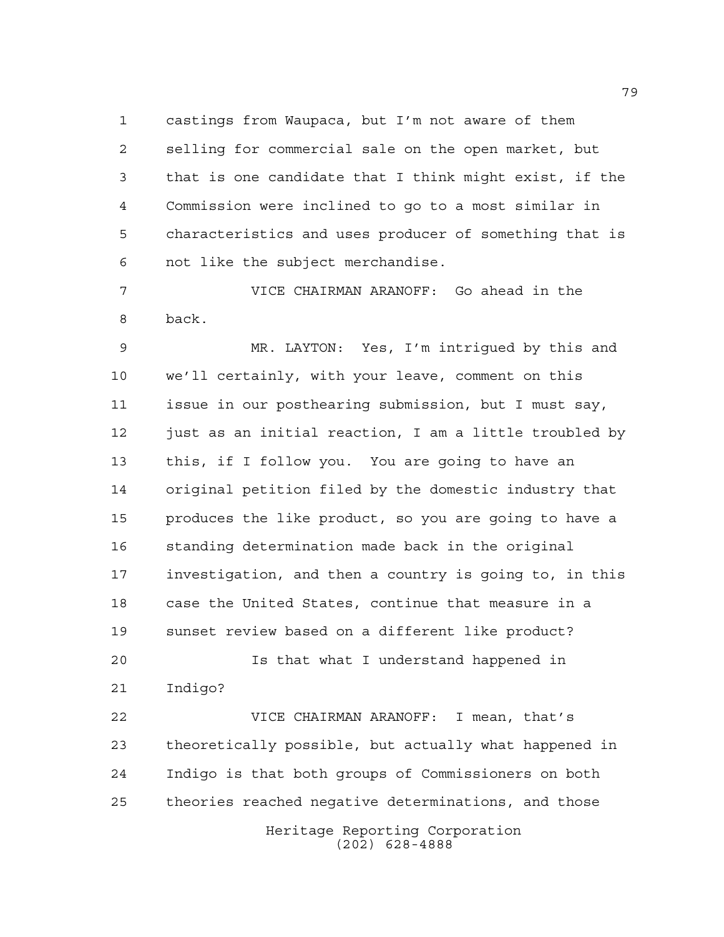castings from Waupaca, but I'm not aware of them selling for commercial sale on the open market, but that is one candidate that I think might exist, if the Commission were inclined to go to a most similar in characteristics and uses producer of something that is not like the subject merchandise.

 VICE CHAIRMAN ARANOFF: Go ahead in the back.

 MR. LAYTON: Yes, I'm intrigued by this and we'll certainly, with your leave, comment on this issue in our posthearing submission, but I must say, 12 just as an initial reaction, I am a little troubled by this, if I follow you. You are going to have an original petition filed by the domestic industry that produces the like product, so you are going to have a standing determination made back in the original investigation, and then a country is going to, in this case the United States, continue that measure in a sunset review based on a different like product?

 Is that what I understand happened in Indigo?

Heritage Reporting Corporation VICE CHAIRMAN ARANOFF: I mean, that's theoretically possible, but actually what happened in Indigo is that both groups of Commissioners on both theories reached negative determinations, and those

(202) 628-4888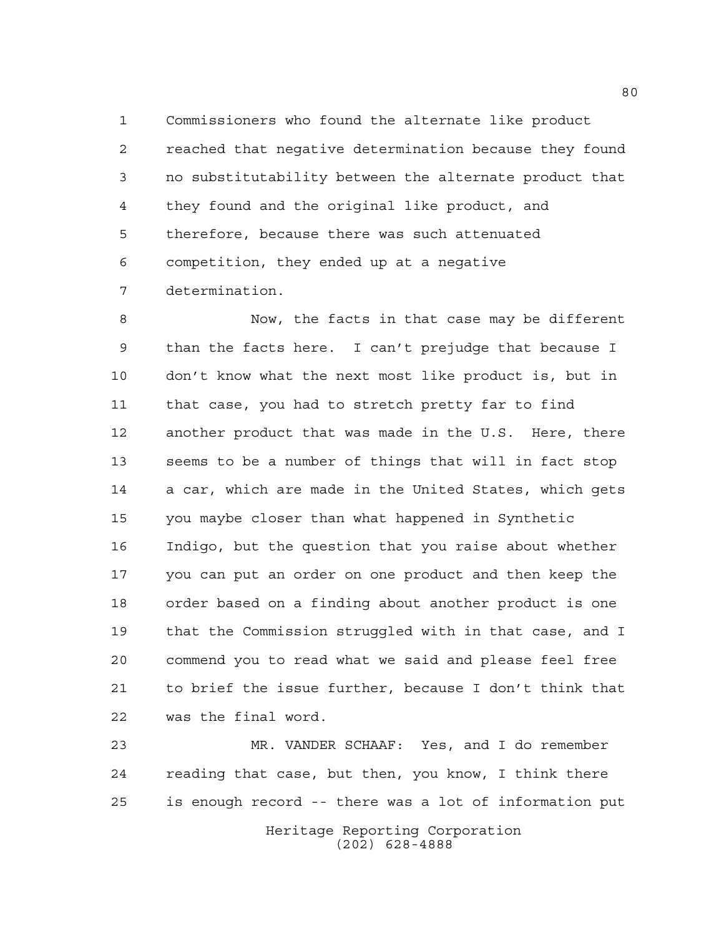Commissioners who found the alternate like product reached that negative determination because they found no substitutability between the alternate product that they found and the original like product, and therefore, because there was such attenuated competition, they ended up at a negative determination.

 Now, the facts in that case may be different than the facts here. I can't prejudge that because I don't know what the next most like product is, but in that case, you had to stretch pretty far to find another product that was made in the U.S. Here, there seems to be a number of things that will in fact stop a car, which are made in the United States, which gets you maybe closer than what happened in Synthetic Indigo, but the question that you raise about whether you can put an order on one product and then keep the order based on a finding about another product is one that the Commission struggled with in that case, and I commend you to read what we said and please feel free to brief the issue further, because I don't think that was the final word.

Heritage Reporting Corporation (202) 628-4888 MR. VANDER SCHAAF: Yes, and I do remember reading that case, but then, you know, I think there is enough record -- there was a lot of information put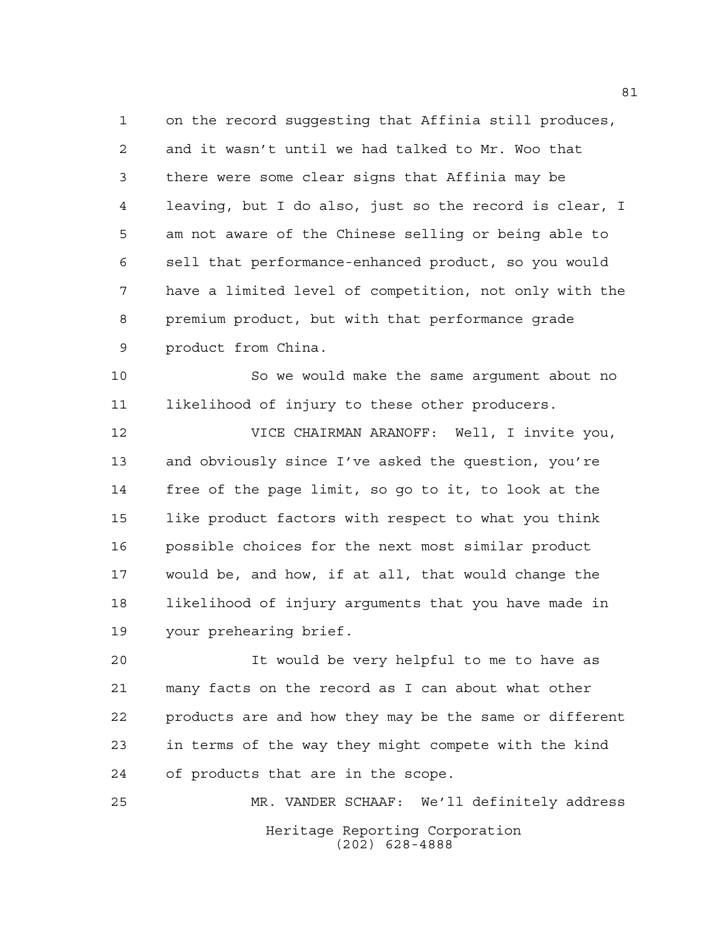on the record suggesting that Affinia still produces, and it wasn't until we had talked to Mr. Woo that there were some clear signs that Affinia may be leaving, but I do also, just so the record is clear, I am not aware of the Chinese selling or being able to sell that performance-enhanced product, so you would have a limited level of competition, not only with the premium product, but with that performance grade product from China.

 So we would make the same argument about no likelihood of injury to these other producers.

 VICE CHAIRMAN ARANOFF: Well, I invite you, and obviously since I've asked the question, you're free of the page limit, so go to it, to look at the like product factors with respect to what you think possible choices for the next most similar product would be, and how, if at all, that would change the likelihood of injury arguments that you have made in your prehearing brief.

 It would be very helpful to me to have as many facts on the record as I can about what other products are and how they may be the same or different in terms of the way they might compete with the kind of products that are in the scope.

Heritage Reporting Corporation (202) 628-4888 MR. VANDER SCHAAF: We'll definitely address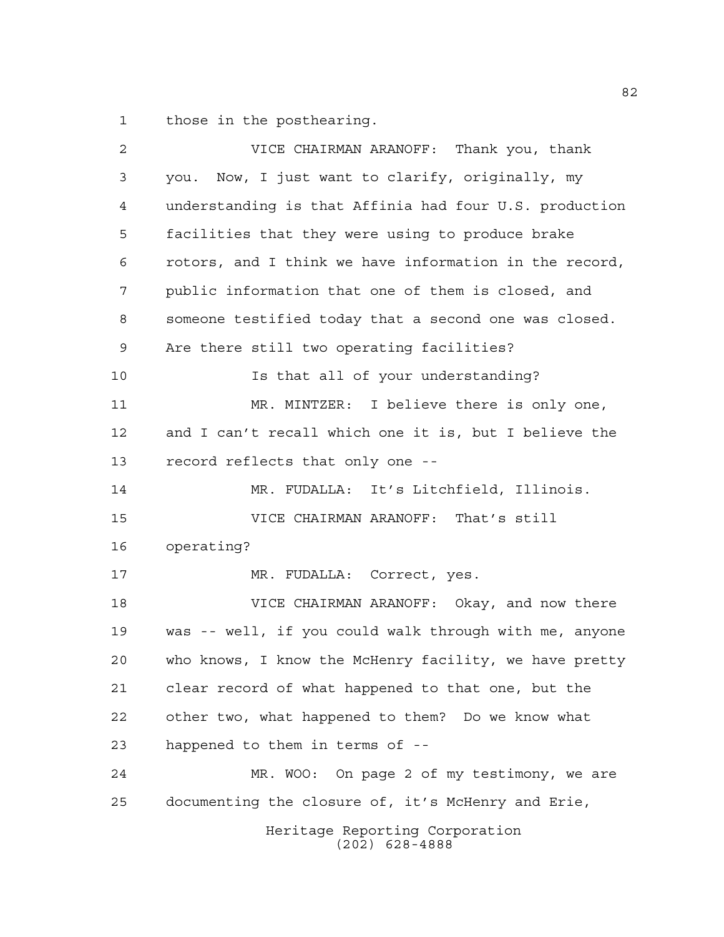those in the posthearing.

| $\overline{2}$ | VICE CHAIRMAN ARANOFF: Thank you, thank                |
|----------------|--------------------------------------------------------|
| 3              | you. Now, I just want to clarify, originally, my       |
| 4              | understanding is that Affinia had four U.S. production |
| 5              | facilities that they were using to produce brake       |
| 6              | rotors, and I think we have information in the record, |
| 7              | public information that one of them is closed, and     |
| 8              | someone testified today that a second one was closed.  |
| 9              | Are there still two operating facilities?              |
| 10             | Is that all of your understanding?                     |
| 11             | MR. MINTZER: I believe there is only one,              |
| 12             | and I can't recall which one it is, but I believe the  |
| 13             | record reflects that only one --                       |
| 14             | MR. FUDALLA: It's Litchfield, Illinois.                |
| 15             | VICE CHAIRMAN ARANOFF: That's still                    |
| 16             | operating?                                             |
| 17             | MR. FUDALLA: Correct, yes.                             |
| 18             | VICE CHAIRMAN ARANOFF: Okay, and now there             |
| 19             | was -- well, if you could walk through with me, anyone |
| 20             | who knows, I know the McHenry facility, we have pretty |
| 21             | clear record of what happened to that one, but the     |
| 22             | other two, what happened to them? Do we know what      |
| 23             | happened to them in terms of --                        |
| 24             | MR. WOO: On page 2 of my testimony, we are             |
| 25             | documenting the closure of, it's McHenry and Erie,     |
|                | Heritage Reporting Corporation<br>$(202)$ 628-4888     |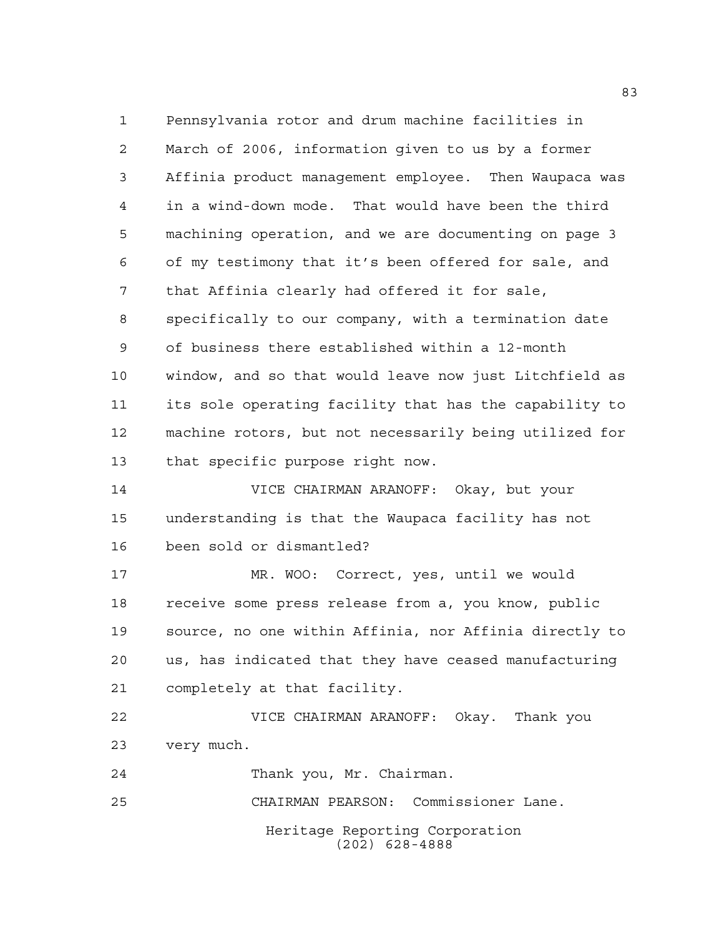Heritage Reporting Corporation Pennsylvania rotor and drum machine facilities in March of 2006, information given to us by a former Affinia product management employee. Then Waupaca was in a wind-down mode. That would have been the third machining operation, and we are documenting on page 3 of my testimony that it's been offered for sale, and that Affinia clearly had offered it for sale, specifically to our company, with a termination date of business there established within a 12-month window, and so that would leave now just Litchfield as its sole operating facility that has the capability to machine rotors, but not necessarily being utilized for that specific purpose right now. VICE CHAIRMAN ARANOFF: Okay, but your understanding is that the Waupaca facility has not been sold or dismantled? MR. WOO: Correct, yes, until we would receive some press release from a, you know, public source, no one within Affinia, nor Affinia directly to us, has indicated that they have ceased manufacturing completely at that facility. VICE CHAIRMAN ARANOFF: Okay. Thank you very much. Thank you, Mr. Chairman. CHAIRMAN PEARSON: Commissioner Lane.

(202) 628-4888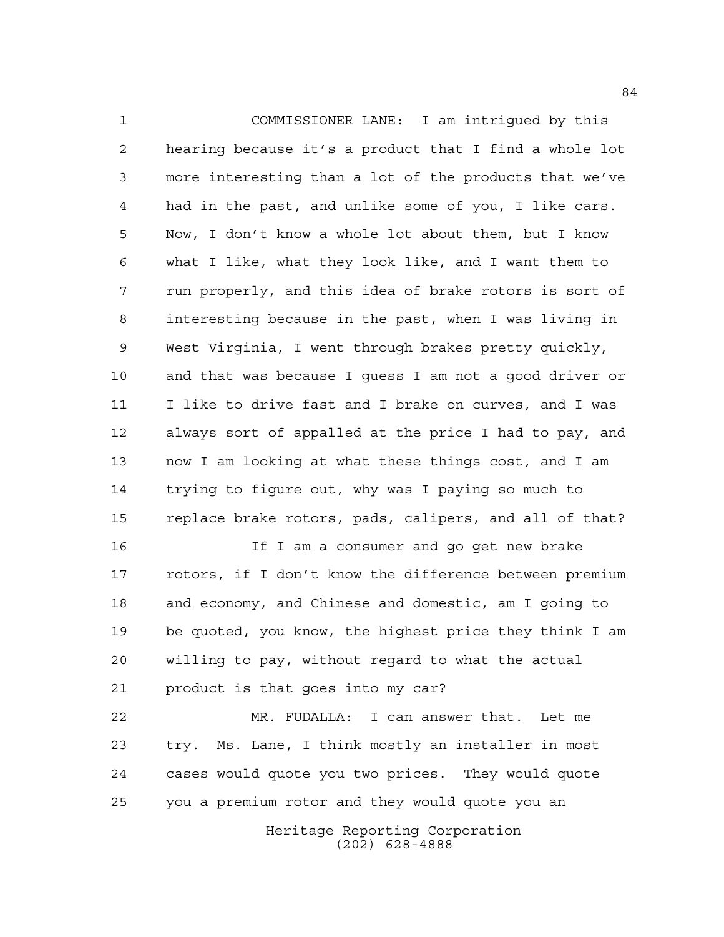COMMISSIONER LANE: I am intrigued by this hearing because it's a product that I find a whole lot more interesting than a lot of the products that we've had in the past, and unlike some of you, I like cars. Now, I don't know a whole lot about them, but I know what I like, what they look like, and I want them to run properly, and this idea of brake rotors is sort of interesting because in the past, when I was living in West Virginia, I went through brakes pretty quickly, and that was because I guess I am not a good driver or I like to drive fast and I brake on curves, and I was always sort of appalled at the price I had to pay, and now I am looking at what these things cost, and I am trying to figure out, why was I paying so much to replace brake rotors, pads, calipers, and all of that?

 If I am a consumer and go get new brake rotors, if I don't know the difference between premium and economy, and Chinese and domestic, am I going to be quoted, you know, the highest price they think I am willing to pay, without regard to what the actual product is that goes into my car?

 MR. FUDALLA: I can answer that. Let me try. Ms. Lane, I think mostly an installer in most cases would quote you two prices. They would quote you a premium rotor and they would quote you an

> Heritage Reporting Corporation (202) 628-4888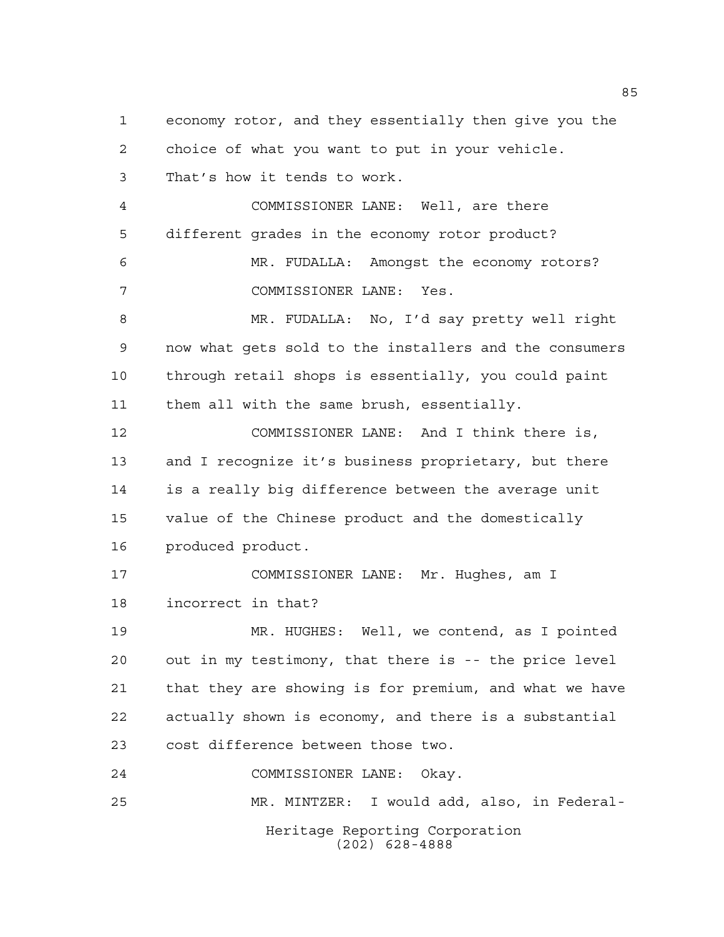Heritage Reporting Corporation economy rotor, and they essentially then give you the choice of what you want to put in your vehicle. That's how it tends to work. COMMISSIONER LANE: Well, are there different grades in the economy rotor product? MR. FUDALLA: Amongst the economy rotors? COMMISSIONER LANE: Yes. MR. FUDALLA: No, I'd say pretty well right now what gets sold to the installers and the consumers through retail shops is essentially, you could paint them all with the same brush, essentially. COMMISSIONER LANE: And I think there is, and I recognize it's business proprietary, but there is a really big difference between the average unit value of the Chinese product and the domestically produced product. COMMISSIONER LANE: Mr. Hughes, am I incorrect in that? MR. HUGHES: Well, we contend, as I pointed out in my testimony, that there is -- the price level that they are showing is for premium, and what we have actually shown is economy, and there is a substantial cost difference between those two. COMMISSIONER LANE: Okay. MR. MINTZER: I would add, also, in Federal-

(202) 628-4888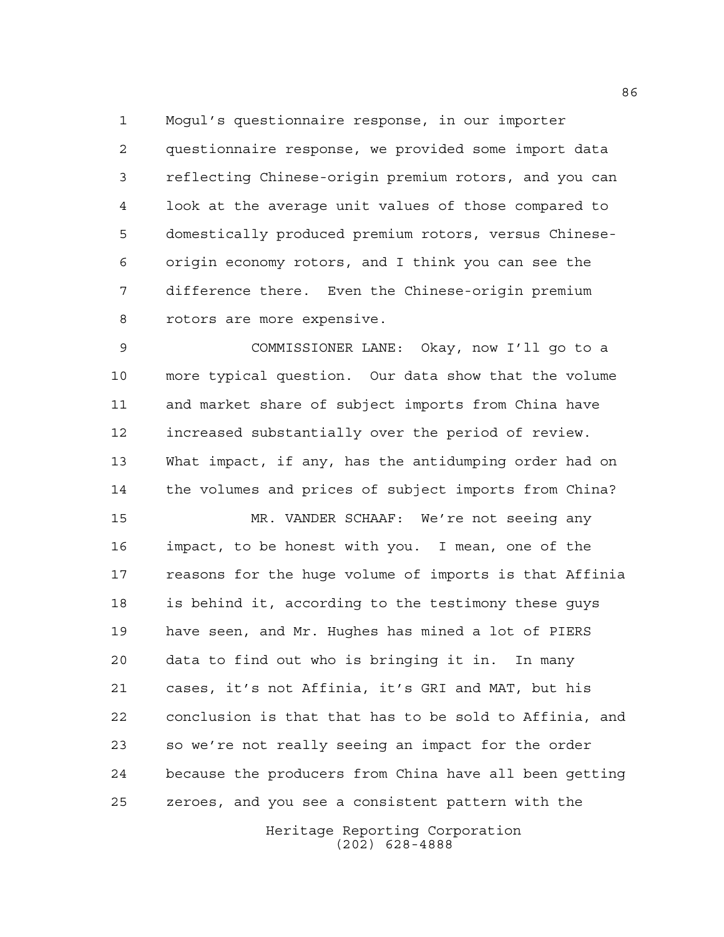Mogul's questionnaire response, in our importer questionnaire response, we provided some import data reflecting Chinese-origin premium rotors, and you can look at the average unit values of those compared to domestically produced premium rotors, versus Chinese- origin economy rotors, and I think you can see the difference there. Even the Chinese-origin premium rotors are more expensive.

 COMMISSIONER LANE: Okay, now I'll go to a more typical question. Our data show that the volume and market share of subject imports from China have increased substantially over the period of review. What impact, if any, has the antidumping order had on the volumes and prices of subject imports from China?

 MR. VANDER SCHAAF: We're not seeing any impact, to be honest with you. I mean, one of the reasons for the huge volume of imports is that Affinia is behind it, according to the testimony these guys have seen, and Mr. Hughes has mined a lot of PIERS data to find out who is bringing it in. In many cases, it's not Affinia, it's GRI and MAT, but his conclusion is that that has to be sold to Affinia, and so we're not really seeing an impact for the order because the producers from China have all been getting zeroes, and you see a consistent pattern with the

> Heritage Reporting Corporation (202) 628-4888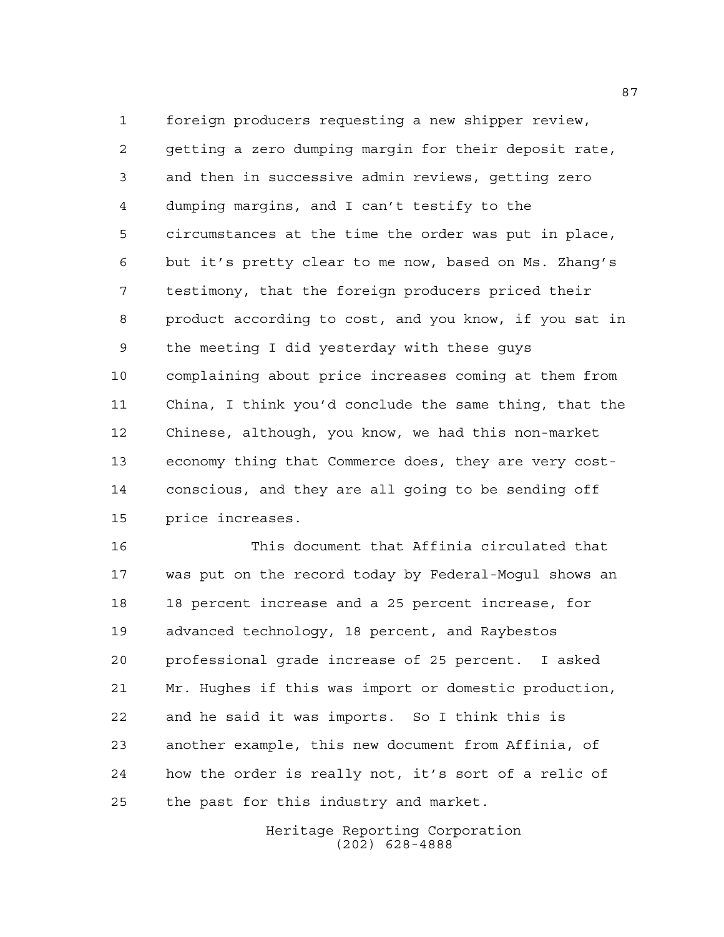foreign producers requesting a new shipper review, getting a zero dumping margin for their deposit rate, and then in successive admin reviews, getting zero dumping margins, and I can't testify to the circumstances at the time the order was put in place, but it's pretty clear to me now, based on Ms. Zhang's testimony, that the foreign producers priced their product according to cost, and you know, if you sat in the meeting I did yesterday with these guys complaining about price increases coming at them from China, I think you'd conclude the same thing, that the Chinese, although, you know, we had this non-market economy thing that Commerce does, they are very cost- conscious, and they are all going to be sending off price increases.

 This document that Affinia circulated that was put on the record today by Federal-Mogul shows an 18 percent increase and a 25 percent increase, for advanced technology, 18 percent, and Raybestos professional grade increase of 25 percent. I asked Mr. Hughes if this was import or domestic production, and he said it was imports. So I think this is another example, this new document from Affinia, of how the order is really not, it's sort of a relic of the past for this industry and market.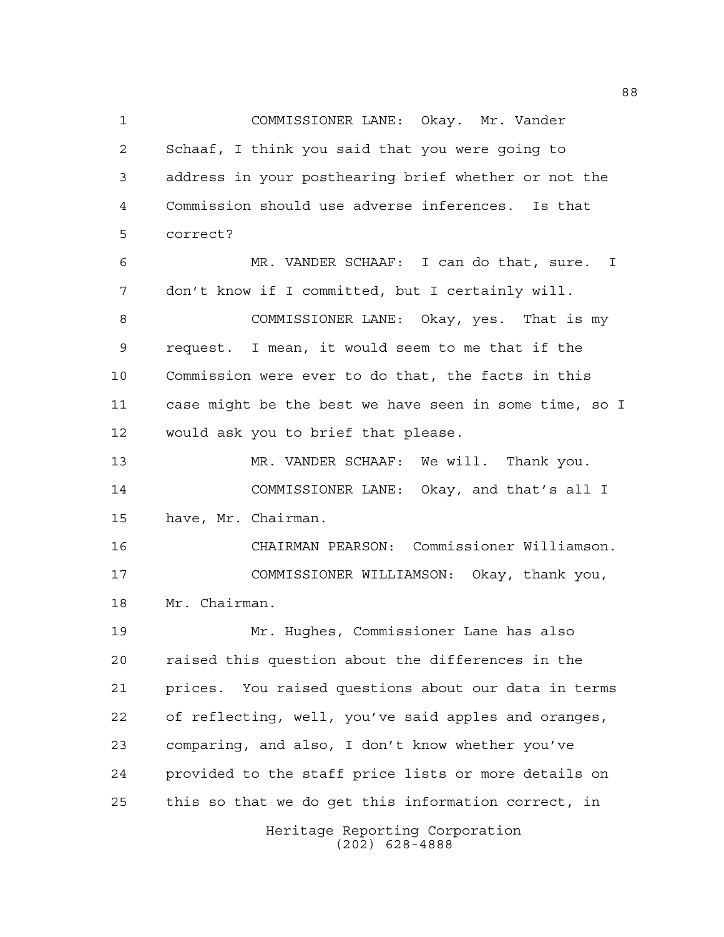Heritage Reporting Corporation COMMISSIONER LANE: Okay. Mr. Vander Schaaf, I think you said that you were going to address in your posthearing brief whether or not the Commission should use adverse inferences. Is that correct? MR. VANDER SCHAAF: I can do that, sure. I don't know if I committed, but I certainly will. COMMISSIONER LANE: Okay, yes. That is my request. I mean, it would seem to me that if the Commission were ever to do that, the facts in this case might be the best we have seen in some time, so I would ask you to brief that please. MR. VANDER SCHAAF: We will. Thank you. COMMISSIONER LANE: Okay, and that's all I have, Mr. Chairman. CHAIRMAN PEARSON: Commissioner Williamson. COMMISSIONER WILLIAMSON: Okay, thank you, Mr. Chairman. Mr. Hughes, Commissioner Lane has also raised this question about the differences in the prices. You raised questions about our data in terms of reflecting, well, you've said apples and oranges, comparing, and also, I don't know whether you've provided to the staff price lists or more details on this so that we do get this information correct, in

(202) 628-4888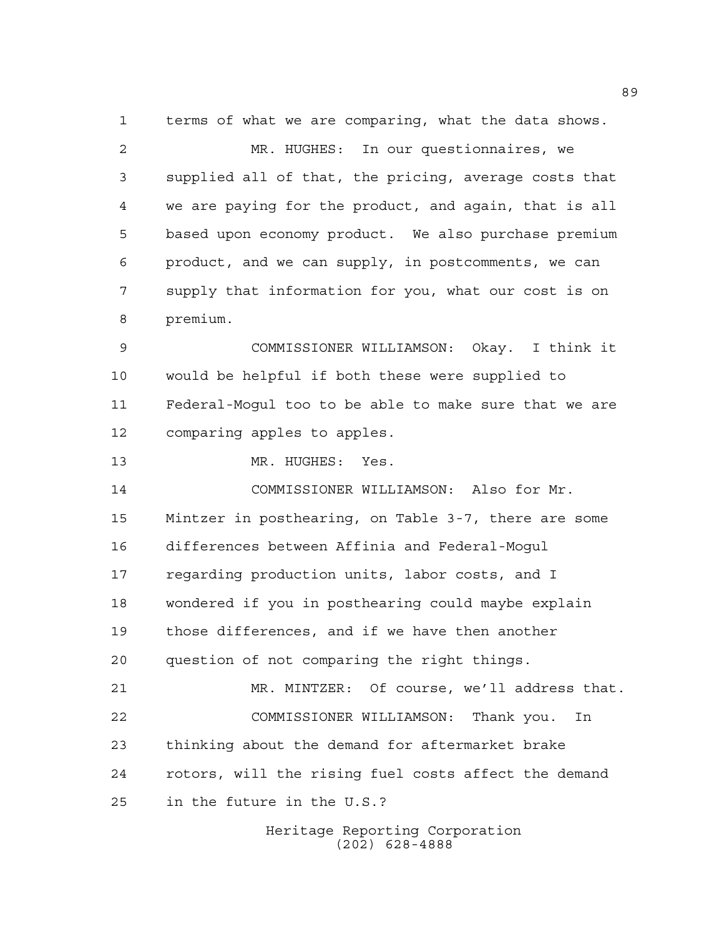terms of what we are comparing, what the data shows.

 MR. HUGHES: In our questionnaires, we supplied all of that, the pricing, average costs that we are paying for the product, and again, that is all based upon economy product. We also purchase premium product, and we can supply, in postcomments, we can supply that information for you, what our cost is on premium.

 COMMISSIONER WILLIAMSON: Okay. I think it would be helpful if both these were supplied to Federal-Mogul too to be able to make sure that we are comparing apples to apples.

13 MR. HUGHES: Yes.

 COMMISSIONER WILLIAMSON: Also for Mr. Mintzer in posthearing, on Table 3-7, there are some differences between Affinia and Federal-Mogul regarding production units, labor costs, and I wondered if you in posthearing could maybe explain those differences, and if we have then another question of not comparing the right things. MR. MINTZER: Of course, we'll address that. COMMISSIONER WILLIAMSON: Thank you. In thinking about the demand for aftermarket brake rotors, will the rising fuel costs affect the demand in the future in the U.S.?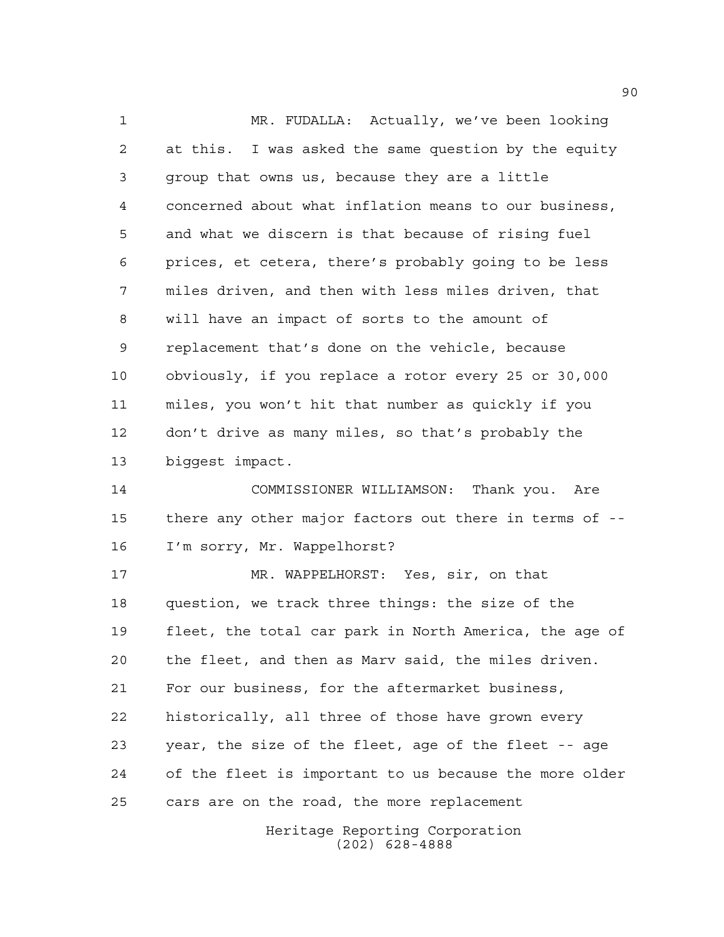MR. FUDALLA: Actually, we've been looking at this. I was asked the same question by the equity group that owns us, because they are a little concerned about what inflation means to our business, and what we discern is that because of rising fuel prices, et cetera, there's probably going to be less miles driven, and then with less miles driven, that will have an impact of sorts to the amount of replacement that's done on the vehicle, because obviously, if you replace a rotor every 25 or 30,000 miles, you won't hit that number as quickly if you don't drive as many miles, so that's probably the biggest impact. COMMISSIONER WILLIAMSON: Thank you. Are there any other major factors out there in terms of -- I'm sorry, Mr. Wappelhorst? MR. WAPPELHORST: Yes, sir, on that question, we track three things: the size of the fleet, the total car park in North America, the age of the fleet, and then as Marv said, the miles driven. For our business, for the aftermarket business, historically, all three of those have grown every year, the size of the fleet, age of the fleet -- age of the fleet is important to us because the more older cars are on the road, the more replacement

Heritage Reporting Corporation (202) 628-4888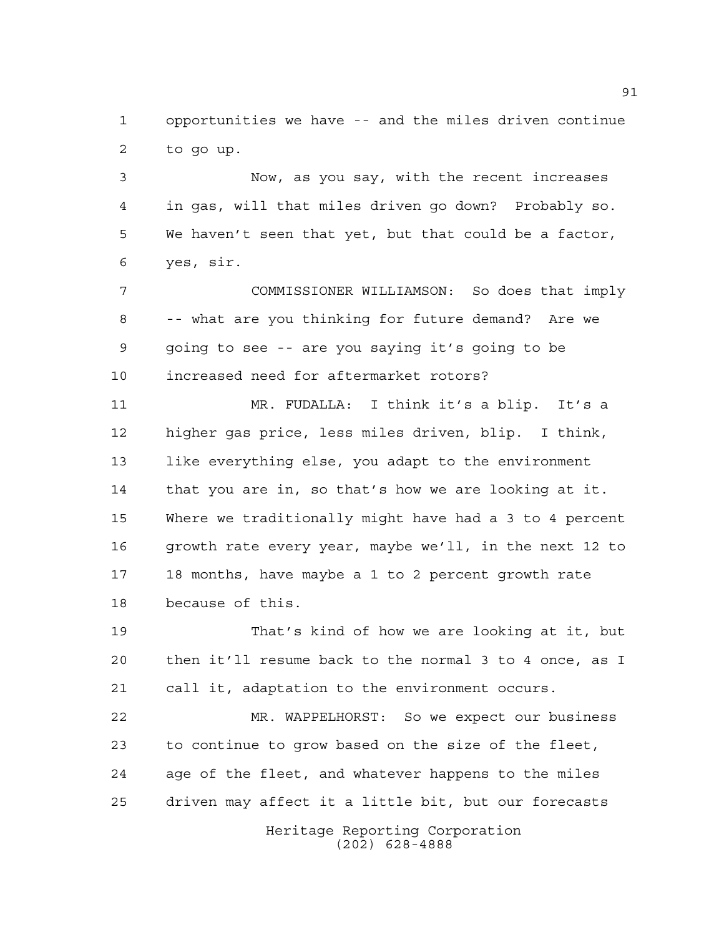opportunities we have -- and the miles driven continue to go up.

 Now, as you say, with the recent increases in gas, will that miles driven go down? Probably so. We haven't seen that yet, but that could be a factor, yes, sir.

 COMMISSIONER WILLIAMSON: So does that imply -- what are you thinking for future demand? Are we going to see -- are you saying it's going to be increased need for aftermarket rotors?

 MR. FUDALLA: I think it's a blip. It's a higher gas price, less miles driven, blip. I think, like everything else, you adapt to the environment that you are in, so that's how we are looking at it. Where we traditionally might have had a 3 to 4 percent growth rate every year, maybe we'll, in the next 12 to 18 months, have maybe a 1 to 2 percent growth rate because of this.

 That's kind of how we are looking at it, but then it'll resume back to the normal 3 to 4 once, as I call it, adaptation to the environment occurs.

 MR. WAPPELHORST: So we expect our business to continue to grow based on the size of the fleet, age of the fleet, and whatever happens to the miles driven may affect it a little bit, but our forecasts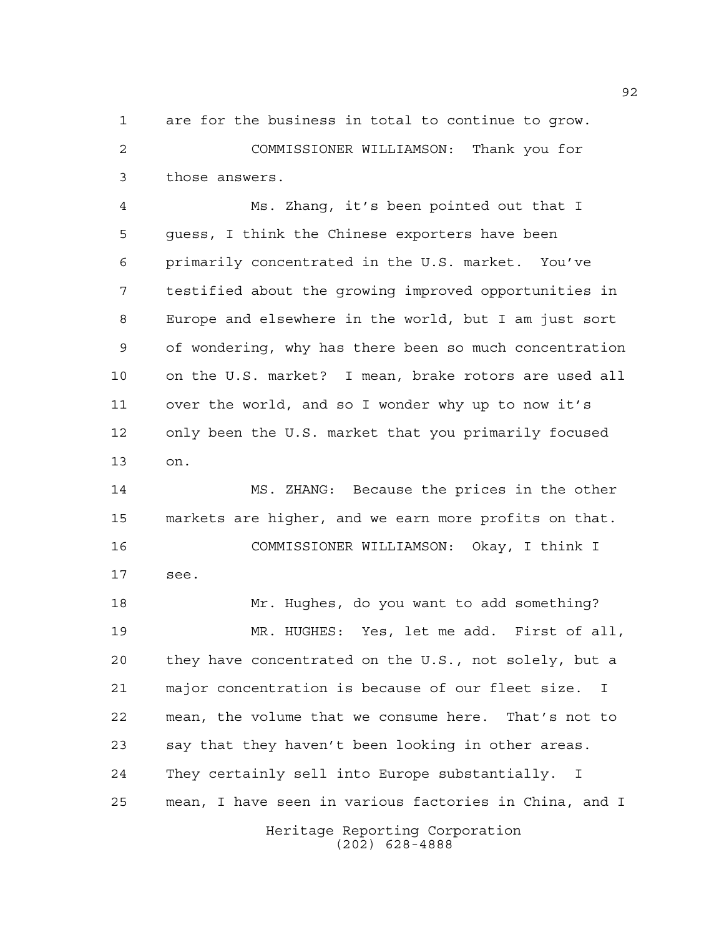are for the business in total to continue to grow. COMMISSIONER WILLIAMSON: Thank you for those answers.

 Ms. Zhang, it's been pointed out that I guess, I think the Chinese exporters have been primarily concentrated in the U.S. market. You've testified about the growing improved opportunities in Europe and elsewhere in the world, but I am just sort of wondering, why has there been so much concentration on the U.S. market? I mean, brake rotors are used all over the world, and so I wonder why up to now it's only been the U.S. market that you primarily focused on.

 MS. ZHANG: Because the prices in the other markets are higher, and we earn more profits on that. COMMISSIONER WILLIAMSON: Okay, I think I see. Mr. Hughes, do you want to add something?

Heritage Reporting Corporation MR. HUGHES: Yes, let me add. First of all, they have concentrated on the U.S., not solely, but a major concentration is because of our fleet size. I mean, the volume that we consume here. That's not to say that they haven't been looking in other areas. They certainly sell into Europe substantially. I mean, I have seen in various factories in China, and I

(202) 628-4888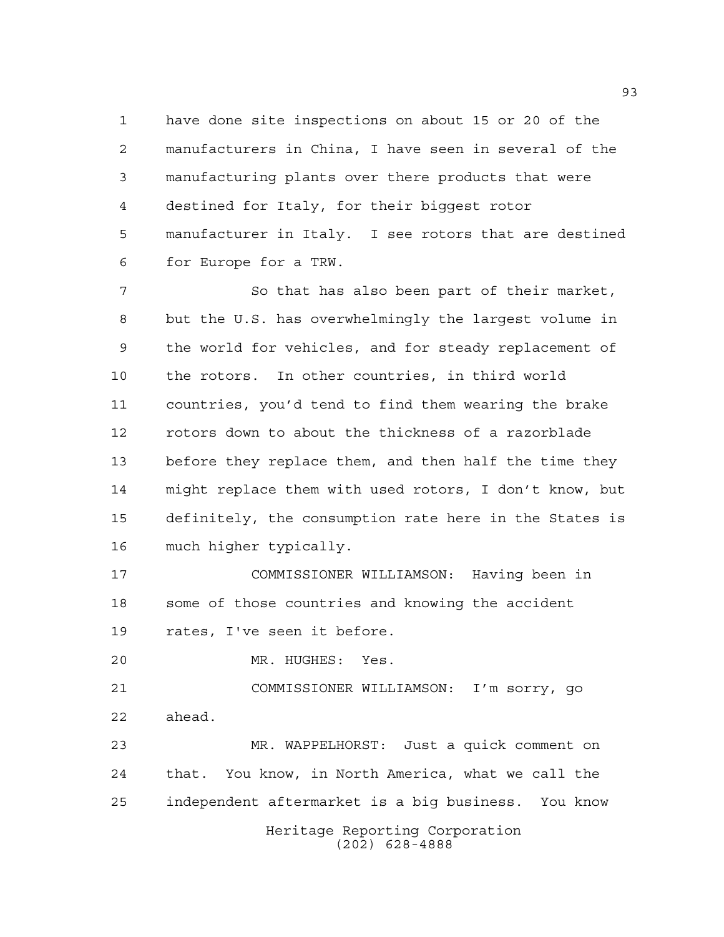have done site inspections on about 15 or 20 of the manufacturers in China, I have seen in several of the manufacturing plants over there products that were destined for Italy, for their biggest rotor manufacturer in Italy. I see rotors that are destined for Europe for a TRW.

7 So that has also been part of their market, but the U.S. has overwhelmingly the largest volume in the world for vehicles, and for steady replacement of the rotors. In other countries, in third world countries, you'd tend to find them wearing the brake rotors down to about the thickness of a razorblade before they replace them, and then half the time they might replace them with used rotors, I don't know, but definitely, the consumption rate here in the States is much higher typically.

 COMMISSIONER WILLIAMSON: Having been in some of those countries and knowing the accident rates, I've seen it before.

MR. HUGHES: Yes.

 COMMISSIONER WILLIAMSON: I'm sorry, go ahead.

Heritage Reporting Corporation (202) 628-4888 MR. WAPPELHORST: Just a quick comment on that. You know, in North America, what we call the independent aftermarket is a big business. You know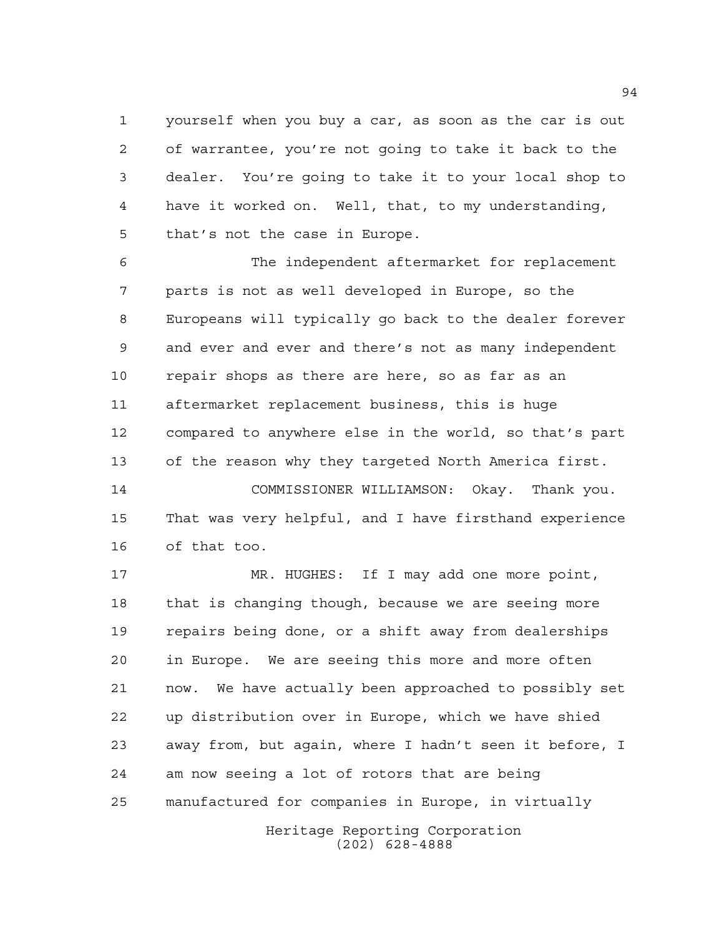yourself when you buy a car, as soon as the car is out of warrantee, you're not going to take it back to the dealer. You're going to take it to your local shop to have it worked on. Well, that, to my understanding, that's not the case in Europe.

 The independent aftermarket for replacement parts is not as well developed in Europe, so the Europeans will typically go back to the dealer forever and ever and ever and there's not as many independent repair shops as there are here, so as far as an aftermarket replacement business, this is huge compared to anywhere else in the world, so that's part of the reason why they targeted North America first.

 COMMISSIONER WILLIAMSON: Okay. Thank you. That was very helpful, and I have firsthand experience of that too.

 MR. HUGHES: If I may add one more point, that is changing though, because we are seeing more repairs being done, or a shift away from dealerships in Europe. We are seeing this more and more often now. We have actually been approached to possibly set up distribution over in Europe, which we have shied away from, but again, where I hadn't seen it before, I am now seeing a lot of rotors that are being manufactured for companies in Europe, in virtually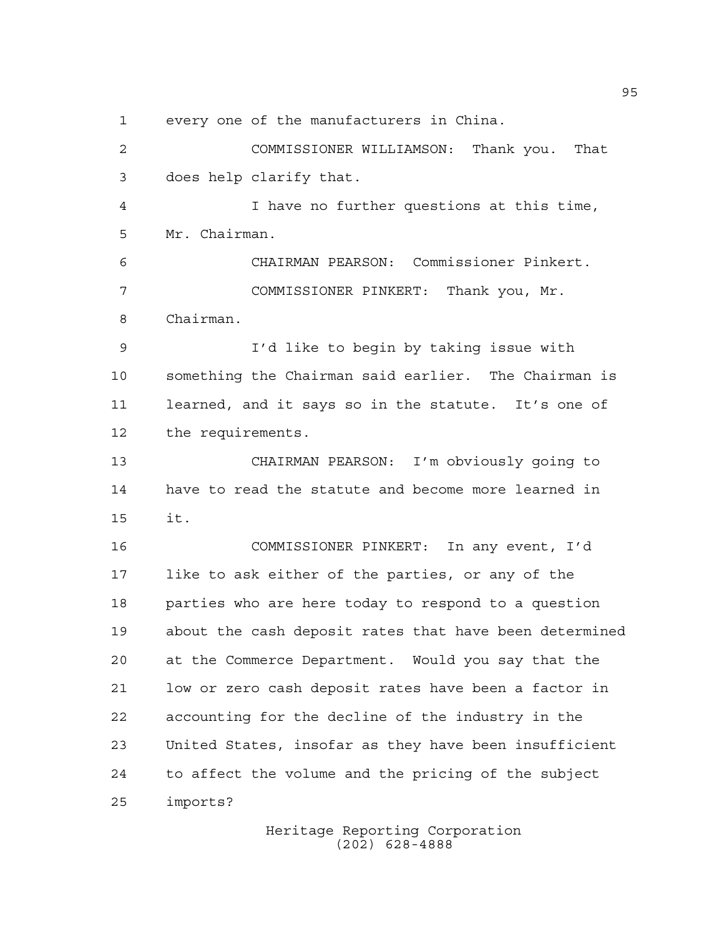every one of the manufacturers in China.

 COMMISSIONER WILLIAMSON: Thank you. That does help clarify that.

 I have no further questions at this time, Mr. Chairman.

 CHAIRMAN PEARSON: Commissioner Pinkert. COMMISSIONER PINKERT: Thank you, Mr. Chairman.

 I'd like to begin by taking issue with something the Chairman said earlier. The Chairman is learned, and it says so in the statute. It's one of the requirements.

 CHAIRMAN PEARSON: I'm obviously going to have to read the statute and become more learned in it.

 COMMISSIONER PINKERT: In any event, I'd like to ask either of the parties, or any of the parties who are here today to respond to a question about the cash deposit rates that have been determined at the Commerce Department. Would you say that the low or zero cash deposit rates have been a factor in accounting for the decline of the industry in the United States, insofar as they have been insufficient to affect the volume and the pricing of the subject imports?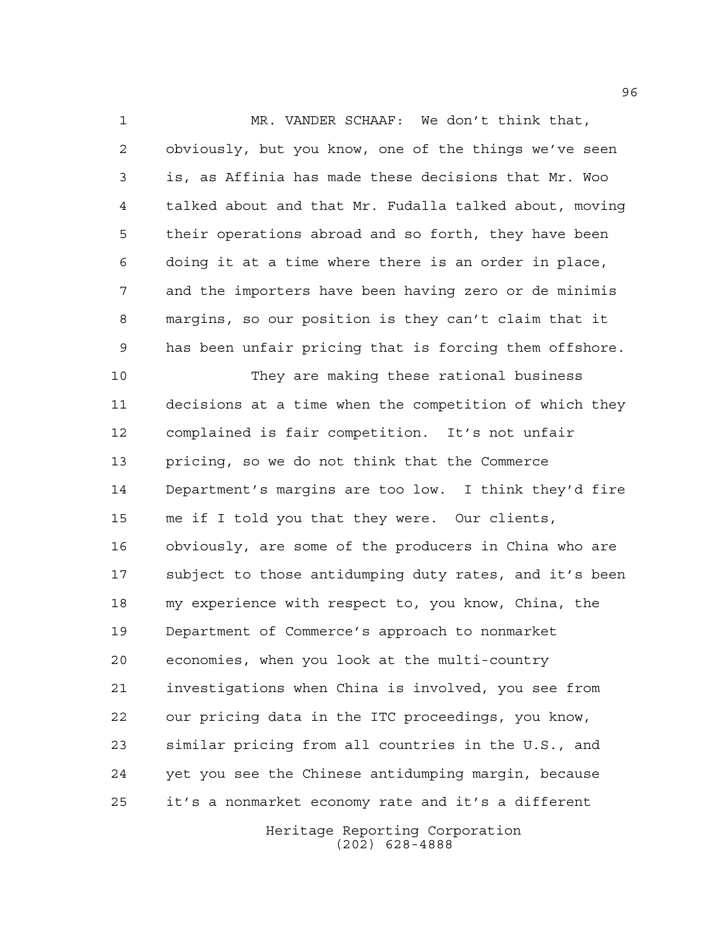MR. VANDER SCHAAF: We don't think that, obviously, but you know, one of the things we've seen is, as Affinia has made these decisions that Mr. Woo talked about and that Mr. Fudalla talked about, moving their operations abroad and so forth, they have been doing it at a time where there is an order in place, and the importers have been having zero or de minimis margins, so our position is they can't claim that it has been unfair pricing that is forcing them offshore.

 They are making these rational business decisions at a time when the competition of which they complained is fair competition. It's not unfair pricing, so we do not think that the Commerce Department's margins are too low. I think they'd fire me if I told you that they were. Our clients, obviously, are some of the producers in China who are subject to those antidumping duty rates, and it's been my experience with respect to, you know, China, the Department of Commerce's approach to nonmarket economies, when you look at the multi-country investigations when China is involved, you see from our pricing data in the ITC proceedings, you know, similar pricing from all countries in the U.S., and yet you see the Chinese antidumping margin, because it's a nonmarket economy rate and it's a different

> Heritage Reporting Corporation (202) 628-4888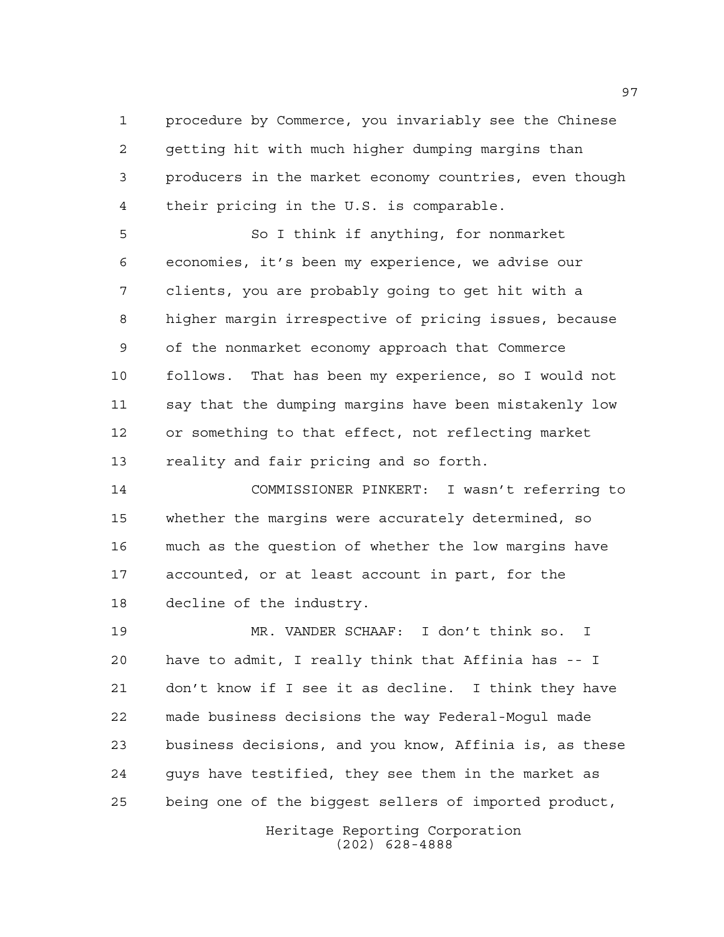procedure by Commerce, you invariably see the Chinese getting hit with much higher dumping margins than producers in the market economy countries, even though their pricing in the U.S. is comparable.

 So I think if anything, for nonmarket economies, it's been my experience, we advise our clients, you are probably going to get hit with a higher margin irrespective of pricing issues, because of the nonmarket economy approach that Commerce follows. That has been my experience, so I would not say that the dumping margins have been mistakenly low or something to that effect, not reflecting market reality and fair pricing and so forth.

 COMMISSIONER PINKERT: I wasn't referring to whether the margins were accurately determined, so much as the question of whether the low margins have accounted, or at least account in part, for the decline of the industry.

 MR. VANDER SCHAAF: I don't think so. I have to admit, I really think that Affinia has -- I don't know if I see it as decline. I think they have made business decisions the way Federal-Mogul made business decisions, and you know, Affinia is, as these guys have testified, they see them in the market as being one of the biggest sellers of imported product,

> Heritage Reporting Corporation (202) 628-4888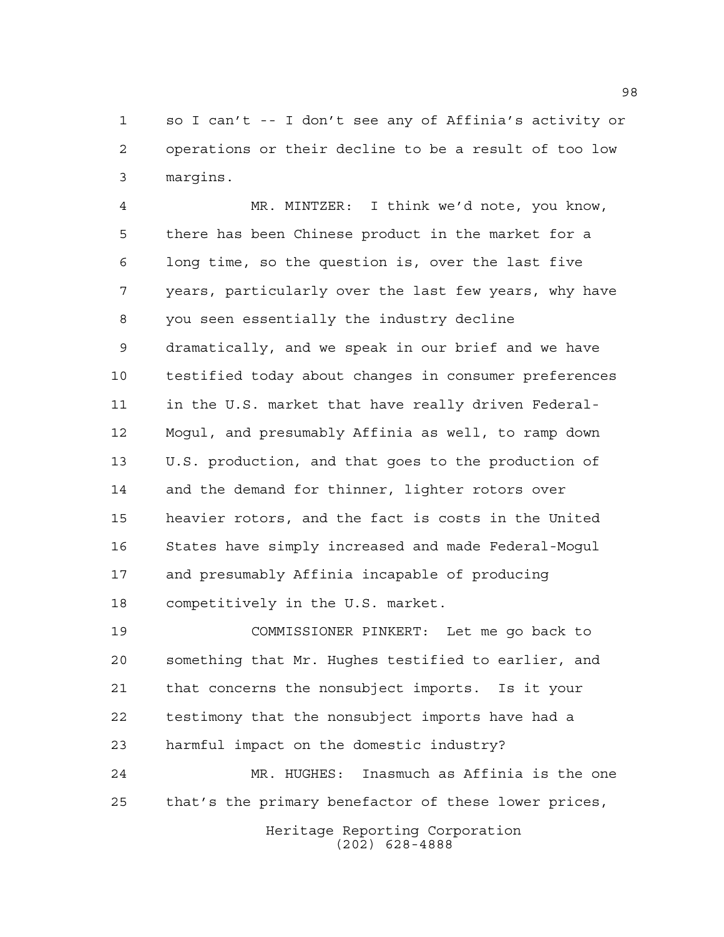so I can't -- I don't see any of Affinia's activity or operations or their decline to be a result of too low margins.

 MR. MINTZER: I think we'd note, you know, there has been Chinese product in the market for a long time, so the question is, over the last five years, particularly over the last few years, why have you seen essentially the industry decline dramatically, and we speak in our brief and we have testified today about changes in consumer preferences in the U.S. market that have really driven Federal- Mogul, and presumably Affinia as well, to ramp down U.S. production, and that goes to the production of and the demand for thinner, lighter rotors over heavier rotors, and the fact is costs in the United States have simply increased and made Federal-Mogul and presumably Affinia incapable of producing competitively in the U.S. market.

 COMMISSIONER PINKERT: Let me go back to something that Mr. Hughes testified to earlier, and that concerns the nonsubject imports. Is it your testimony that the nonsubject imports have had a harmful impact on the domestic industry? MR. HUGHES: Inasmuch as Affinia is the one

that's the primary benefactor of these lower prices,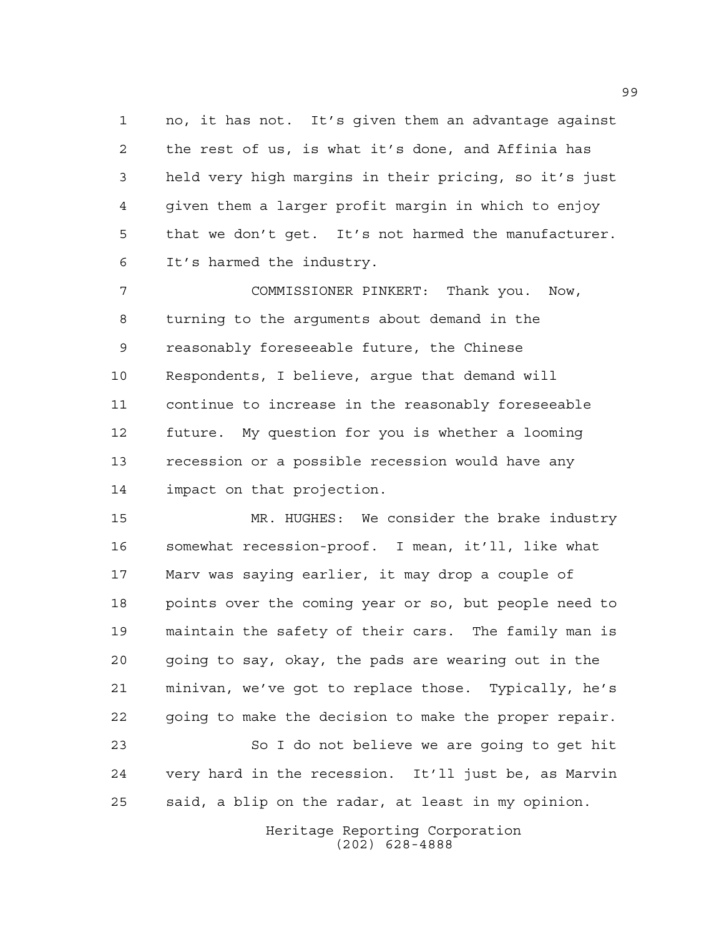no, it has not. It's given them an advantage against the rest of us, is what it's done, and Affinia has held very high margins in their pricing, so it's just given them a larger profit margin in which to enjoy that we don't get. It's not harmed the manufacturer. It's harmed the industry.

 COMMISSIONER PINKERT: Thank you. Now, turning to the arguments about demand in the reasonably foreseeable future, the Chinese Respondents, I believe, argue that demand will continue to increase in the reasonably foreseeable future. My question for you is whether a looming recession or a possible recession would have any impact on that projection.

 MR. HUGHES: We consider the brake industry somewhat recession-proof. I mean, it'll, like what Marv was saying earlier, it may drop a couple of points over the coming year or so, but people need to maintain the safety of their cars. The family man is going to say, okay, the pads are wearing out in the minivan, we've got to replace those. Typically, he's going to make the decision to make the proper repair.

 So I do not believe we are going to get hit very hard in the recession. It'll just be, as Marvin said, a blip on the radar, at least in my opinion.

> Heritage Reporting Corporation (202) 628-4888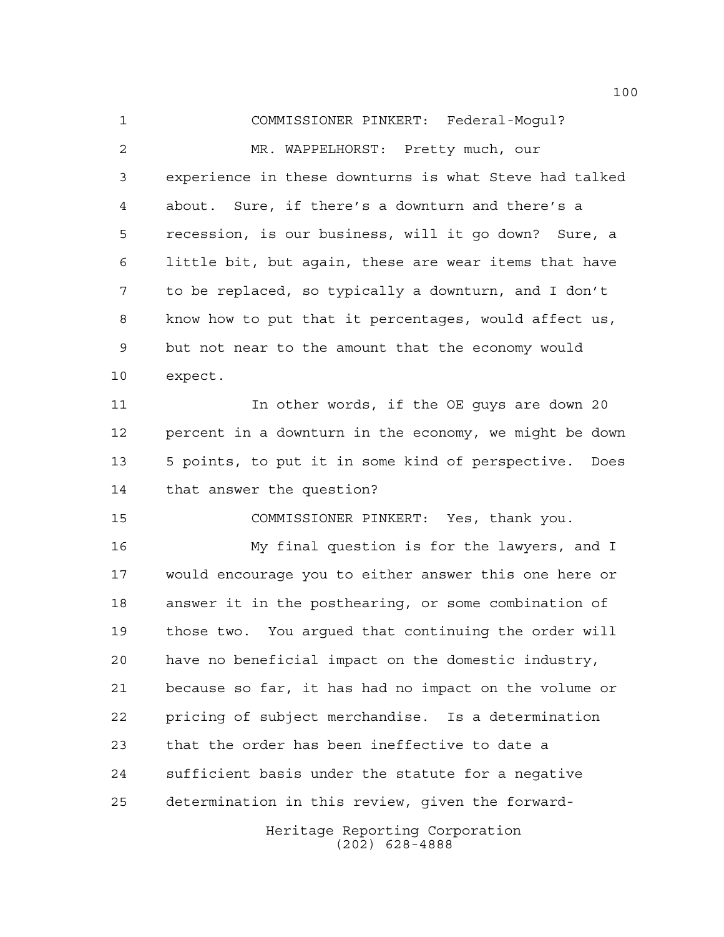COMMISSIONER PINKERT: Federal-Mogul? MR. WAPPELHORST: Pretty much, our experience in these downturns is what Steve had talked about. Sure, if there's a downturn and there's a recession, is our business, will it go down? Sure, a little bit, but again, these are wear items that have to be replaced, so typically a downturn, and I don't know how to put that it percentages, would affect us, but not near to the amount that the economy would expect. 11 11 In other words, if the OE quys are down 20 percent in a downturn in the economy, we might be down 5 points, to put it in some kind of perspective. Does that answer the question? COMMISSIONER PINKERT: Yes, thank you. My final question is for the lawyers, and I would encourage you to either answer this one here or answer it in the posthearing, or some combination of those two. You argued that continuing the order will have no beneficial impact on the domestic industry, because so far, it has had no impact on the volume or pricing of subject merchandise. Is a determination that the order has been ineffective to date a sufficient basis under the statute for a negative

determination in this review, given the forward-

Heritage Reporting Corporation (202) 628-4888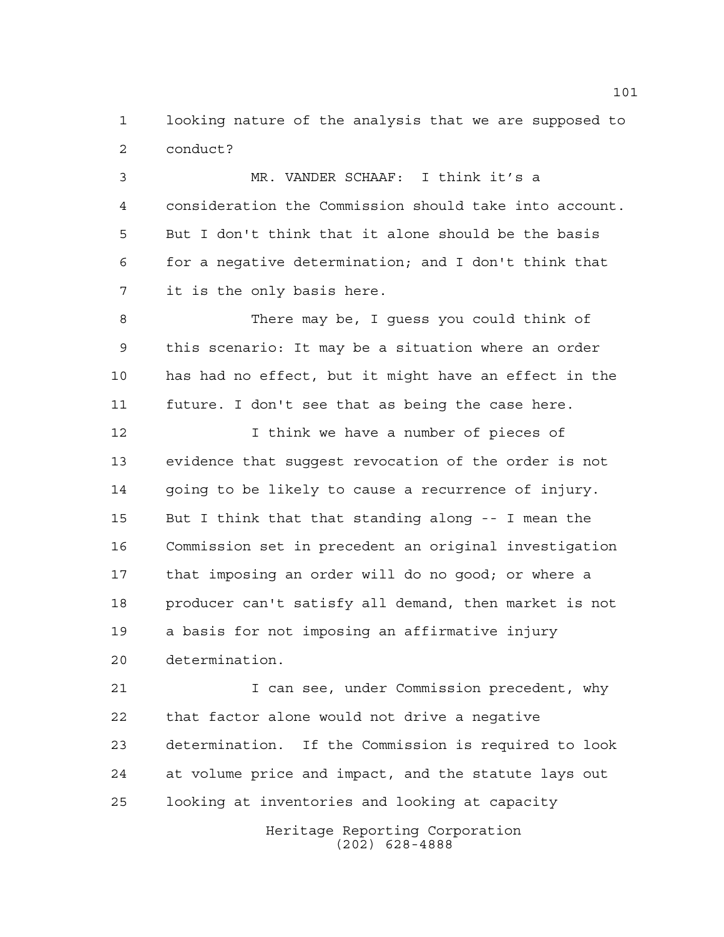looking nature of the analysis that we are supposed to conduct?

 MR. VANDER SCHAAF: I think it's a consideration the Commission should take into account. But I don't think that it alone should be the basis for a negative determination; and I don't think that it is the only basis here.

 There may be, I guess you could think of this scenario: It may be a situation where an order has had no effect, but it might have an effect in the future. I don't see that as being the case here.

 I think we have a number of pieces of evidence that suggest revocation of the order is not going to be likely to cause a recurrence of injury. But I think that that standing along -- I mean the Commission set in precedent an original investigation that imposing an order will do no good; or where a producer can't satisfy all demand, then market is not a basis for not imposing an affirmative injury determination.

 I can see, under Commission precedent, why that factor alone would not drive a negative determination. If the Commission is required to look at volume price and impact, and the statute lays out looking at inventories and looking at capacity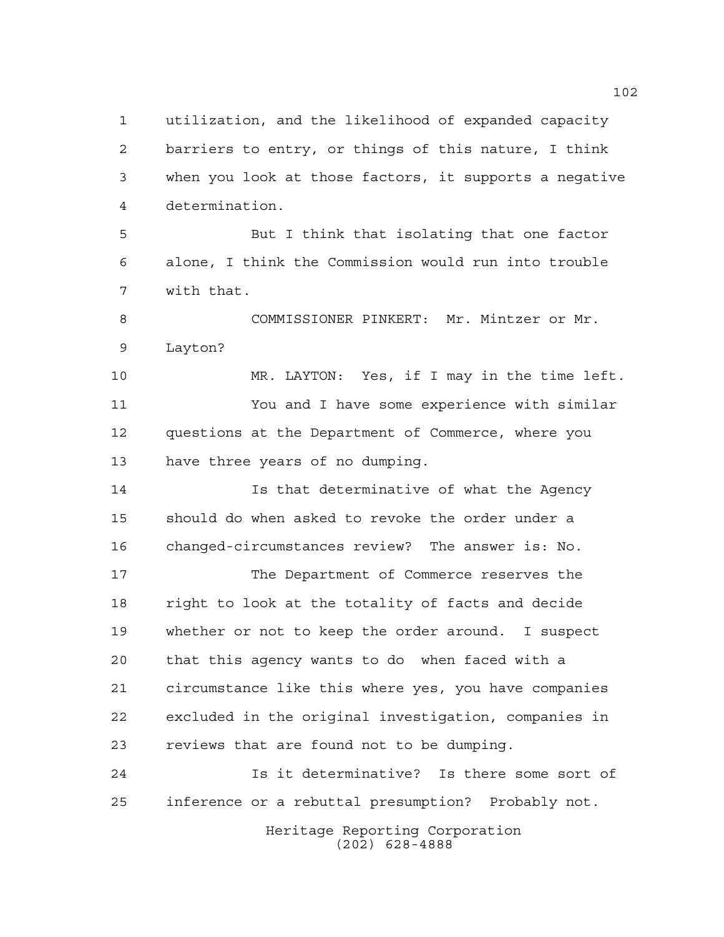utilization, and the likelihood of expanded capacity barriers to entry, or things of this nature, I think when you look at those factors, it supports a negative determination.

 But I think that isolating that one factor alone, I think the Commission would run into trouble with that.

 COMMISSIONER PINKERT: Mr. Mintzer or Mr. Layton?

 MR. LAYTON: Yes, if I may in the time left. You and I have some experience with similar questions at the Department of Commerce, where you have three years of no dumping.

 Is that determinative of what the Agency should do when asked to revoke the order under a changed-circumstances review? The answer is: No.

 The Department of Commerce reserves the right to look at the totality of facts and decide whether or not to keep the order around. I suspect that this agency wants to do when faced with a circumstance like this where yes, you have companies excluded in the original investigation, companies in reviews that are found not to be dumping.

 Is it determinative? Is there some sort of inference or a rebuttal presumption? Probably not.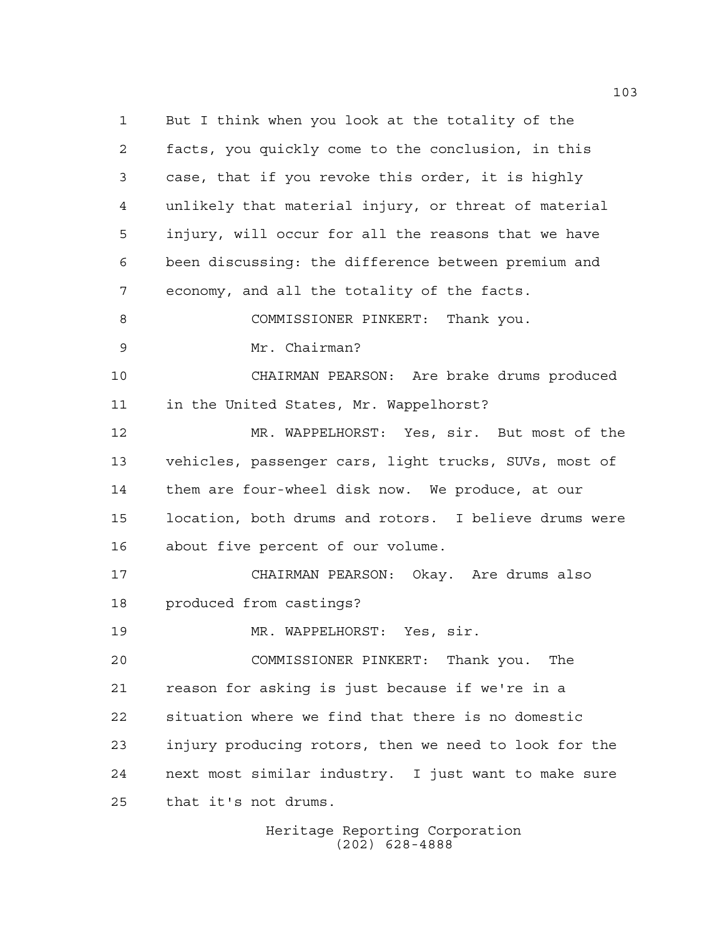But I think when you look at the totality of the facts, you quickly come to the conclusion, in this case, that if you revoke this order, it is highly unlikely that material injury, or threat of material injury, will occur for all the reasons that we have been discussing: the difference between premium and economy, and all the totality of the facts. COMMISSIONER PINKERT: Thank you. Mr. Chairman? CHAIRMAN PEARSON: Are brake drums produced in the United States, Mr. Wappelhorst? MR. WAPPELHORST: Yes, sir. But most of the vehicles, passenger cars, light trucks, SUVs, most of them are four-wheel disk now. We produce, at our location, both drums and rotors. I believe drums were about five percent of our volume. CHAIRMAN PEARSON: Okay. Are drums also produced from castings? MR. WAPPELHORST: Yes, sir. COMMISSIONER PINKERT: Thank you. The reason for asking is just because if we're in a situation where we find that there is no domestic injury producing rotors, then we need to look for the next most similar industry. I just want to make sure that it's not drums.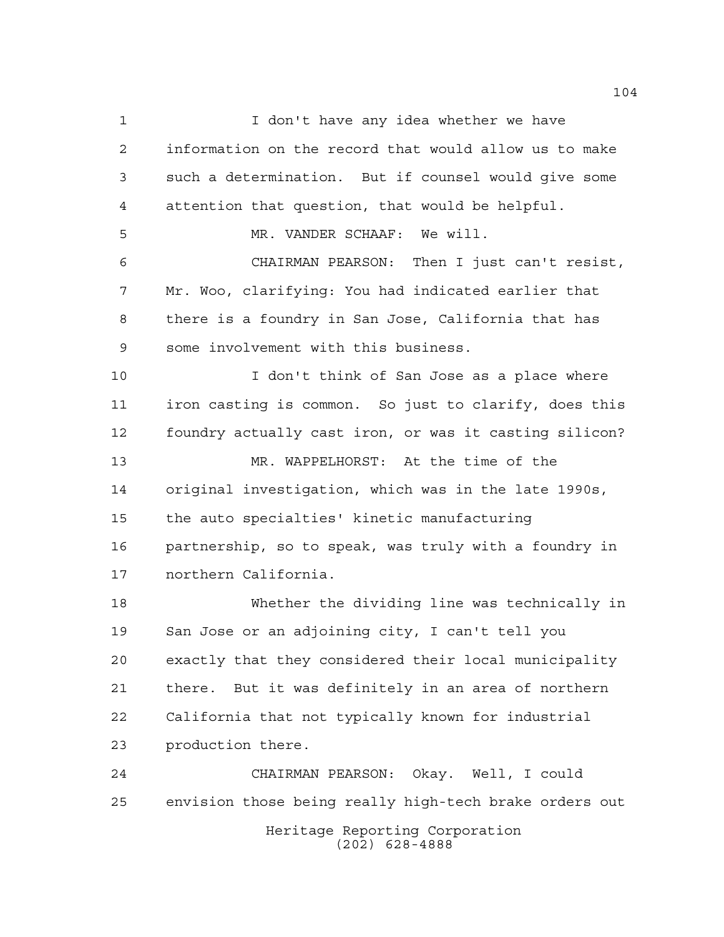Heritage Reporting Corporation I don't have any idea whether we have information on the record that would allow us to make such a determination. But if counsel would give some attention that question, that would be helpful. MR. VANDER SCHAAF: We will. CHAIRMAN PEARSON: Then I just can't resist, Mr. Woo, clarifying: You had indicated earlier that there is a foundry in San Jose, California that has some involvement with this business. I don't think of San Jose as a place where iron casting is common. So just to clarify, does this foundry actually cast iron, or was it casting silicon? MR. WAPPELHORST: At the time of the original investigation, which was in the late 1990s, the auto specialties' kinetic manufacturing partnership, so to speak, was truly with a foundry in northern California. Whether the dividing line was technically in San Jose or an adjoining city, I can't tell you exactly that they considered their local municipality there. But it was definitely in an area of northern California that not typically known for industrial production there. CHAIRMAN PEARSON: Okay. Well, I could envision those being really high-tech brake orders out

(202) 628-4888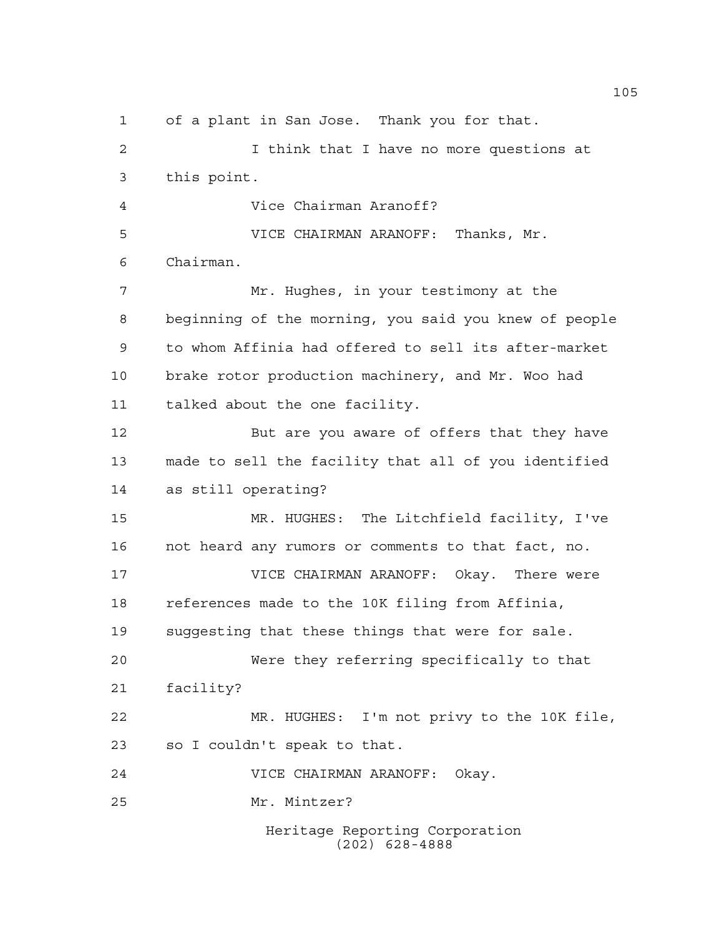Heritage Reporting Corporation (202) 628-4888 of a plant in San Jose. Thank you for that. I think that I have no more questions at this point. Vice Chairman Aranoff? VICE CHAIRMAN ARANOFF: Thanks, Mr. Chairman. Mr. Hughes, in your testimony at the beginning of the morning, you said you knew of people to whom Affinia had offered to sell its after-market brake rotor production machinery, and Mr. Woo had talked about the one facility. But are you aware of offers that they have made to sell the facility that all of you identified as still operating? MR. HUGHES: The Litchfield facility, I've not heard any rumors or comments to that fact, no. VICE CHAIRMAN ARANOFF: Okay. There were references made to the 10K filing from Affinia, suggesting that these things that were for sale. Were they referring specifically to that facility? MR. HUGHES: I'm not privy to the 10K file, so I couldn't speak to that. VICE CHAIRMAN ARANOFF: Okay. Mr. Mintzer?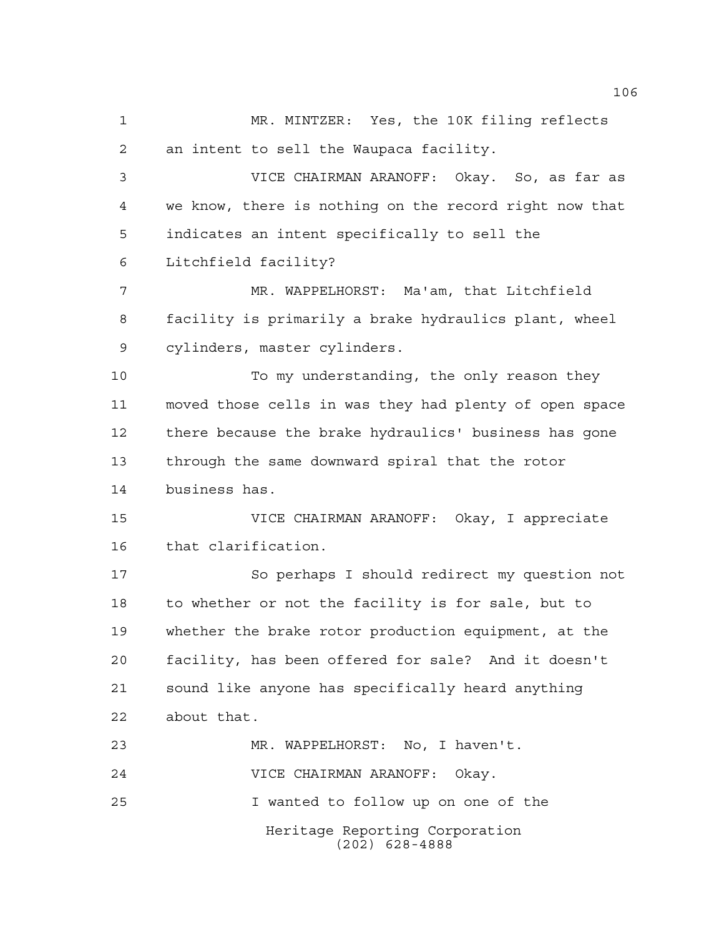Heritage Reporting Corporation MR. MINTZER: Yes, the 10K filing reflects an intent to sell the Waupaca facility. VICE CHAIRMAN ARANOFF: Okay. So, as far as we know, there is nothing on the record right now that indicates an intent specifically to sell the Litchfield facility? MR. WAPPELHORST: Ma'am, that Litchfield facility is primarily a brake hydraulics plant, wheel cylinders, master cylinders. To my understanding, the only reason they moved those cells in was they had plenty of open space there because the brake hydraulics' business has gone through the same downward spiral that the rotor business has. VICE CHAIRMAN ARANOFF: Okay, I appreciate that clarification. So perhaps I should redirect my question not to whether or not the facility is for sale, but to whether the brake rotor production equipment, at the facility, has been offered for sale? And it doesn't sound like anyone has specifically heard anything about that. MR. WAPPELHORST: No, I haven't. VICE CHAIRMAN ARANOFF: Okay. I wanted to follow up on one of the

(202) 628-4888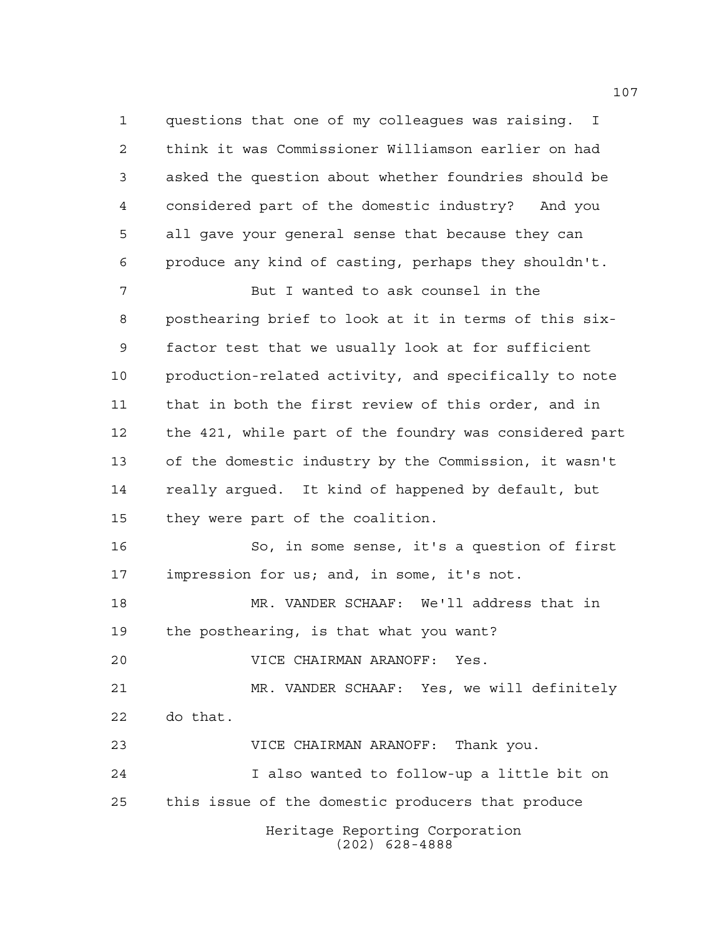questions that one of my colleagues was raising. I think it was Commissioner Williamson earlier on had asked the question about whether foundries should be considered part of the domestic industry? And you all gave your general sense that because they can produce any kind of casting, perhaps they shouldn't.

 But I wanted to ask counsel in the posthearing brief to look at it in terms of this six- factor test that we usually look at for sufficient production-related activity, and specifically to note that in both the first review of this order, and in the 421, while part of the foundry was considered part of the domestic industry by the Commission, it wasn't really argued. It kind of happened by default, but they were part of the coalition.

 So, in some sense, it's a question of first impression for us; and, in some, it's not.

 MR. VANDER SCHAAF: We'll address that in the posthearing, is that what you want?

VICE CHAIRMAN ARANOFF: Yes.

 MR. VANDER SCHAAF: Yes, we will definitely do that.

VICE CHAIRMAN ARANOFF: Thank you.

Heritage Reporting Corporation (202) 628-4888 I also wanted to follow-up a little bit on this issue of the domestic producers that produce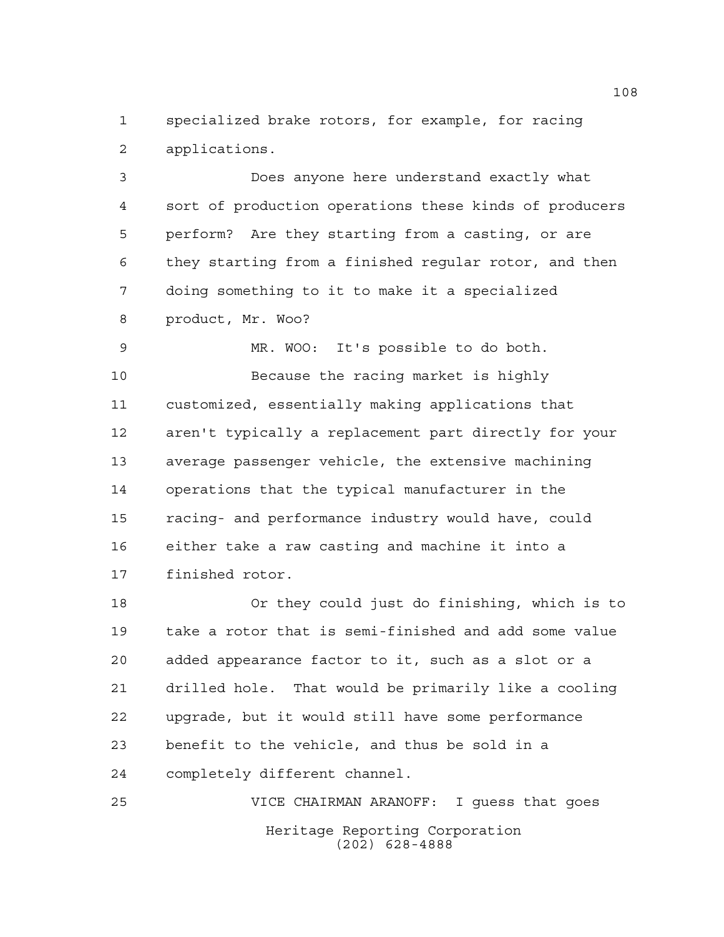specialized brake rotors, for example, for racing applications.

 Does anyone here understand exactly what sort of production operations these kinds of producers perform? Are they starting from a casting, or are they starting from a finished regular rotor, and then doing something to it to make it a specialized product, Mr. Woo?

 MR. WOO: It's possible to do both. Because the racing market is highly customized, essentially making applications that aren't typically a replacement part directly for your average passenger vehicle, the extensive machining operations that the typical manufacturer in the racing- and performance industry would have, could either take a raw casting and machine it into a finished rotor.

 Or they could just do finishing, which is to take a rotor that is semi-finished and add some value added appearance factor to it, such as a slot or a drilled hole. That would be primarily like a cooling upgrade, but it would still have some performance benefit to the vehicle, and thus be sold in a completely different channel.

Heritage Reporting Corporation (202) 628-4888 VICE CHAIRMAN ARANOFF: I guess that goes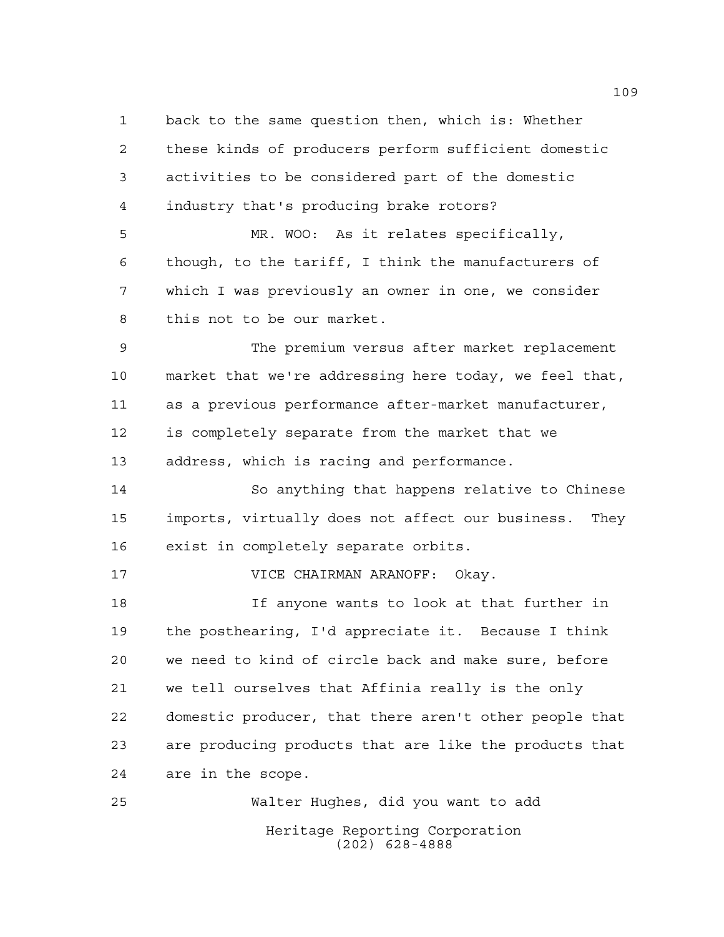back to the same question then, which is: Whether these kinds of producers perform sufficient domestic activities to be considered part of the domestic industry that's producing brake rotors? MR. WOO: As it relates specifically, though, to the tariff, I think the manufacturers of which I was previously an owner in one, we consider this not to be our market. The premium versus after market replacement market that we're addressing here today, we feel that, as a previous performance after-market manufacturer, is completely separate from the market that we address, which is racing and performance. So anything that happens relative to Chinese imports, virtually does not affect our business. They exist in completely separate orbits. VICE CHAIRMAN ARANOFF: Okay. If anyone wants to look at that further in the posthearing, I'd appreciate it. Because I think we need to kind of circle back and make sure, before we tell ourselves that Affinia really is the only domestic producer, that there aren't other people that are producing products that are like the products that are in the scope. Walter Hughes, did you want to add

Heritage Reporting Corporation (202) 628-4888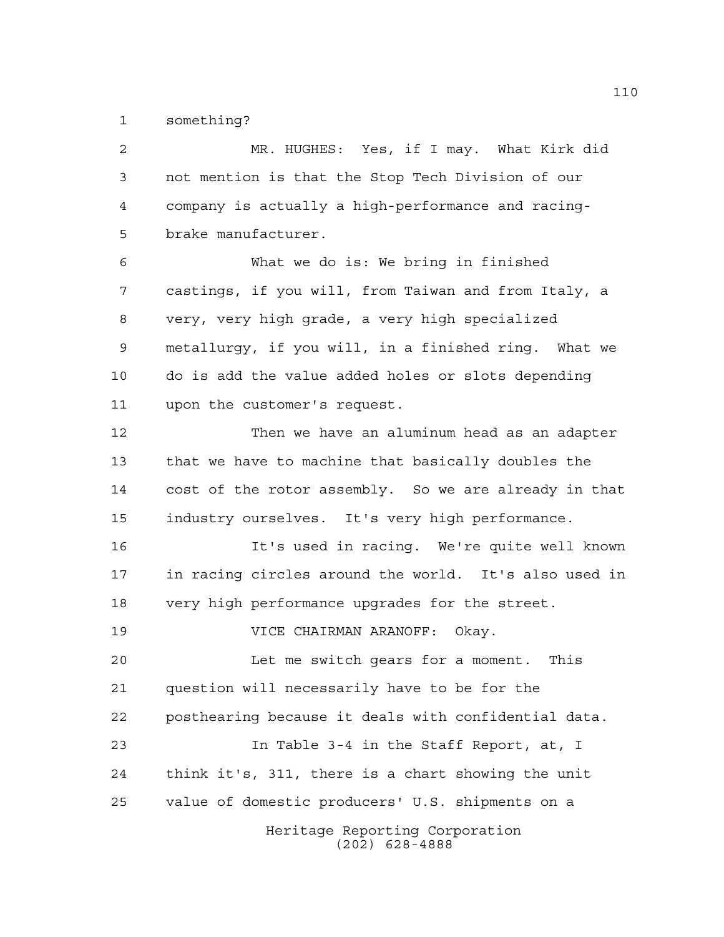something?

Heritage Reporting Corporation (202) 628-4888 MR. HUGHES: Yes, if I may. What Kirk did not mention is that the Stop Tech Division of our company is actually a high-performance and racing- brake manufacturer. What we do is: We bring in finished castings, if you will, from Taiwan and from Italy, a very, very high grade, a very high specialized metallurgy, if you will, in a finished ring. What we do is add the value added holes or slots depending upon the customer's request. Then we have an aluminum head as an adapter that we have to machine that basically doubles the cost of the rotor assembly. So we are already in that industry ourselves. It's very high performance. It's used in racing. We're quite well known in racing circles around the world. It's also used in very high performance upgrades for the street. VICE CHAIRMAN ARANOFF: Okay. Let me switch gears for a moment. This question will necessarily have to be for the posthearing because it deals with confidential data. In Table 3-4 in the Staff Report, at, I think it's, 311, there is a chart showing the unit value of domestic producers' U.S. shipments on a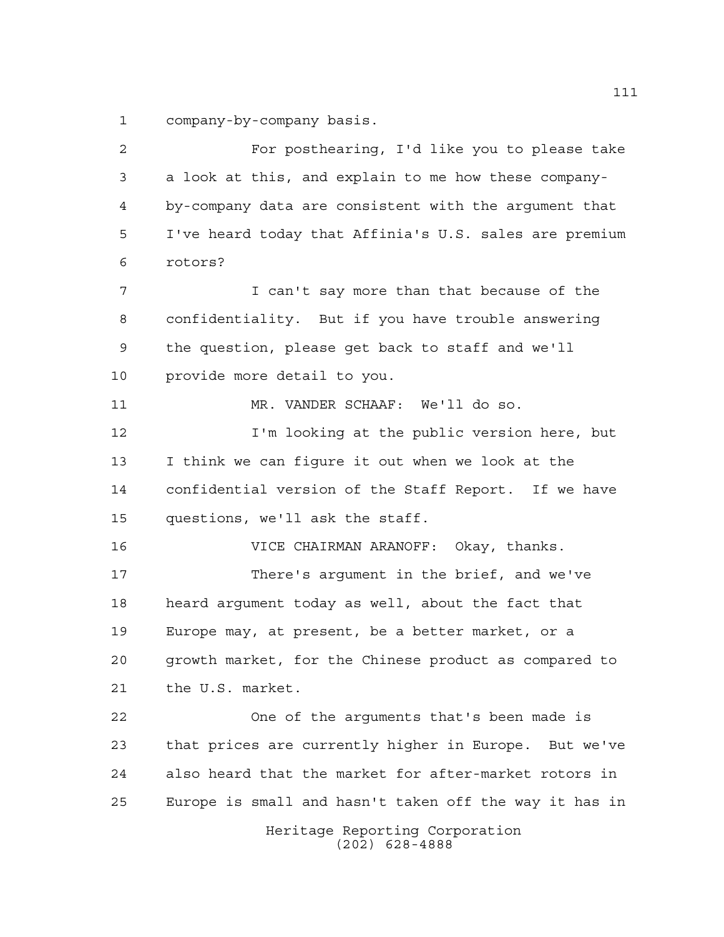company-by-company basis.

Heritage Reporting Corporation (202) 628-4888 For posthearing, I'd like you to please take a look at this, and explain to me how these company- by-company data are consistent with the argument that I've heard today that Affinia's U.S. sales are premium rotors? I can't say more than that because of the confidentiality. But if you have trouble answering the question, please get back to staff and we'll provide more detail to you. MR. VANDER SCHAAF: We'll do so. I'm looking at the public version here, but I think we can figure it out when we look at the confidential version of the Staff Report. If we have questions, we'll ask the staff. VICE CHAIRMAN ARANOFF: Okay, thanks. There's argument in the brief, and we've heard argument today as well, about the fact that Europe may, at present, be a better market, or a growth market, for the Chinese product as compared to the U.S. market. One of the arguments that's been made is that prices are currently higher in Europe. But we've also heard that the market for after-market rotors in Europe is small and hasn't taken off the way it has in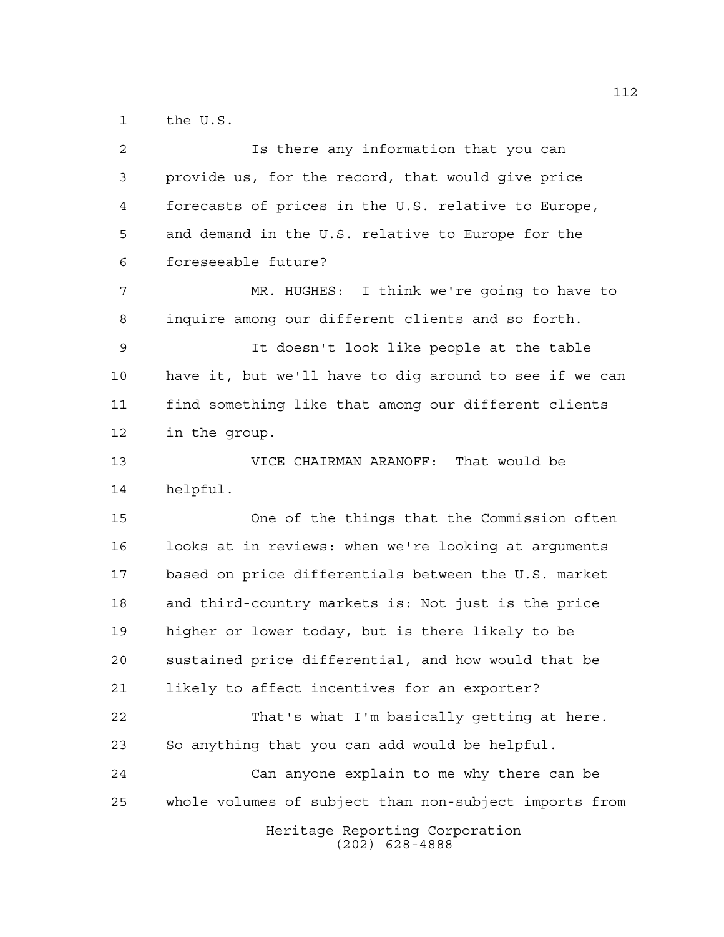the U.S.

| $\overline{a}$ | Is there any information that you can                  |
|----------------|--------------------------------------------------------|
| $\mathfrak{Z}$ | provide us, for the record, that would give price      |
| 4              | forecasts of prices in the U.S. relative to Europe,    |
| 5              | and demand in the U.S. relative to Europe for the      |
| 6              | foreseeable future?                                    |
| 7              | MR. HUGHES: I think we're going to have to             |
| 8              | inquire among our different clients and so forth.      |
| 9              | It doesn't look like people at the table               |
| 10             | have it, but we'll have to dig around to see if we can |
| 11             | find something like that among our different clients   |
| 12             | in the group.                                          |
| 13             | VICE CHAIRMAN ARANOFF: That would be                   |
| 14             | helpful.                                               |
| 15             | One of the things that the Commission often            |
| 16             | looks at in reviews: when we're looking at arguments   |
| 17             | based on price differentials between the U.S. market   |
|                |                                                        |
| 18             | and third-country markets is: Not just is the price    |
| 19             | higher or lower today, but is there likely to be       |
| 20             | sustained price differential, and how would that be    |
| 21             | likely to affect incentives for an exporter?           |
| 22             | That's what I'm basically getting at here.             |
| 23             | So anything that you can add would be helpful.         |
| 24             | Can anyone explain to me why there can be              |
| 25             | whole volumes of subject than non-subject imports from |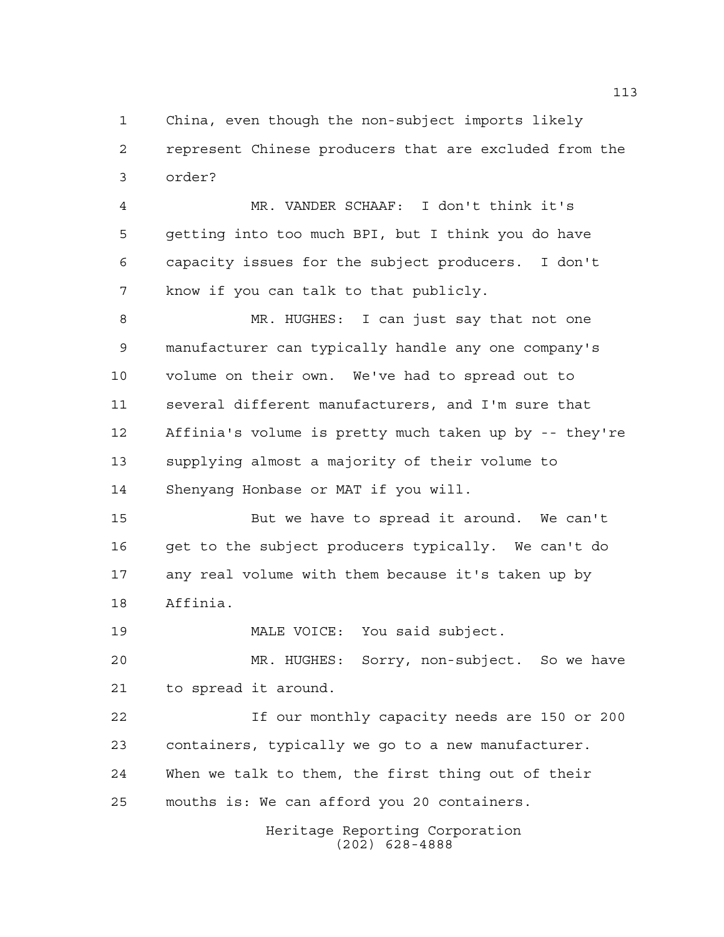China, even though the non-subject imports likely represent Chinese producers that are excluded from the order?

 MR. VANDER SCHAAF: I don't think it's getting into too much BPI, but I think you do have capacity issues for the subject producers. I don't know if you can talk to that publicly.

 MR. HUGHES: I can just say that not one manufacturer can typically handle any one company's volume on their own. We've had to spread out to several different manufacturers, and I'm sure that Affinia's volume is pretty much taken up by -- they're supplying almost a majority of their volume to Shenyang Honbase or MAT if you will.

 But we have to spread it around. We can't get to the subject producers typically. We can't do any real volume with them because it's taken up by Affinia.

MALE VOICE: You said subject.

 MR. HUGHES: Sorry, non-subject. So we have to spread it around.

 If our monthly capacity needs are 150 or 200 containers, typically we go to a new manufacturer. When we talk to them, the first thing out of their mouths is: We can afford you 20 containers.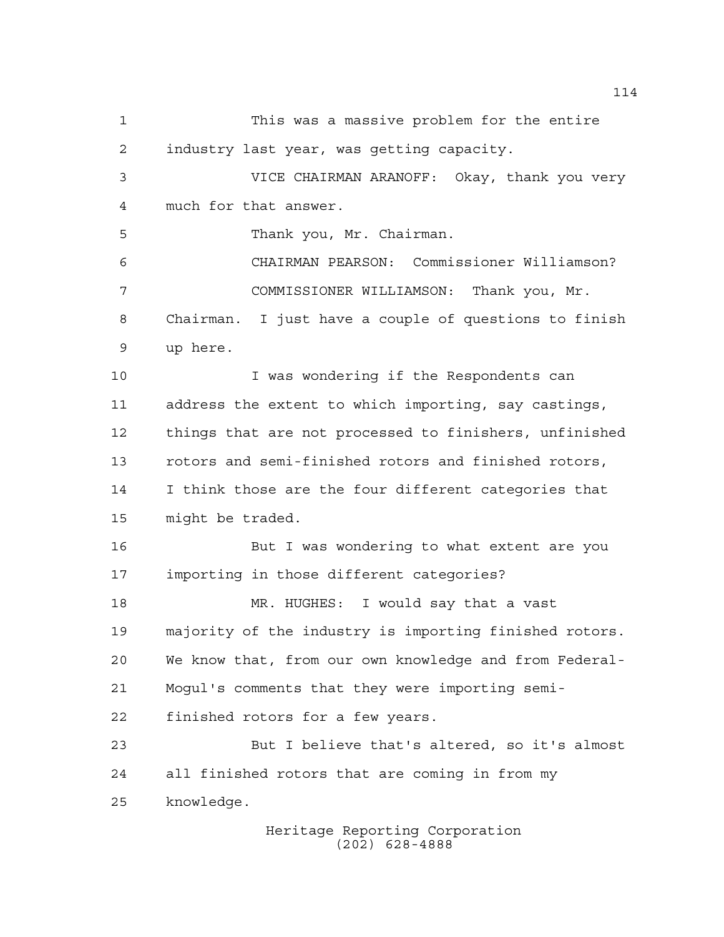This was a massive problem for the entire industry last year, was getting capacity. VICE CHAIRMAN ARANOFF: Okay, thank you very much for that answer. Thank you, Mr. Chairman. CHAIRMAN PEARSON: Commissioner Williamson? COMMISSIONER WILLIAMSON: Thank you, Mr. Chairman. I just have a couple of questions to finish up here. I was wondering if the Respondents can address the extent to which importing, say castings, things that are not processed to finishers, unfinished rotors and semi-finished rotors and finished rotors, I think those are the four different categories that might be traded. But I was wondering to what extent are you importing in those different categories? MR. HUGHES: I would say that a vast majority of the industry is importing finished rotors. We know that, from our own knowledge and from Federal- Mogul's comments that they were importing semi- finished rotors for a few years. But I believe that's altered, so it's almost all finished rotors that are coming in from my knowledge.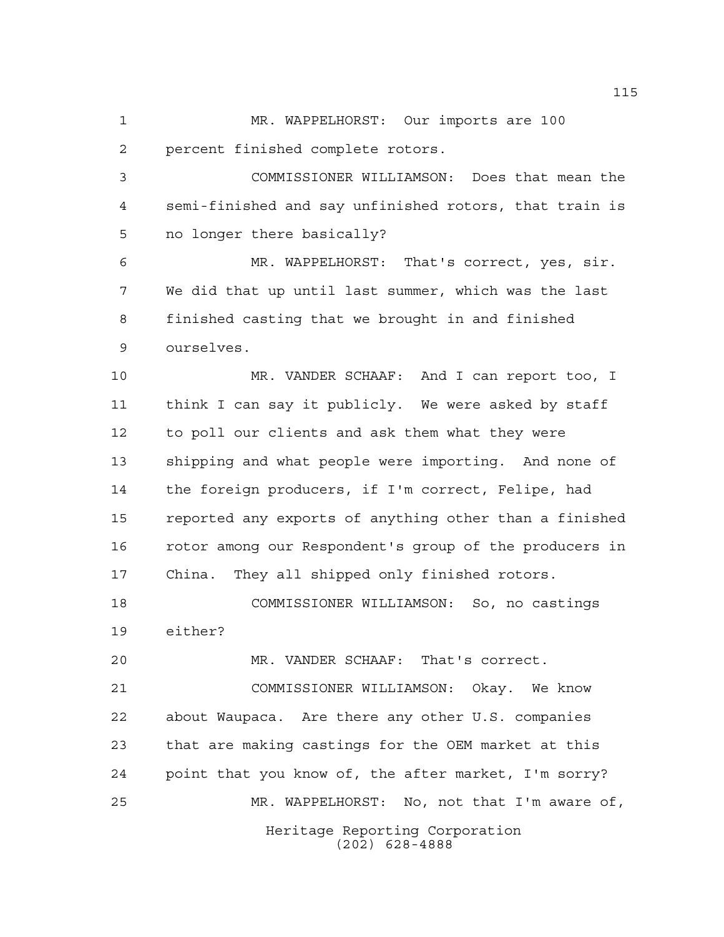MR. WAPPELHORST: Our imports are 100 percent finished complete rotors.

 COMMISSIONER WILLIAMSON: Does that mean the semi-finished and say unfinished rotors, that train is no longer there basically?

 MR. WAPPELHORST: That's correct, yes, sir. We did that up until last summer, which was the last finished casting that we brought in and finished ourselves.

 MR. VANDER SCHAAF: And I can report too, I think I can say it publicly. We were asked by staff to poll our clients and ask them what they were shipping and what people were importing. And none of the foreign producers, if I'm correct, Felipe, had reported any exports of anything other than a finished rotor among our Respondent's group of the producers in China. They all shipped only finished rotors.

 COMMISSIONER WILLIAMSON: So, no castings either?

MR. VANDER SCHAAF: That's correct.

Heritage Reporting Corporation (202) 628-4888 COMMISSIONER WILLIAMSON: Okay. We know about Waupaca. Are there any other U.S. companies that are making castings for the OEM market at this point that you know of, the after market, I'm sorry? MR. WAPPELHORST: No, not that I'm aware of,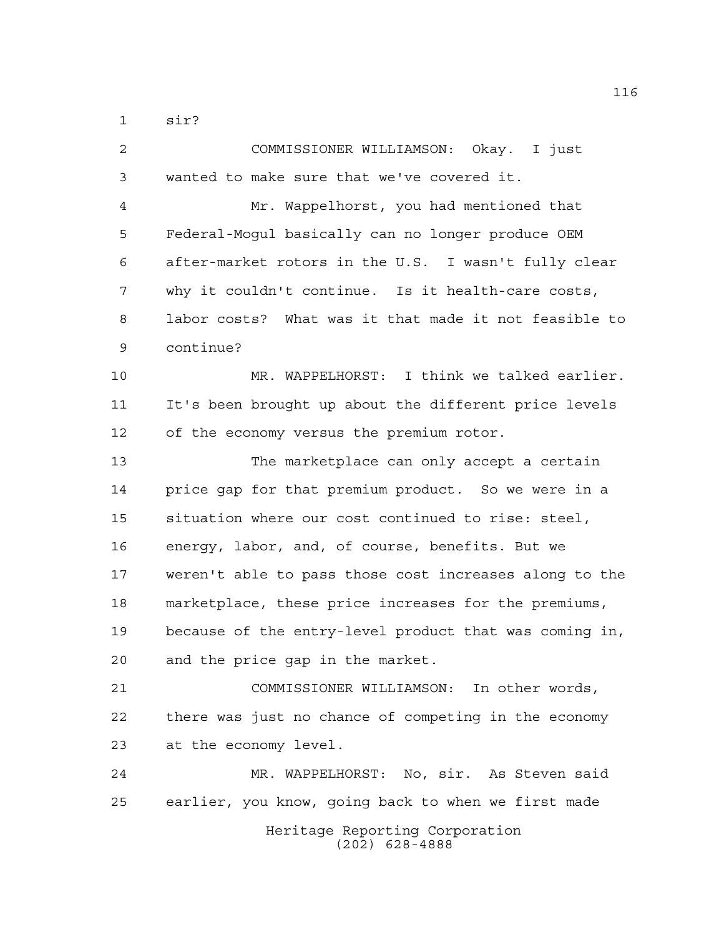sir?

| 2  | COMMISSIONER WILLIAMSON: Okay. I just                  |
|----|--------------------------------------------------------|
| 3  | wanted to make sure that we've covered it.             |
| 4  | Mr. Wappelhorst, you had mentioned that                |
| 5  | Federal-Mogul basically can no longer produce OEM      |
| 6  | after-market rotors in the U.S. I wasn't fully clear   |
| 7  | why it couldn't continue. Is it health-care costs,     |
| 8  | labor costs? What was it that made it not feasible to  |
| 9  | continue?                                              |
| 10 | MR. WAPPELHORST: I think we talked earlier.            |
| 11 | It's been brought up about the different price levels  |
| 12 | of the economy versus the premium rotor.               |
| 13 | The marketplace can only accept a certain              |
| 14 | price gap for that premium product. So we were in a    |
| 15 | situation where our cost continued to rise: steel,     |
| 16 | energy, labor, and, of course, benefits. But we        |
| 17 | weren't able to pass those cost increases along to the |
| 18 | marketplace, these price increases for the premiums,   |
| 19 | because of the entry-level product that was coming in, |
| 20 | and the price gap in the market.                       |
| 21 | COMMISSIONER WILLIAMSON: In other words,               |
| 22 | there was just no chance of competing in the economy   |
| 23 | at the economy level.                                  |
| 24 | MR. WAPPELHORST: No, sir. As Steven said               |
| 25 | earlier, you know, going back to when we first made    |
|    | Heritage Reporting Corporation<br>$(202)$ 628-4888     |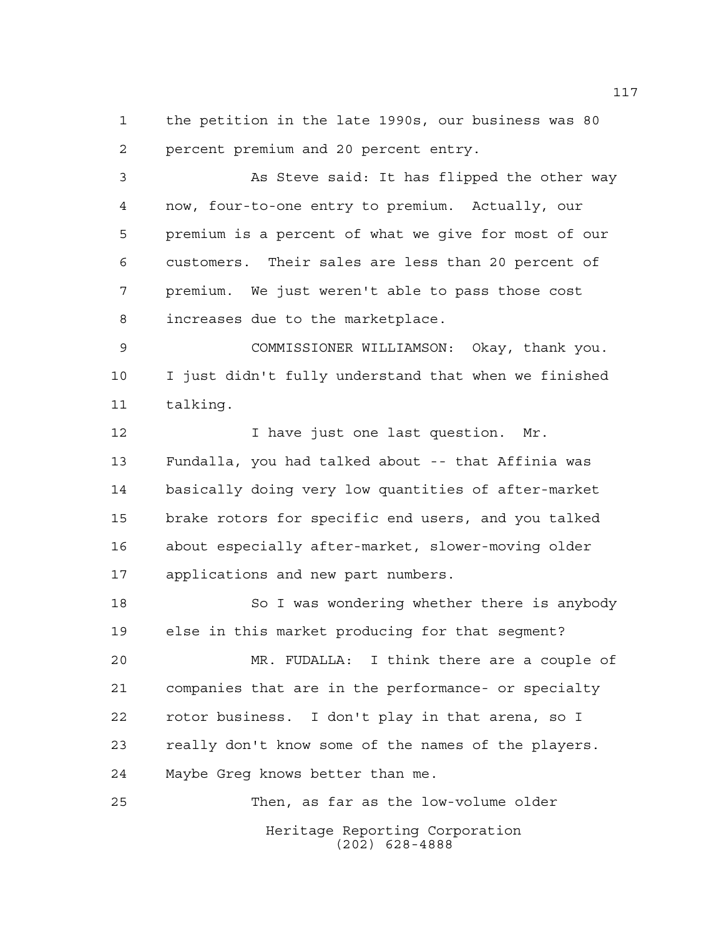the petition in the late 1990s, our business was 80 percent premium and 20 percent entry.

 As Steve said: It has flipped the other way now, four-to-one entry to premium. Actually, our premium is a percent of what we give for most of our customers. Their sales are less than 20 percent of premium. We just weren't able to pass those cost increases due to the marketplace.

 COMMISSIONER WILLIAMSON: Okay, thank you. I just didn't fully understand that when we finished talking.

12 12 I have just one last question. Mr. Fundalla, you had talked about -- that Affinia was basically doing very low quantities of after-market brake rotors for specific end users, and you talked about especially after-market, slower-moving older applications and new part numbers.

18 So I was wondering whether there is anybody else in this market producing for that segment?

 MR. FUDALLA: I think there are a couple of companies that are in the performance- or specialty rotor business. I don't play in that arena, so I really don't know some of the names of the players. Maybe Greg knows better than me.

Heritage Reporting Corporation (202) 628-4888 Then, as far as the low-volume older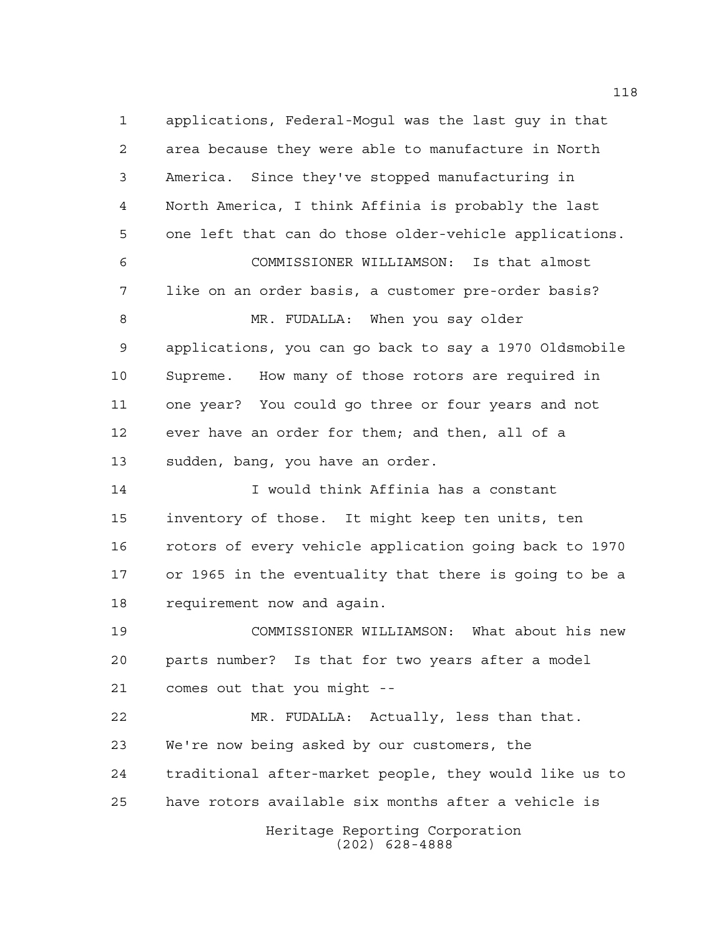Heritage Reporting Corporation (202) 628-4888 applications, Federal-Mogul was the last guy in that area because they were able to manufacture in North America. Since they've stopped manufacturing in North America, I think Affinia is probably the last one left that can do those older-vehicle applications. COMMISSIONER WILLIAMSON: Is that almost like on an order basis, a customer pre-order basis? 8 MR. FUDALLA: When you say older applications, you can go back to say a 1970 Oldsmobile Supreme. How many of those rotors are required in one year? You could go three or four years and not ever have an order for them; and then, all of a sudden, bang, you have an order. I would think Affinia has a constant inventory of those. It might keep ten units, ten rotors of every vehicle application going back to 1970 or 1965 in the eventuality that there is going to be a requirement now and again. COMMISSIONER WILLIAMSON: What about his new parts number? Is that for two years after a model comes out that you might -- MR. FUDALLA: Actually, less than that. We're now being asked by our customers, the traditional after-market people, they would like us to have rotors available six months after a vehicle is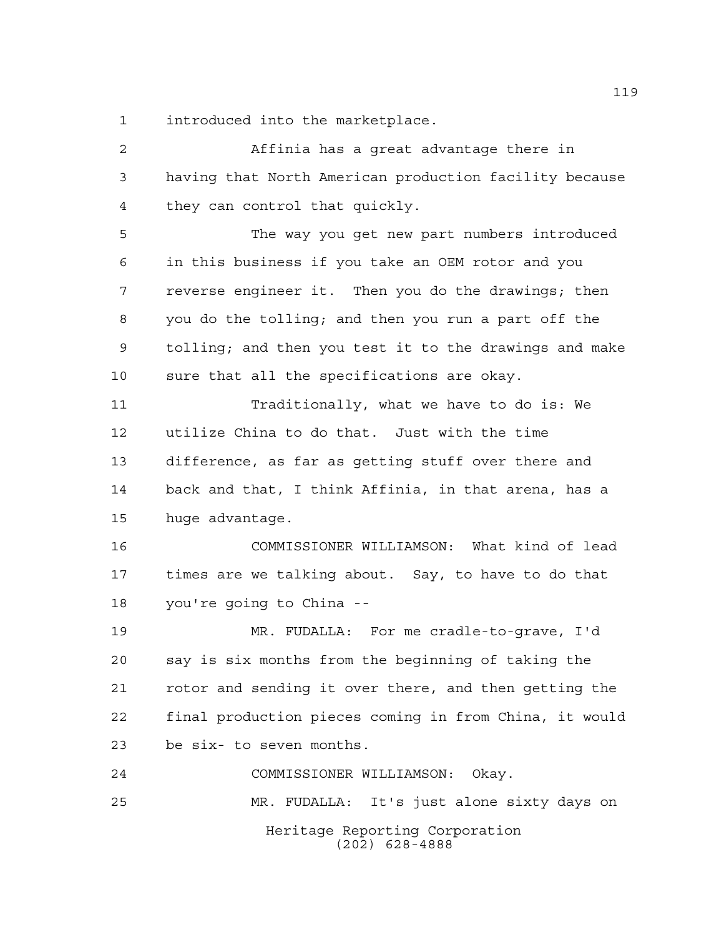introduced into the marketplace.

Heritage Reporting Corporation (202) 628-4888 Affinia has a great advantage there in having that North American production facility because they can control that quickly. The way you get new part numbers introduced in this business if you take an OEM rotor and you reverse engineer it. Then you do the drawings; then you do the tolling; and then you run a part off the tolling; and then you test it to the drawings and make sure that all the specifications are okay. Traditionally, what we have to do is: We utilize China to do that. Just with the time difference, as far as getting stuff over there and back and that, I think Affinia, in that arena, has a huge advantage. COMMISSIONER WILLIAMSON: What kind of lead times are we talking about. Say, to have to do that you're going to China -- MR. FUDALLA: For me cradle-to-grave, I'd say is six months from the beginning of taking the rotor and sending it over there, and then getting the final production pieces coming in from China, it would be six- to seven months. COMMISSIONER WILLIAMSON: Okay. MR. FUDALLA: It's just alone sixty days on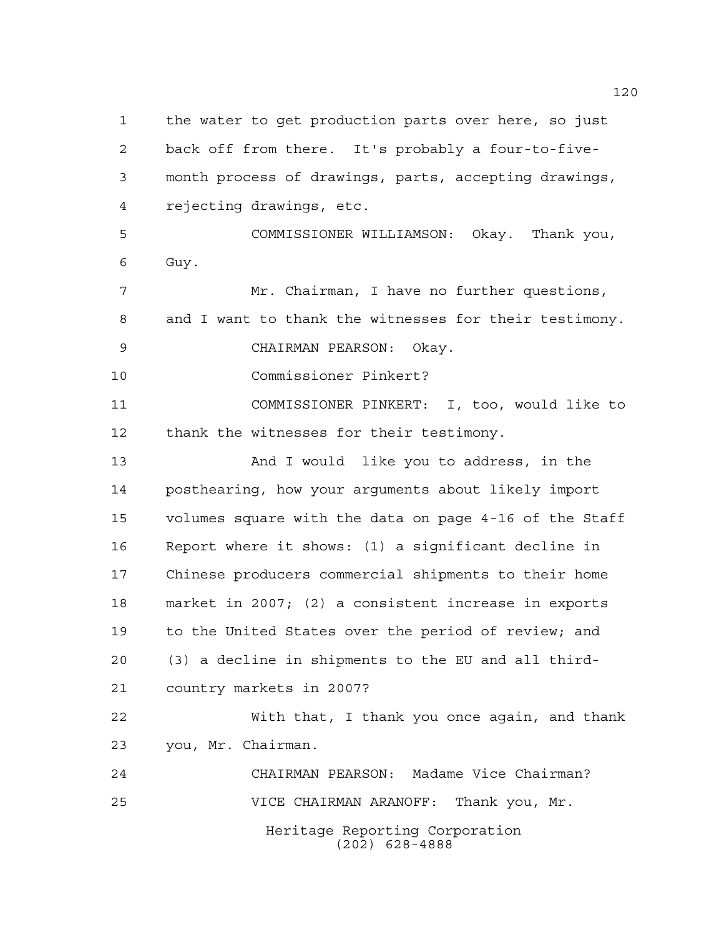Heritage Reporting Corporation (202) 628-4888 the water to get production parts over here, so just back off from there. It's probably a four-to-five- month process of drawings, parts, accepting drawings, rejecting drawings, etc. COMMISSIONER WILLIAMSON: Okay. Thank you, Guy. Mr. Chairman, I have no further questions, and I want to thank the witnesses for their testimony. CHAIRMAN PEARSON: Okay. Commissioner Pinkert? COMMISSIONER PINKERT: I, too, would like to thank the witnesses for their testimony. And I would like you to address, in the posthearing, how your arguments about likely import volumes square with the data on page 4-16 of the Staff Report where it shows: (1) a significant decline in Chinese producers commercial shipments to their home market in 2007; (2) a consistent increase in exports to the United States over the period of review; and (3) a decline in shipments to the EU and all third- country markets in 2007? With that, I thank you once again, and thank you, Mr. Chairman. CHAIRMAN PEARSON: Madame Vice Chairman? VICE CHAIRMAN ARANOFF: Thank you, Mr.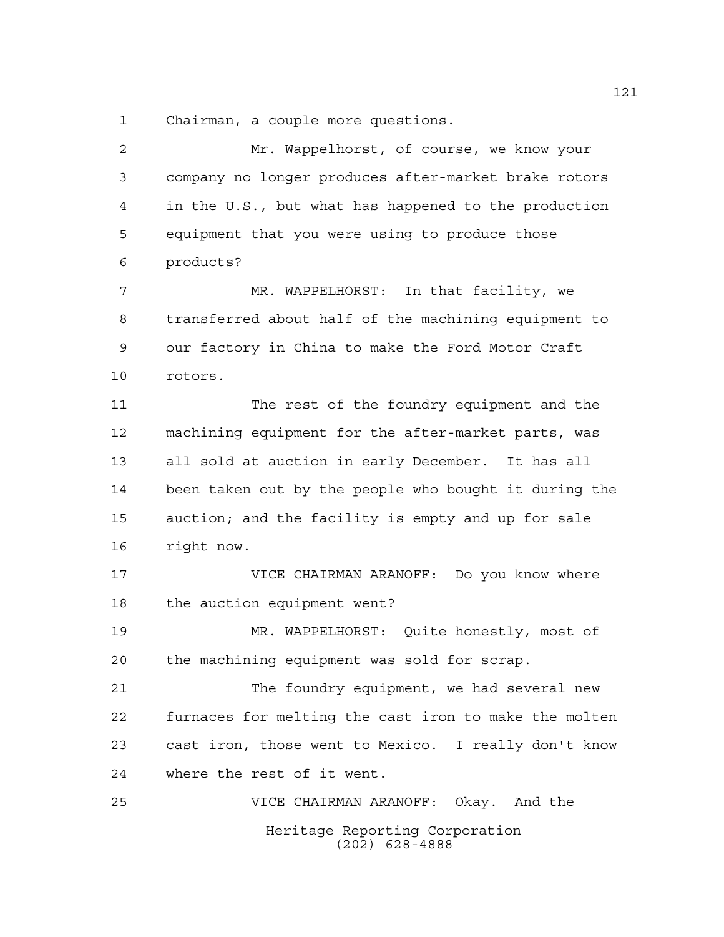Chairman, a couple more questions.

| $\overline{a}$ | Mr. Wappelhorst, of course, we know your              |
|----------------|-------------------------------------------------------|
| 3              | company no longer produces after-market brake rotors  |
| 4              | in the U.S., but what has happened to the production  |
| 5              | equipment that you were using to produce those        |
| 6              | products?                                             |
| 7              | MR. WAPPELHORST: In that facility, we                 |
| 8              | transferred about half of the machining equipment to  |
| 9              | our factory in China to make the Ford Motor Craft     |
| 10             | rotors.                                               |
| 11             | The rest of the foundry equipment and the             |
| 12             | machining equipment for the after-market parts, was   |
| 13             | all sold at auction in early December. It has all     |
| 14             | been taken out by the people who bought it during the |
| 15             | auction; and the facility is empty and up for sale    |
| 16             | right now.                                            |
| 17             | Do you know where<br>VICE CHAIRMAN ARANOFF:           |
| 18             | the auction equipment went?                           |
| 19             | MR. WAPPELHORST: Quite honestly, most of              |
| 20             | the machining equipment was sold for scrap.           |
| 21             | The foundry equipment, we had several new             |
| 22             | furnaces for melting the cast iron to make the molten |
| 23             | cast iron, those went to Mexico. I really don't know  |
| 24             | where the rest of it went.                            |
| 25             | VICE CHAIRMAN ARANOFF: Okay. And the                  |
|                | Heritage Reporting Corporation<br>$(202)$ 628-4888    |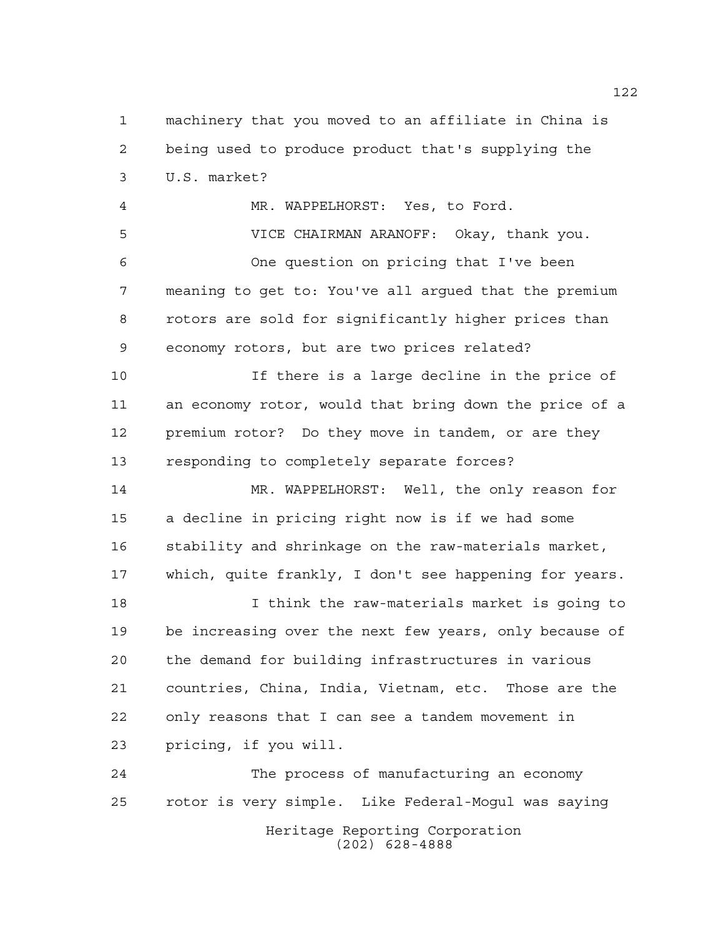Heritage Reporting Corporation machinery that you moved to an affiliate in China is being used to produce product that's supplying the U.S. market? MR. WAPPELHORST: Yes, to Ford. VICE CHAIRMAN ARANOFF: Okay, thank you. One question on pricing that I've been meaning to get to: You've all argued that the premium rotors are sold for significantly higher prices than economy rotors, but are two prices related? If there is a large decline in the price of an economy rotor, would that bring down the price of a premium rotor? Do they move in tandem, or are they responding to completely separate forces? MR. WAPPELHORST: Well, the only reason for a decline in pricing right now is if we had some stability and shrinkage on the raw-materials market, which, quite frankly, I don't see happening for years. I think the raw-materials market is going to be increasing over the next few years, only because of the demand for building infrastructures in various countries, China, India, Vietnam, etc. Those are the only reasons that I can see a tandem movement in pricing, if you will. The process of manufacturing an economy rotor is very simple. Like Federal-Mogul was saying

(202) 628-4888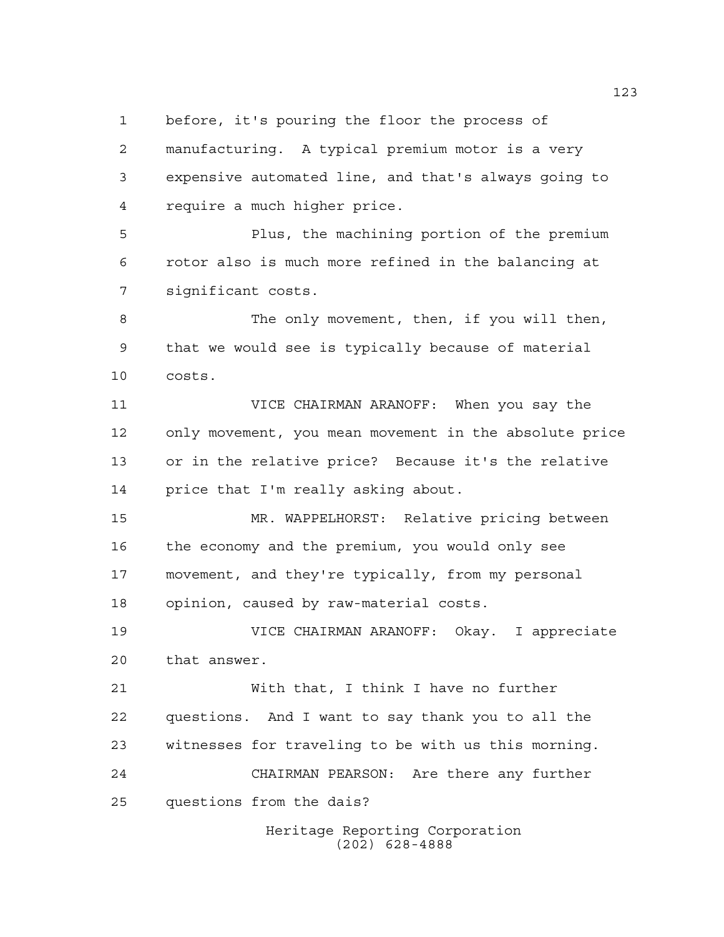before, it's pouring the floor the process of

 manufacturing. A typical premium motor is a very expensive automated line, and that's always going to require a much higher price.

 Plus, the machining portion of the premium rotor also is much more refined in the balancing at significant costs.

8 The only movement, then, if you will then, that we would see is typically because of material costs.

 VICE CHAIRMAN ARANOFF: When you say the only movement, you mean movement in the absolute price or in the relative price? Because it's the relative price that I'm really asking about.

 MR. WAPPELHORST: Relative pricing between the economy and the premium, you would only see movement, and they're typically, from my personal opinion, caused by raw-material costs.

 VICE CHAIRMAN ARANOFF: Okay. I appreciate that answer.

 With that, I think I have no further questions. And I want to say thank you to all the witnesses for traveling to be with us this morning. CHAIRMAN PEARSON: Are there any further questions from the dais?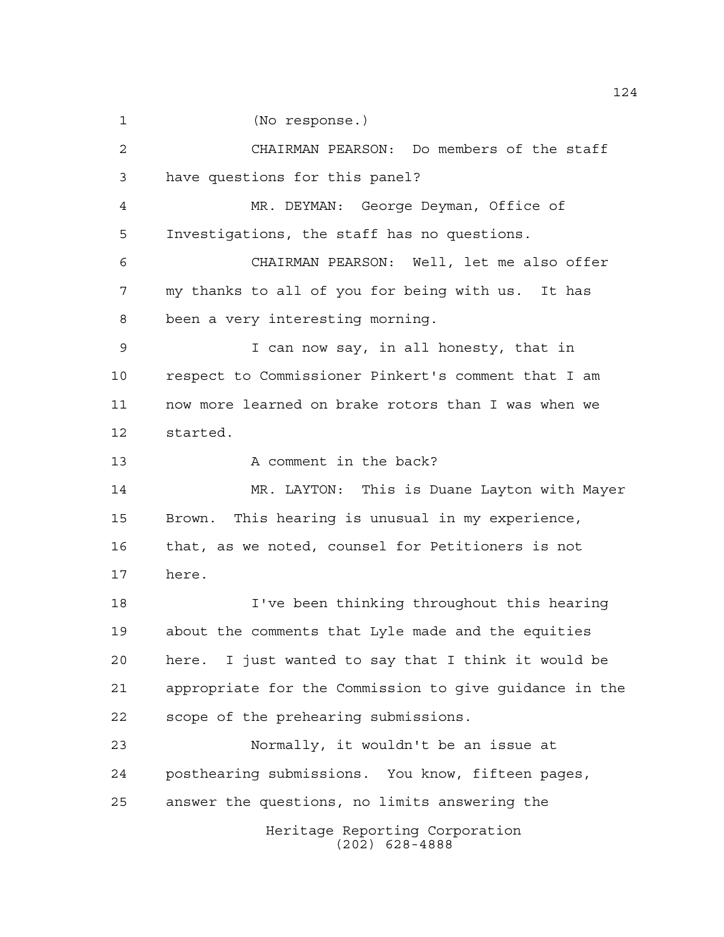(No response.)

 CHAIRMAN PEARSON: Do members of the staff have questions for this panel? MR. DEYMAN: George Deyman, Office of Investigations, the staff has no questions. CHAIRMAN PEARSON: Well, let me also offer my thanks to all of you for being with us. It has been a very interesting morning. I can now say, in all honesty, that in respect to Commissioner Pinkert's comment that I am now more learned on brake rotors than I was when we started. 13 A comment in the back? MR. LAYTON: This is Duane Layton with Mayer Brown. This hearing is unusual in my experience, that, as we noted, counsel for Petitioners is not here. I've been thinking throughout this hearing about the comments that Lyle made and the equities here. I just wanted to say that I think it would be appropriate for the Commission to give guidance in the scope of the prehearing submissions. Normally, it wouldn't be an issue at posthearing submissions. You know, fifteen pages, answer the questions, no limits answering the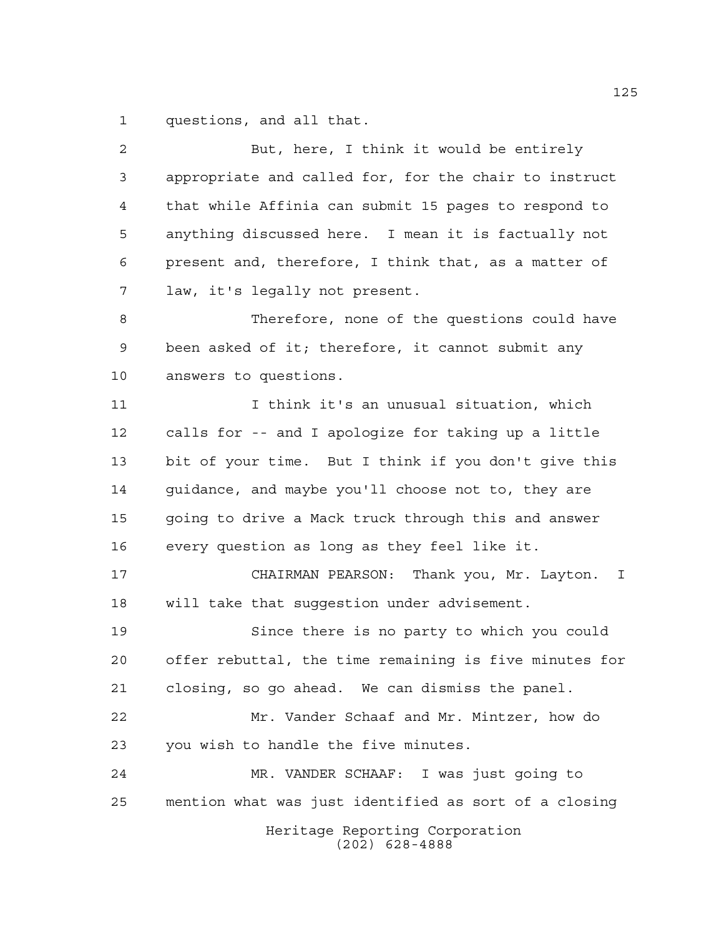questions, and all that.

| $\overline{a}$ | But, here, I think it would be entirely                  |
|----------------|----------------------------------------------------------|
| 3              | appropriate and called for, for the chair to instruct    |
| 4              | that while Affinia can submit 15 pages to respond to     |
| 5              | anything discussed here. I mean it is factually not      |
| 6              | present and, therefore, I think that, as a matter of     |
| 7              | law, it's legally not present.                           |
| 8              | Therefore, none of the questions could have              |
| 9              | been asked of it; therefore, it cannot submit any        |
| 10             | answers to questions.                                    |
| 11             | I think it's an unusual situation, which                 |
| 12             | calls for -- and I apologize for taking up a little      |
| 13             | bit of your time. But I think if you don't give this     |
| 14             | guidance, and maybe you'll choose not to, they are       |
| 15             | going to drive a Mack truck through this and answer      |
| 16             | every question as long as they feel like it.             |
| 17             | CHAIRMAN PEARSON: Thank you, Mr. Layton.<br>$\mathbb{I}$ |
| 18             | will take that suggestion under advisement.              |
| 19             | Since there is no party to which you could               |
| 20             | offer rebuttal, the time remaining is five minutes for   |
| 21             | closing, so go ahead. We can dismiss the panel.          |
| 22             | Mr. Vander Schaaf and Mr. Mintzer, how do                |
| 23             | you wish to handle the five minutes.                     |
| 24             | MR. VANDER SCHAAF: I was just going to                   |
| 25             | mention what was just identified as sort of a closing    |
|                | Heritage Reporting Corporation<br>$(202)$ 628-4888       |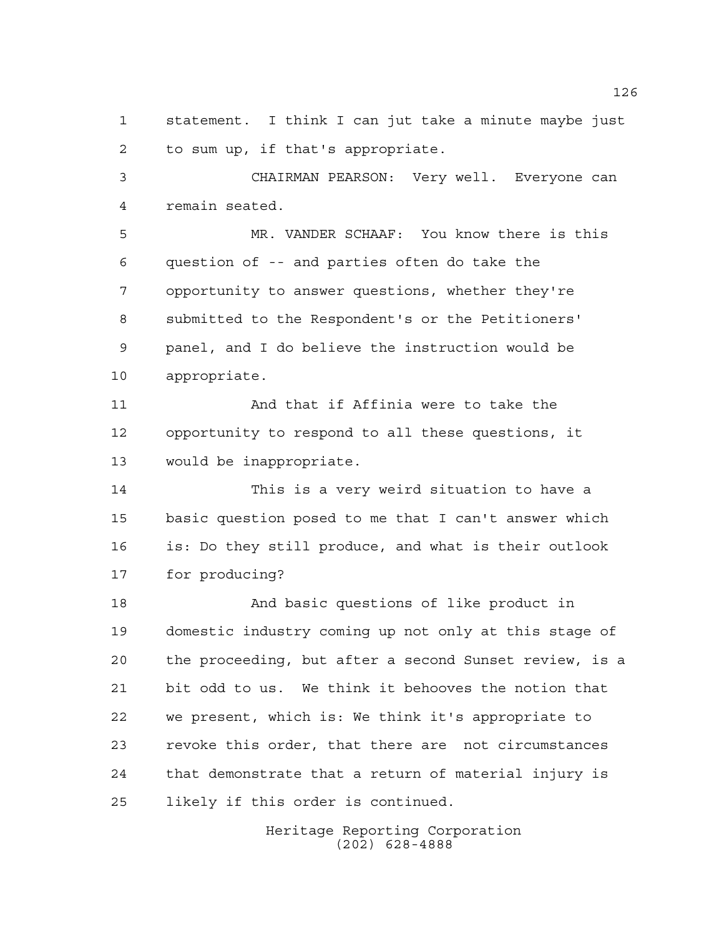statement. I think I can jut take a minute maybe just to sum up, if that's appropriate.

 CHAIRMAN PEARSON: Very well. Everyone can remain seated.

 MR. VANDER SCHAAF: You know there is this question of -- and parties often do take the opportunity to answer questions, whether they're submitted to the Respondent's or the Petitioners' panel, and I do believe the instruction would be appropriate.

 And that if Affinia were to take the opportunity to respond to all these questions, it would be inappropriate.

 This is a very weird situation to have a basic question posed to me that I can't answer which is: Do they still produce, and what is their outlook for producing?

 And basic questions of like product in domestic industry coming up not only at this stage of the proceeding, but after a second Sunset review, is a bit odd to us. We think it behooves the notion that we present, which is: We think it's appropriate to revoke this order, that there are not circumstances that demonstrate that a return of material injury is likely if this order is continued.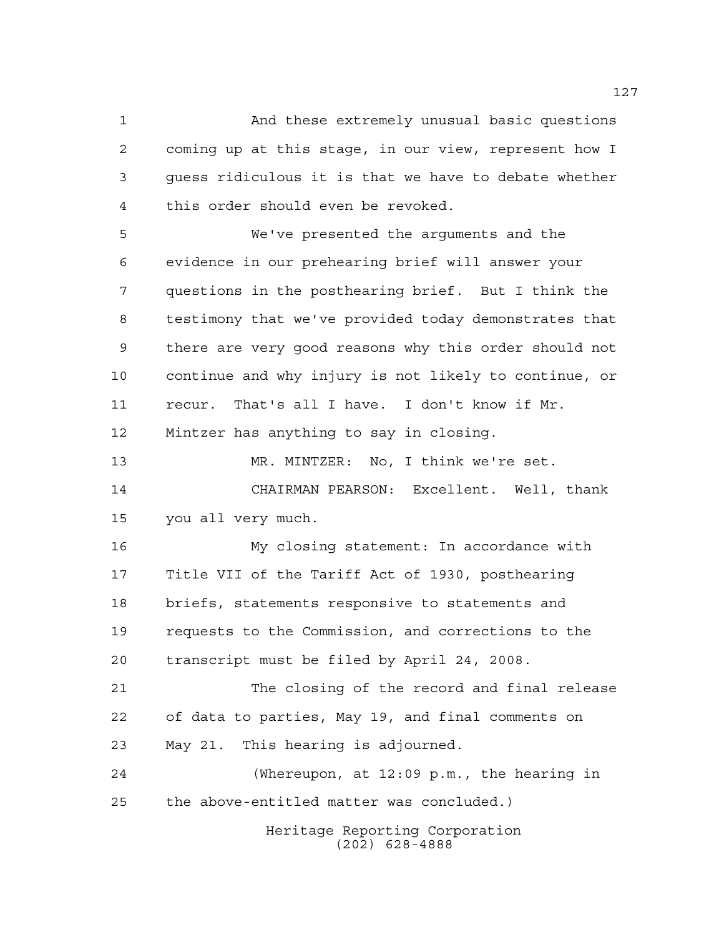And these extremely unusual basic questions coming up at this stage, in our view, represent how I guess ridiculous it is that we have to debate whether this order should even be revoked.

 We've presented the arguments and the evidence in our prehearing brief will answer your questions in the posthearing brief. But I think the testimony that we've provided today demonstrates that there are very good reasons why this order should not continue and why injury is not likely to continue, or recur. That's all I have. I don't know if Mr. Mintzer has anything to say in closing.

 MR. MINTZER: No, I think we're set. CHAIRMAN PEARSON: Excellent. Well, thank you all very much.

 My closing statement: In accordance with Title VII of the Tariff Act of 1930, posthearing briefs, statements responsive to statements and requests to the Commission, and corrections to the transcript must be filed by April 24, 2008.

 The closing of the record and final release of data to parties, May 19, and final comments on May 21. This hearing is adjourned.

 (Whereupon, at 12:09 p.m., the hearing in the above-entitled matter was concluded.)